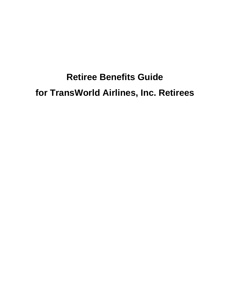**Retiree Benefits Guide for TransWorld Airlines, Inc. Retirees**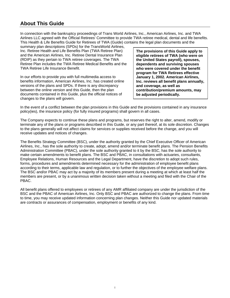# **About This Guide**

In connection with the bankruptcy proceedings of Trans World Airlines, Inc., American Airlines, Inc. and TWA Airlines LLC agreed with the Official Retirees' Committee to provide TWA retiree medical, dental and life benefits. This Health & Life Benefits Guide for Retirees of TWA (Guide) contains the legal plan documents and the

summary plan descriptions (SPDs) for the TransWorld Airlines, Inc. Retiree Health and Life Benefits Plan (TWA Retiree Plan) and the American Airlines, Inc. Retiree Dental Insurance Plan (RDIP) as they pertain to TWA retiree coverages. The TWA Retiree Plan includes the TWA Retiree Medical Benefits and the TWA Retiree Life Insurance Benefit.

In our efforts to provide you with full multimedia access to benefits information, American Airlines, Inc. has created online versions of the plans and SPDs. If there is any discrepancy between the online version and this Guide, then the plan documents contained in this Guide, plus the official notices of changes to the plans will govern.

**The provisions of this Guide apply to eligible retirees of TWA (who were on the United States payroll), spouses, dependents and surviving spouses who were covered under the benefit program for TWA Retirees effective January 1, 2002. American Airlines, Inc. reviews all benefit plans annually, and coverage, as well as contribution/premium amounts, may be adjusted periodically.** 

In the event of a conflict between the plan provisions in this Guide and the provisions contained in any insurance policy(ies), the insurance policy (for fully insured programs) shall govern in all cases.

The Company expects to continue these plans and programs, but reserves the right to alter, amend, modify or terminate any of the plans or programs described in this Guide, or any part thereof, at its sole discretion. Changes to the plans generally will not affect claims for services or supplies received before the change, and you will receive updates and notices of changes.

The Benefits Strategy Committee (BSC), under the authority granted by the Chief Executive Officer of American Airlines, Inc., has the sole authority to create, adopt, amend and/or terminate benefit plans. The Pension Benefits Administration Committee (PBAC), under the sole authority granted to it by the BSC, has the sole authority to make certain amendments to benefit plans. The BSC and PBAC, in consultations with actuaries, consultants, Employee Relations, Human Resources and the Legal Department, have the discretion to adopt such rules, forms, procedures and amendments determined necessary for the administration of employee benefit plans according to their terms, applicable law and regulation, or to further the objectives of the employee welfare plans. The BSC and/or PBAC may act by a majority of its members present during a meeting at which at least half the members are present, or by a unanimous written decision taken without a meeting and filed with the Chair of the PBAC.

All benefit plans offered to employees or retirees of any AMR affiliated company are under the jurisdiction of the BSC and the PBAC of American Airlines, Inc. Only BSC and PBAC are authorized to change the plans. From time to time, you may receive updated information concerning plan changes. Neither this Guide nor updated materials are contracts or assurances of compensation, employment or benefits of any kind.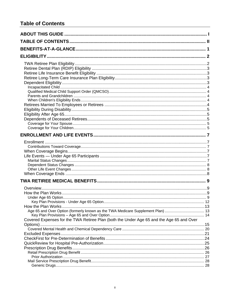# **Table of Contents**

| How the Plan Works                                                                       |  |
|------------------------------------------------------------------------------------------|--|
| Age 65 and Over Option (formerly known as the TWA Medicare Supplement Plan)  13          |  |
| Covered Expenses for the TWA Retiree Plan (both the Under Age 65 and the Age 65 and Over |  |
|                                                                                          |  |
|                                                                                          |  |
|                                                                                          |  |
|                                                                                          |  |
|                                                                                          |  |
|                                                                                          |  |
|                                                                                          |  |
|                                                                                          |  |
|                                                                                          |  |
|                                                                                          |  |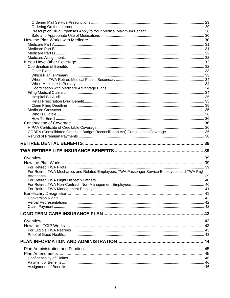| COBRA (Consolidated Omnibus Budget Reconciliation Act) Continuation Coverage  36                |  |
|-------------------------------------------------------------------------------------------------|--|
|                                                                                                 |  |
|                                                                                                 |  |
|                                                                                                 |  |
|                                                                                                 |  |
|                                                                                                 |  |
|                                                                                                 |  |
|                                                                                                 |  |
|                                                                                                 |  |
|                                                                                                 |  |
| For Retired TWA Mechanics and Related Employees, TWA Passenger Service Employees and TWA Flight |  |
|                                                                                                 |  |
|                                                                                                 |  |
|                                                                                                 |  |
|                                                                                                 |  |
|                                                                                                 |  |
|                                                                                                 |  |
|                                                                                                 |  |
|                                                                                                 |  |
|                                                                                                 |  |
|                                                                                                 |  |
|                                                                                                 |  |
|                                                                                                 |  |
|                                                                                                 |  |
|                                                                                                 |  |
|                                                                                                 |  |
|                                                                                                 |  |
|                                                                                                 |  |
|                                                                                                 |  |
|                                                                                                 |  |
|                                                                                                 |  |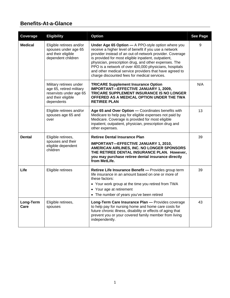# **Benefits-At-a-Glance**

| Coverage          | <b>Eligibility</b>                                                                                                 | <b>Option</b>                                                                                                                                                                                                                                                                                                                                                                                                                                                  | <b>See Page</b> |
|-------------------|--------------------------------------------------------------------------------------------------------------------|----------------------------------------------------------------------------------------------------------------------------------------------------------------------------------------------------------------------------------------------------------------------------------------------------------------------------------------------------------------------------------------------------------------------------------------------------------------|-----------------|
| <b>Medical</b>    | Eligible retirees and/or<br>spouses under age 65<br>and their eligible<br>dependent children                       | Under Age 65 Option - A PPO-style option where you<br>receive a higher level of benefit if you use a network<br>provider instead of an out-of-network provider. Coverage<br>is provided for most eligible inpatient, outpatient,<br>physician, prescription drug, and other expenses. The<br>PPO is a network of over 400,000 physicians, hospitals<br>and other medical service providers that have agreed to<br>charge discounted fees for medical services. | 9               |
|                   | Military retirees under<br>age 65, retired military<br>reservists under age 65<br>and their eligible<br>dependents | <b>TRICARE Supplement Insurance Option</b><br>IMPORTANT-EFFECTIVE JANUARY 1, 2009,<br>TRICARE SUPPLEMENT INSURANCE IS NO LONGER<br>OFFERED AS A MEDICAL OPTION UNDER THE TWA<br><b>RETIREE PLAN</b>                                                                                                                                                                                                                                                            | N/A             |
|                   | Eligible retirees and/or<br>spouses age 65 and<br>over                                                             | Age 65 and Over Option - Coordinates benefits with<br>Medicare to help pay for eligible expenses not paid by<br>Medicare. Coverage is provided for most eligible<br>inpatient, outpatient, physician, prescription drug and<br>other expenses.                                                                                                                                                                                                                 | 13              |
| <b>Dental</b>     | Eligible retirees,<br>spouses and their<br>eligible dependent<br>children                                          | <b>Retiree Dental Insurance Plan</b><br><b>IMPORTANT-EFFECTIVE JANUARY 1, 2010,</b><br>AMERICAN AIRLINES, INC. NO LONGER SPONSORS<br>THE RETIREE DENTAL INSURANCE PLAN. However,<br>you may purchase retiree dental insurance directly<br>from MetLife.                                                                                                                                                                                                        | 39              |
| Life              | Eligible retirees                                                                                                  | Retiree Life Insurance Benefit - Provides group term<br>life insurance in an amount based on one or more of<br>these factors:<br>• Your work group at the time you retired from TWA<br>• Your age at retirement<br>• The number of years you've been retired                                                                                                                                                                                                   | 39              |
| Long-Term<br>Care | Eligible retirees,<br>spouses                                                                                      | Long-Term Care Insurance Plan - Provides coverage<br>to help pay for nursing home and home care costs for<br>future chronic illness, disability or effects of aging that<br>prevent you or your covered family member from living<br>independently.                                                                                                                                                                                                            | 43              |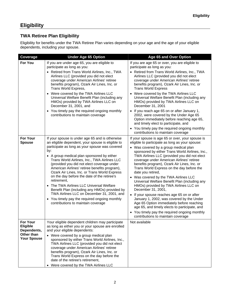# **Eligibility**

# **TWA Retiree Plan Eligibility**

Eligibility for benefits under the TWA Retiree Plan varies depending on your age and the age of your eligible dependents, including your spouse.

| Coverage                                                                       | <b>Under Age 65 Option</b>                                                                                                                                                                                                                                                                                                                                                                                                                                                                                                                                                                                                                                                                                            | Age 65 and Over Option                                                                                                                                                                                                                                                                                                                                                                                                                                                                                                                                                                                                                                                                                                                                                                                                                                  |
|--------------------------------------------------------------------------------|-----------------------------------------------------------------------------------------------------------------------------------------------------------------------------------------------------------------------------------------------------------------------------------------------------------------------------------------------------------------------------------------------------------------------------------------------------------------------------------------------------------------------------------------------------------------------------------------------------------------------------------------------------------------------------------------------------------------------|---------------------------------------------------------------------------------------------------------------------------------------------------------------------------------------------------------------------------------------------------------------------------------------------------------------------------------------------------------------------------------------------------------------------------------------------------------------------------------------------------------------------------------------------------------------------------------------------------------------------------------------------------------------------------------------------------------------------------------------------------------------------------------------------------------------------------------------------------------|
| For You                                                                        | If you are under age 65, you are eligible to<br>participate as long as you:<br>• Retired from Trans World Airlines, Inc., TWA<br>Airlines LLC (provided you did not elect<br>coverage under American Airlines' retiree<br>benefits program), Ozark Air Lines, Inc. or<br>Trans World Express,<br>Were covered by the TWA Airlines LLC<br>Universal Welfare Benefit Plan (including any<br>HMOs) provided by TWA Airlines LLC on<br>December 31, 2001, and<br>You timely pay the required ongoing monthly<br>$\bullet$<br>contributions to maintain coverage                                                                                                                                                           | If you are age 65 or over, you are eligible to<br>participate as long as you:<br>• Retired from Trans World Airlines, Inc., TWA<br>Airlines LLC (provided you did not elect<br>coverage under American Airlines' retiree<br>benefits program), Ozark Air Lines, Inc. or<br><b>Trans World Express</b><br>• Were covered by the TWA Airlines LLC<br>Universal Welfare Benefit Plan (including any<br>HMOs) provided by TWA Airlines LLC on<br>December 31, 2001<br>• If you reach age 65 on or after January 1,<br>2002, were covered by the Under Age 65<br>Option immediately before reaching age 65,<br>and timely elect to participate, and<br>You timely pay the required ongoing monthly<br>contributions to maintain coverage                                                                                                                     |
| <b>For Your</b><br><b>Spouse</b>                                               | If your spouse is under age 65 and is otherwise<br>an eligible dependent, your spouse is eligible to<br>participate as long as your spouse was covered<br>by:<br>• A group medical plan sponsored by either<br>Trans World Airlines, Inc., TWA Airlines LLC<br>(provided you did not elect coverage under<br>American Airlines' retiree benefits program),<br>Ozark Air Lines, Inc. or Trans World Express<br>on the day before the date of the retiree's<br>retirement,<br>The TWA Airlines LLC Universal Welfare<br>$\bullet$<br>Benefit Plan (including any HMOs) provided by<br>TWA Airlines LLC on December 31, 2001, and<br>• You timely pay the required ongoing monthly<br>contributions to maintain coverage | If your spouse is age 65 or over, your spouse is<br>eligible to participate as long as your spouse:<br>• Was covered by a group medical plan<br>sponsored by either Trans World Airlines, Inc.,<br>TWA Airlines LLC (provided you did not elect<br>coverage under American Airlines' retiree<br>benefits program), Ozark Air Lines, Inc. or<br>Trans World Express on the day before the<br>date you retired,<br>• Was covered by the TWA Airlines LLC<br>Universal Welfare Benefit Plan (including any<br>HMOs) provided by TWA Airlines LLC on<br>December 31, 2001,<br>• If your spouse reaches age 65 on or after<br>January 1, 2002, was covered by the Under<br>Age 65 Option immediately before reaching<br>age 65, and timely elects to participate, and<br>• You timely pay the required ongoing monthly<br>contributions to maintain coverage |
| <b>For Your</b><br>Eligible<br>Dependents,<br>Other than<br><b>Your Spouse</b> | Your eligible dependent children may participate<br>as long as either you or your spouse are enrolled<br>and your eligible dependents:<br>• Were covered by a group medical plan<br>sponsored by either Trans World Airlines, Inc.,<br>TWA Airlines LLC (provided you did not elect<br>coverage under American Airlines' retiree<br>benefits program), Ozark Air Lines, Inc. or<br>Trans World Express on the day before the<br>date of the retiree's retirement,<br>Were covered by the TWA Airlines LLC                                                                                                                                                                                                             | Not available                                                                                                                                                                                                                                                                                                                                                                                                                                                                                                                                                                                                                                                                                                                                                                                                                                           |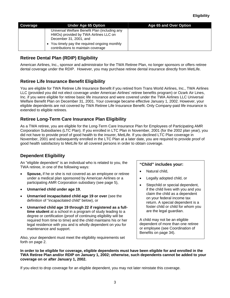| <b>Coverage</b> | <b>Under Age 65 Option</b>                                                                                       | Age 65 and Over Option |
|-----------------|------------------------------------------------------------------------------------------------------------------|------------------------|
|                 | Universal Welfare Benefit Plan (including any<br>HMOs) provided by TWA Airlines LLC on<br>December 31, 2001, and |                        |
|                 | You timely pay the required ongoing monthly<br>contributions to maintain coverage                                |                        |

# **Retiree Dental Plan (RDIP) Eligibility**

American Airlines, Inc., sponsor and administrator for the TWA Retiree Plan, no longer sponsors or offers retiree dental coverage under the RDIP. However, you may purchase retiree dental insurance directly from MetLife.

# **Retiree Life Insurance Benefit Eligibility**

You are eligible for TWA Retiree Life Insurance Benefit if you retired from Trans World Airlines, Inc., TWA Airlines LLC (provided you did not elect coverage under American Airlines' retiree benefits program) or Ozark Air Lines, Inc. if you were eligible for retiree basic life insurance and were covered under the TWA Airlines LLC Universal Welfare Benefit Plan on December 31, 2001. Your coverage became effective January 1, 2002. However, your eligible dependents are not covered by TWA Retiree Life Insurance Benefit. Only Company-paid life insurance is extended to eligible retirees.

# **Retiree Long-Term Care Insurance Plan Eligibility**

As a TWA retiree, you are eligible for the Long-Term Care Insurance Plan for Employees of Participating AMR Corporation Subsidiaries (LTC Plan). If you enrolled in LTC Plan in November, 2001 (for the 2002 plan year), you did not have to provide proof of good health to the insurer, MetLife. If you declined LTC Plan coverage in November, 2001 and subsequently enrolled in the LTC Plan at a later date, you are required to provide proof of good health satisfactory to MetLife for all covered persons in order to obtain coverage.

# **Dependent Eligibility**

An "eligible dependent" is an individual who is related to you, the TWA retiree, in one of the following ways:

- **Spouse,** if he or she is not covered as an employee or retiree under a medical plan sponsored by American Airlines or a participating AMR Corporation subsidiary (see page 5),
- **Unmarried child under age 19**,
- **Unmarried incapacitated child age 19 or over** (see the definition of "incapacitated child" below), or
- **Unmarried child age 19 through 22 if registered as a fulltime student** at a school in a program of study leading to a degree or certification (proof of continuing eligibility will be required from time to time) and the child maintains his or her legal residence with you and is wholly dependent on you for maintenance and support.

Also, your dependent must meet the eligibility requirements set forth on page 2.

## **"Child" includes your:**

- Natural child,
- Legally adopted child, or
- Stepchild or special dependent. if the child lives with you and you claim the child as a dependent on your federal income tax return. A special dependent is a foster child or child for whom you are the legal guardian.

A child may not be an eligible dependent of more than one retiree or employee (see Coordination of Benefits on page 34).

**In order to be eligible for coverage, eligible dependents must have been eligible for and enrolled in the TWA Retiree Plan and/or RDIP on January 1, 2002; otherwise, such dependents cannot be added to your coverage on or after January 1, 2002.** 

If you elect to drop coverage for an eligible dependent, you may not later reinstate this coverage.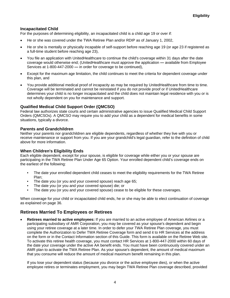# **Incapacitated Child**

For the purposes of determining eligibility, an incapacitated child is a child age 19 or over if:

- He or she was covered under the TWA Retiree Plan and/or RDIP as of January 1, 2002,
- He or she is mentally or physically incapable of self-support before reaching age 19 (or age 23 if registered as a full-time student before reaching age 23),
- You file an application with UnitedHealthcare to continue the child's coverage within 31 days after the date coverage would otherwise end; (UnitedHealthcare must approve the application **—** available from Employee Services at 1-800-447-2000 **—** in order for coverage to be continued),
- Except for the maximum age limitation, the child continues to meet the criteria for dependent coverage under this plan, and
- You provide additional medical proof of incapacity as may be required by UnitedHealthcare from time to time. Coverage will be terminated and cannot be reinstated if you do not provide proof or if UnitedHealthcare determines your child is no longer incapacitated and the child does not maintain legal residence with you or is not wholly dependent on you for maintenance and support.

### **Qualified Medical Child Support Order (QMCSO)**

Federal law authorizes state courts and certain administrative agencies to issue Qualified Medical Child Support Orders (QMCSOs). A QMCSO may require you to add your child as a dependent for medical benefits in some situations, typically a divorce.

### **Parents and Grandchildren**

Neither your parents nor grandchildren are eligible dependents, regardless of whether they live with you or receive maintenance or support from you. If you are your grandchild's legal guardian, refer to the definition of child above for more information.

### **When Children's Eligibility Ends**

Each eligible dependent, except for your spouse, is eligible for coverage while either you or your spouse are participating in the TWA Retiree Plan Under Age 65 Option. Your enrolled dependent child's coverage ends on the earliest of the following:

- The date your enrolled dependent child ceases to meet the eligibility requirements for the TWA Retiree Plan;
- The date you (or you and your covered spouse) reach age 65;
- The date you (or you and your covered spouse) die; or
- The date you (or you and your covered spouse) cease to be eligible for these coverages.

When coverage for your child or incapacitated child ends, he or she may be able to elect continuation of coverage as explained on page 36.

## **Retirees Married To Employees or Retirees**

 **Retirees married to active employees:** If you are married to an active employee of American Airlines or a participating subsidiary of AMR Corporation, you may be covered as your spouse's dependent and begin using your retiree coverage at a later time. In order to defer your TWA Retiree Plan coverage, you must complete the Authorization to Defer TWA Retiree Coverage form and send it to HR Services at the address on the form or in the Contact Information section of this Guide. This form is available on the Retiree Web site. To activate this retiree health coverage, you must contact HR Services at 1-800-447-2000 within 60 days of the date your coverage under the active AA benefit ends. You must have been continuously covered under an AMR plan to activate the TWA Retiree Plan. As your spouse's dependent, the amount of medical maximum that you consume will reduce the amount of medical maximum benefit remaining in this plan.

If you lose your dependent status (because you divorce or the active employee dies), or when the active employee retires or terminates employment, you may begin TWA Retiree Plan coverage described, provided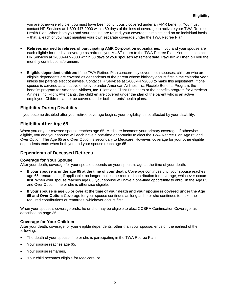you are otherwise eligible (you must have been continuously covered under an AMR benefit). You must contact HR Services at 1-800-447-2000 within 60 days of the loss of coverage to activate your TWA Retiree Health Plan. When both you and your spouse are retired, your coverage is maintained on an individual basis – that is, each of you must maintain your own separate coverage under the TWA Retiree Plan.

- **Retirees married to retirees of participating AMR Corporation subsidiaries:** If you and your spouse are each eligible for medical coverage as retirees, you MUST return to the TWA Retiree Plan. You must contact HR Services at 1-800-447-2000 within 60 days of your spouse's retirement date. PayFlex will then bill you the monthly contributions/premium.
- **Eligible dependent children:** If the TWA Retiree Plan concurrently covers both spouses, children who are eligible dependents are covered as dependents of the parent whose birthday occurs first in the calendar year, unless the parents elect otherwise. Contact HR Services at 1-800-447-2000 to make this adjustment. If one spouse is covered as an active employee under American Airlines, Inc. Flexible Benefits Program, the benefits program for American Airlines, Inc. Pilots and Flight Engineers or the benefits program for American Airlines, Inc. Flight Attendants, the children are covered under the plan of the parent who is an active employee. Children cannot be covered under both parents' health plans.

# **Eligibility During Disability**

If you become disabled after your retiree coverage begins, your eligibility is not affected by your disability.

# **Eligibility After Age 65**

When you or your covered spouse reaches age 65, Medicare becomes your primary coverage. If otherwise eligible, you and your spouse will each have a one-time opportunity to elect the TWA Retiree Plan Age 65 and Over Option. The Age 65 and Over Option is secondary to Medicare. However, coverage for your other eligible dependents ends when both you and your spouse reach age 65.

# **Dependents of Deceased Retirees**

### **Coverage for Your Spouse**

After your death, coverage for your spouse depends on your spouse's age at the time of your death.

- **If your spouse is under age 65 at the time of your death:** Coverage continues until your spouse reaches age 65, remarries or, if applicable, no longer makes the required contribution for coverage, whichever occurs first. When your spouse reaches age 65, your spouse will have a one-time opportunity to enroll in the Age 65 and Over Option if he or she is otherwise eligible.
- **If your spouse is age 65 or over at the time of your death and your spouse is covered under the Age 65 and Over Option:** Coverage for your spouse continues as long as he or she continues to make the required contributions or remarries, whichever occurs first.

When your spouse's coverage ends, he or she may be eligible to elect COBRA Continuation Coverage, as described on page 36.

### **Coverage for Your Children**

After your death, coverage for your eligible dependents, other than your spouse, ends on the earliest of the following:

- The death of your spouse if he or she is participating in the TWA Retiree Plan,
- Your spouse reaches age 65,
- Your spouse remarries,
- Your child becomes eligible for Medicare, or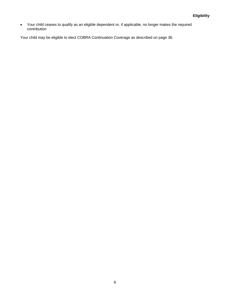Your child ceases to qualify as an eligible dependent or, if applicable, no longer makes the required contribution

Your child may be eligible to elect COBRA Continuation Coverage as described on page 36.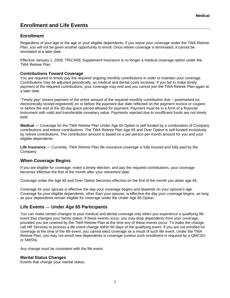# **Enrollment and Life Events**

# **Enrollment**

Regardless of your age or the age or your eligible dependents, if you waive your coverage under the TWA Retiree Plan, you will not be given another opportunity to enroll. Once retiree coverage is terminated, it cannot be reinstated at a later date.

Effective January 1, 2009, TRICARE Supplement Insurance is no longer a medical coverage option under the TWA Retiree Plan.

### **Contributions Toward Coverage**

You are required to timely pay the required ongoing monthly contributions in order to maintain your coverage. Contributions may be adjusted periodically, as medical and dental costs increase. If you fail to make timely payment of the required contributions, your coverage may end and you cannot join the TWA Retiree Plan again at a later date.

"Timely pay" means payment of the entire amount of the required monthly contribution due – postmarked (or electronically receipt-registered) on or before the payment due date reflected on the payment invoice or coupon, or before the end of the 30-day grace period allowed for payment. Payment must be in a form of a financial instrument with valid and transferable monetary value. Payments rejected due to insufficient funds are not timely paid.

**Medical** — Coverage for the TWA Retiree Plan Under Age 65 Option is self-funded by a combination of Company contributions and retiree contributions. The TWA Retiree Plan Age 65 and Over Option is self-funded exclusively by retiree contributions. The contribution amount is based on a per-person per-month amount for you and your eligible dependents.

**Life Insurance** — Currently, TWA Retiree Plan life insurance coverage is fully insured and fully paid by the Company.

## **When Coverage Begins**

If you are eligible for coverage, make a timely election, and pay the required contributions, your coverage becomes effective the first of the month after your retirement date.

Coverage under the Age 65 and Over Option becomes effective on the first of the month you attain age 65.

Coverage for your spouse is effective the day your coverage begins and depends on your spouse's age. Coverage for your eligible dependents, other than your spouse, is effective the day your coverage begins, as long as your dependents remain eligible for coverage under the Under Age 65 Option.

## **Life Events** — **Under Age 65 Participants**

You can make certain changes to your medical and dental coverage only when you experience a qualifying life event that changes your family status. If these events occur, you may drop dependents from your coverage, provided you are covered by the TWA Retiree Plan at the time any of these events occur. To make the change, call HR Services to process a life event change within 60 days of the qualifying event. If you are not enrolled for coverage at the time of the life event, you cannot elect coverage as a result of such life event. Under the TWA Retiree Plan, you may not enroll new dependents in coverage (unless such enrollment is required by a QMCSO or NMSN).

Any change must be consistent with the life event.

### **Marital Status Changes**

Events that change your marital status: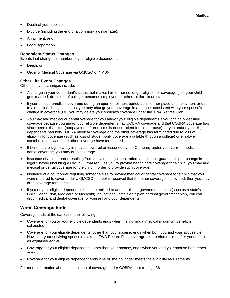- Death of your spouse,
- Divorce (including the end of a common-law marriage),
- Annulment, and
- Legal separation

### **Dependent Status Changes**

Events that change the number of your eligible dependents:

- Death, or
- Order of Medical Coverage via QMCSO or NMSN

### **Other Life Event Changes**

Other life event changes include:

- A change in your dependent's status that makes him or her no longer eligible for coverage (i.e., your child gets married, drops out of college, becomes employed, or other similar circumstances).
- If your spouse enrolls in coverage during an open enrollment period at his or her place of employment or due to a qualified change in status, you may change your coverage in a manner consistent with your spouse's change in coverage (i.e., you may delete your spouse's coverage under the TWA Retiree Plan).
- You may add medical or dental overage for you and/or your eligible dependents if you originally declined coverage because you and/or your eligible dependents had COBRA coverage and that COBRA coverage has since been exhausted (nonpayment of premiums is not sufficient for this purpose); or you and/or your eligible dependents had non-COBRA medical coverage and the other coverage has terminated due to loss of eligibility for coverage (such as loss of student-only coverage available through a college) or employer contributions towards the other coverage have terminated.
- If benefits are significantly improved, lowered or lessened by the Company under your current medical or dental coverage, you may drop coverage.
- Issuance of a court order resulting from a divorce, legal separation, annulment, guardianship or change in legal custody (including a QMCSO) that requires you to provide health care coverage for a child, you may add medical or dental coverage for the child in order to provide such coverage.
- Issuance of a court order requiring someone else to provide medical or dental coverage for a child that you were required to cover under a QMCSO, if proof is received that the other coverage is provided, then you may drop coverage for the child.
- If you or your eligible dependents become entitled to and enroll in a governmental plan (such as a state's Child Health Plan, Medicare or Medicaid), educational institution's plan or tribal government plan, you can drop medical and dental coverage for yourself and your dependents.

# **When Coverage Ends**

Coverage ends at the earliest of the following:

- Coverage for you or your eligible dependents ends when the individual medical maximum benefit is exhausted.
- Coverage for your eligible dependents, other than your spouse, ends when both you and your spouse die. However, your surviving spouse may keep TWA Retiree Plan coverage for a period of time after your death, as explained earlier.
- Coverage for your eligible dependents, other than your spouse, ends when you and your spouse both reach age 65.
- Coverage for your eligible dependent ends if he or she no longer meets the eligibility requirements.

For more information about continuation of coverage under COBRA, turn to page 36.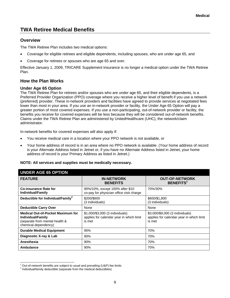# **TWA Retiree Medical Benefits**

## **Overview**

The TWA Retiree Plan includes two medical options:

- Coverage for eligible retirees and eligible dependents, including spouses, who are under age 65, and
- Coverage for retirees or spouses who are age 65 and over.

Effective January 1, 2009, TRICARE Supplement Insurance is no longer a medical option under the TWA Retiree Plan.

# **How the Plan Works**

### **Under Age 65 Option**

The TWA Retiree Plan for retirees and/or spouses who are under age 65, and their eligible dependents, is a Preferred Provider Organization (PPO) coverage where you receive a higher level of benefit if you use a network (preferred) provider. These in-network providers and facilities have agreed to provide services at negotiated fees lower than most in your area. If you use an in-network provider or facility, the Under Age 65 Option will pay a greater portion of most covered expenses. If you use a non-participating, out-of-network provider or facility, the benefits you receive for covered expenses will be less because they will be considered out-of-network benefits. Claims under the TWA Retiree Plan are administered by UnitedHealthcare (UHC), the network/claim administrator.

In-network benefits for covered expenses will also apply if:

- You receive medical care in a location where your PPO network is not available, or
- Your home address of record is in an area where no PPO network is available. (Your home address of record is your Alternate Address listed in Jetnet or, if you have no Alternate Address listed in Jetnet, your home address of record is your Primary Address as listed in Jetnet.)

#### **NOTE: All services and supplies must be medically necessary.**

| <b>UNDER AGE 65 OPTION</b>                                                                                                     |                                                                                       |                                                                                       |  |  |
|--------------------------------------------------------------------------------------------------------------------------------|---------------------------------------------------------------------------------------|---------------------------------------------------------------------------------------|--|--|
| <b>FEATURE</b>                                                                                                                 | <b>IN-NETWORK</b><br><b>BENEFITS</b>                                                  | <b>OUT-OF-NETWORK</b><br><b>BENEFITS</b> <sup>1</sup>                                 |  |  |
| <b>Co-insurance Rate for</b><br><b>Individual/Family</b>                                                                       | 90%/10%, except 100% after \$10<br>co-pay for physician office visit charge           | 70%/30%                                                                               |  |  |
| Deductible for Individual/Family <sup>2</sup>                                                                                  | \$200/\$600<br>(3 individuals)                                                        | \$600/\$1,800<br>(3 individuals)                                                      |  |  |
| <b>Deductible Carry Over</b>                                                                                                   | None                                                                                  | None                                                                                  |  |  |
| <b>Medical Out-of-Pocket Maximum for</b><br><b>Individual/Family</b><br>(separate from mental health &<br>chemical dependency) | \$1,000/\$3,000 (3 individuals)<br>applies for calendar year in which limit<br>is met | \$3,000/\$9,000 (3 individuals)<br>applies for calendar year in which limit<br>is met |  |  |
| <b>Durable Medical Equipment</b>                                                                                               | 90%                                                                                   | 70%                                                                                   |  |  |
| Diagnostic X-ray & Lab                                                                                                         | 90%                                                                                   | 70%                                                                                   |  |  |
| Anesthesia                                                                                                                     | 90%                                                                                   | 70%                                                                                   |  |  |
| <b>Ambulance</b>                                                                                                               | 90%                                                                                   | 70%                                                                                   |  |  |

<sup>&</sup>lt;sup>1</sup> Out-of-network benefits are subject to usual and prevailing (U&P) fee limits  $\frac{2}{3}$  ladisidual/family daduatible (expansion from the madical daduatibles)

l

 $2$  Individual/family deductible (separate from the medical deductibles)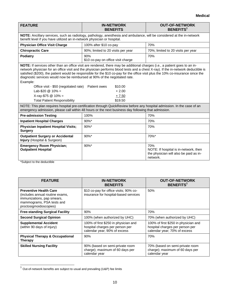| <b>FEATURE</b>                                                                                                                                                                                                                                                                                                                                                                                                                                                                                                                                                                                                                     | <b>IN-NETWORK</b><br><b>BENEFITS</b>                                                                                   | <b>OUT-OF-NETWORK</b><br><b>BENEFITS1</b>                                                          |  |
|------------------------------------------------------------------------------------------------------------------------------------------------------------------------------------------------------------------------------------------------------------------------------------------------------------------------------------------------------------------------------------------------------------------------------------------------------------------------------------------------------------------------------------------------------------------------------------------------------------------------------------|------------------------------------------------------------------------------------------------------------------------|----------------------------------------------------------------------------------------------------|--|
| benefit level if you have utilized an in-network physician or hospital.                                                                                                                                                                                                                                                                                                                                                                                                                                                                                                                                                            | NOTE: Ancillary services, such as radiology, pathology, anesthesia and ambulance, will be considered at the in-network |                                                                                                    |  |
| <b>Physician Office Visit Charge</b>                                                                                                                                                                                                                                                                                                                                                                                                                                                                                                                                                                                               | 100% after \$10 co-pay                                                                                                 | 70%                                                                                                |  |
| <b>Chiropractic Care</b>                                                                                                                                                                                                                                                                                                                                                                                                                                                                                                                                                                                                           | 90%; limited to 20 visits per year                                                                                     | 70%; limited to 20 visits per year                                                                 |  |
| Podiatry                                                                                                                                                                                                                                                                                                                                                                                                                                                                                                                                                                                                                           | 90%<br>\$10 co-pay on office visit charge                                                                              | 70%                                                                                                |  |
| NOTE: If services other than an office visit are rendered, there may be additional charges (i.e., a patient goes to an in-<br>network physician for an office visit and the physician performs blood tests and a chest X-ray). If the in-network deductible is<br>satisfied (\$200), the patient would be responsible for the \$10 co-pay for the office visit plus the 10% co-insurance since the<br>diagnostic services would now be reimbursed at 90% of the negotiated rate.<br>Example:<br>\$10.00<br>Office visit - \$50 (negotiated rate)<br>Patient owes<br>Lab-\$20 $@$ 10% =<br>$+2.00$<br>X-ray-\$75 @ 10% =<br>$+7.50$ |                                                                                                                        |                                                                                                    |  |
| \$19.50<br><b>Total Patient Responsibility</b><br>NOTE: This plan requires hospital pre-certification through QuickReview before any hospital admission. In the case of an<br>emergency admission, please call within 48 hours or the next business day following that admission.                                                                                                                                                                                                                                                                                                                                                  |                                                                                                                        |                                                                                                    |  |
| <b>Pre-admission Testing</b>                                                                                                                                                                                                                                                                                                                                                                                                                                                                                                                                                                                                       | 100%                                                                                                                   | 70%                                                                                                |  |
| <b>Inpatient Hospital Charges</b>                                                                                                                                                                                                                                                                                                                                                                                                                                                                                                                                                                                                  | $90\%$ *                                                                                                               | 70%                                                                                                |  |
| <b>Physician Inpatient Hospital Visits;</b><br><b>Surgery</b>                                                                                                                                                                                                                                                                                                                                                                                                                                                                                                                                                                      | $90\%$ *                                                                                                               | 70%                                                                                                |  |
| <b>Outpatient Surgery or Accidental</b><br><b>Injury</b> (Hospital & Surgeon)                                                                                                                                                                                                                                                                                                                                                                                                                                                                                                                                                      | $90\%$ *                                                                                                               | 70%*                                                                                               |  |
| <b>Emergency Room Physician;</b><br><b>Outpatient Hospital</b><br>.                                                                                                                                                                                                                                                                                                                                                                                                                                                                                                                                                                | $90\%$ *                                                                                                               | 70%<br>NOTE: If hospital is in-network, then<br>the physician will also be paid as in-<br>network. |  |

\*Subject to the deductible

l

| <b>FEATURE</b>                                                                                                                                        | <b>IN-NETWORK</b><br><b>BENEFITS</b>                                                                    | <b>OUT-OF-NETWORK</b><br><b>BENEFITS</b> <sup>1</sup>                                                   |  |
|-------------------------------------------------------------------------------------------------------------------------------------------------------|---------------------------------------------------------------------------------------------------------|---------------------------------------------------------------------------------------------------------|--|
| <b>Preventive Health Care</b><br>(includes annual routine exams,<br>immunizations, pap smears,<br>mammograms, PSA tests and<br>proctosigmoidoscopies) | \$10 co-pay for office visits; 90% co-<br>insurance for hospital-based services                         | 50%                                                                                                     |  |
| <b>Free-standing Surgical Facility</b>                                                                                                                | 90%                                                                                                     | 70%                                                                                                     |  |
| <b>Second Surgical Opinion</b>                                                                                                                        | 100% (when authorized by UHC)                                                                           | 70% (when authorized by UHC)                                                                            |  |
| <b>Supplemental Accident</b><br>(within 90 days of injury)                                                                                            | 100% of first \$250 in physician and<br>hospital charges per person per<br>calendar year; 90% of excess | 100% of first \$250 in physician and<br>hospital charges per person per<br>calendar year; 70% of excess |  |
| <b>Physical Therapy &amp; Occupational</b><br><b>Therapy</b>                                                                                          | 90%                                                                                                     | 70%                                                                                                     |  |
| <b>Skilled Nursing Facility</b>                                                                                                                       | 90% (based on semi-private room<br>charge); maximum of 60 days per<br>calendar year                     | 70% (based on semi-private room<br>charge); maximum of 60 days per<br>calendar year                     |  |

 $1$  Out-of-network benefits are subject to usual and prevailing (U&P) fee limits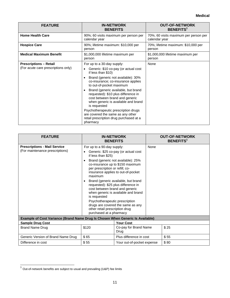| <b>FEATURE</b>                                                       | <b>IN-NETWORK</b><br><b>BENEFITS</b>                                                                                                                                                                                                                                                                                                                                                                                                                                                                        | <b>OUT-OF-NETWORK</b><br><b>BENEFITS</b> <sup>1</sup>  |
|----------------------------------------------------------------------|-------------------------------------------------------------------------------------------------------------------------------------------------------------------------------------------------------------------------------------------------------------------------------------------------------------------------------------------------------------------------------------------------------------------------------------------------------------------------------------------------------------|--------------------------------------------------------|
| <b>Home Health Care</b>                                              | 90%; 60 visits maximum per person per<br>calendar year                                                                                                                                                                                                                                                                                                                                                                                                                                                      | 70%; 60 visits maximum per person per<br>calendar year |
| <b>Hospice Care</b>                                                  | 90%; lifetime maximum: \$10,000 per<br>person                                                                                                                                                                                                                                                                                                                                                                                                                                                               | 70%; lifetime maximum: \$10,000 per<br>person          |
| <b>Medical Maximum Benefit</b>                                       | \$1,000,000 lifetime maximum per<br>person                                                                                                                                                                                                                                                                                                                                                                                                                                                                  | \$1,000,000 lifetime maximum per<br>person             |
| <b>Prescriptions - Retail</b><br>(For acute care prescriptions only) | For up to a 30-day supply:<br>Generic: \$10 co-pay (or actual cost<br>if less than \$10)<br>Brand (generic not available): 30%<br>co-insurance; co-insurance applies<br>to out-of-pocket maximum<br>Brand (generic available, but brand<br>requested): \$10 plus difference in<br>cost between brand and generic<br>when generic is available and brand<br>is requested<br>Psychotherapeutic prescription drugs<br>are covered the same as any other<br>retail prescription drug purchased at a<br>pharmacy | None                                                   |

| <b>FEATURE</b>                                                                        | <b>IN-NETWORK</b><br><b>BENEFITS</b>                                                                                                                                                                                                                                                                                                                                                                                                                                                                                                                                           |                               |      | <b>OUT-OF-NETWORK</b><br><b>BENEFITS<sup>1</sup></b> |
|---------------------------------------------------------------------------------------|--------------------------------------------------------------------------------------------------------------------------------------------------------------------------------------------------------------------------------------------------------------------------------------------------------------------------------------------------------------------------------------------------------------------------------------------------------------------------------------------------------------------------------------------------------------------------------|-------------------------------|------|------------------------------------------------------|
| <b>Prescriptions - Mail Service</b><br>(For maintenance prescriptions)                | For up to a 90-day supply:<br>Generic: \$25 co-pay (or actual cost<br>if less than \$25)<br>Brand (generic not available): 25%<br>$\bullet$<br>co-insurance up to \$150 maximum<br>per prescription or refill; co-<br>insurance applies to out-of-pocket<br>maximum<br>Brand (generic available, but brand<br>requested): \$25 plus difference in<br>cost between brand and generic<br>when generic is available and brand<br>is requested<br>Psychotherapeutic prescription<br>drugs are covered the same as any<br>other retail prescription drug<br>purchased at a pharmacy |                               | None |                                                      |
|                                                                                       |                                                                                                                                                                                                                                                                                                                                                                                                                                                                                                                                                                                |                               |      |                                                      |
| <b>Example of Cost Variance (Brand Name Drug Is Chosen When Generic Is Available)</b> |                                                                                                                                                                                                                                                                                                                                                                                                                                                                                                                                                                                |                               |      |                                                      |
| <b>Sample Drug Cost</b>                                                               | <b>Your Cost</b>                                                                                                                                                                                                                                                                                                                                                                                                                                                                                                                                                               |                               |      |                                                      |
| Brand Name Drug                                                                       | \$120                                                                                                                                                                                                                                                                                                                                                                                                                                                                                                                                                                          | Co-pay for Brand Name<br>Drug |      | \$25                                                 |
| Generic Version of Brand Name Drug                                                    | \$65                                                                                                                                                                                                                                                                                                                                                                                                                                                                                                                                                                           | Plus difference in cost       |      | \$55                                                 |
| Difference in cost                                                                    | \$55                                                                                                                                                                                                                                                                                                                                                                                                                                                                                                                                                                           | Your out-of-pocket expense    |      | \$80                                                 |

l

 $1$  Out-of-network benefits are subject to usual and prevailing (U&P) fee limits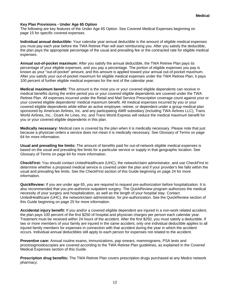#### **Key Plan Provisions - Under Age 65 Option**

The following are key features of the Under Age 65 Option. See Covered Medical Expenses beginning on page 15 for specific covered expenses.

**Individual annual deductible:** Your calendar year annual deductible is the amount of eligible medical expenses you must pay each year before the TWA Retiree Plan will start reimbursing you. After you satisfy the deductible, the plan pays the appropriate percentage of the usual and prevailing fee or the contracted rate for eligible medical expenses.

**Annual out-of-pocket maximum:** After you satisfy the annual deductible, the TWA Retiree Plan pays its percentage of your eligible expenses, and you pay a percentage. The portion of eligible expenses you pay is known as your "out-of-pocket" amount, and this amount is applied toward your annual out-of-pocket maximum. After you satisfy your out-of-pocket maximum for eligible medical expenses under the TWA Retiree Plan, it pays 100 percent of further eligible medical expenses for the rest of the calendar year.

**Medical maximum benefit:** This amount is the most you or your covered eligible dependents can receive in medical benefits during the entire period you or your covered eligible dependents are covered under the TWA Retiree Plan. All expenses incurred under the Retail and Mail Service Prescription coverage count against your or your covered eligible dependents' medical maximum benefit. All medical expenses incurred by you or your covered eligible dependents while either an active employee, retiree, or dependent under a group medical plan sponsored by American Airlines, Inc. and any participating AMR subsidiary (including TWA Airlines LLC), Trans World Airlines, Inc., Ozark Air Lines, Inc. and Trans World Express will reduce the medical maximum benefit for you or your covered eligible dependents in this plan.

**Medically necessary:** Medical care is covered by the plan when it is medically necessary. Please note that just because a physician orders a service does not mean it is medically necessary. See Glossary of Terms on page 64 for more information.

**Usual and prevailing fee limits:** The amount of benefits paid for out-of-network eligible medical expenses is based on the usual and prevailing fee limits for a particular service or supply in that geographic location. See Glossary of Terms on page 64 for more information.

**CheckFirst:** You should contact UnitedHealthcare (UHC), the network/claim administrator, and use CheckFirst to determine whether a proposed medical service is covered under the plan and if your provider's fee falls within the usual and prevailing fee limits. See the CheckFirst section of this Guide beginning on page 24 for more information.

**QuickReview:** If you are under age 65, you are required to request pre-authorization before hospitalization. It is also recommended that you pre-authorize outpatient surgery. The QuickReview program authorizes the medical necessity of your surgery and hospitalization, as well as the length of your hospital stay. Contact UnitedHealthcare (UHC), the network/claim administrator, for pre-authorization. See the QuickReview section of this Guide beginning on page 25 for more information.

**Accidental injury benefit:** If you and/or a covered eligible dependent are injured in a non-work related accident, the plan pays 100 percent of the first \$250 of hospital and physician charges per person each calendar year. Treatment must be received within 24 hours of the accident. After the first \$250, you must satisfy a deductible. If two or more members of your family are injured in the same accident, only one individual deductible applies to all injured family members for expenses in connection with that accident during the year in which the accident occurs. Individual annual deductibles still apply to each person for expenses not related to the accident.

**Preventive care:** Annual routine exams, immunizations, pap smears, mammograms, PSA tests and proctosigmoidoscopies are covered according to the TWA Retiree Plan guidelines, as explained in the Covered Medical Expenses section of this Guide.

**Prescription drug benefits:** The TWA Retiree Plan covers prescription drugs purchased at any Medco network pharmacy.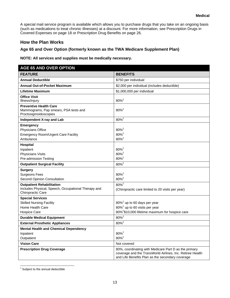A special mail service program is available which allows you to purchase drugs that you take on an ongoing basis (such as medications to treat chronic illnesses) at a discount. For more information, see Prescription Drugs in Covered Expenses on page 18 or Prescription Drug Benefits on page 26.

## **How the Plan Works**

## **Age 65 and Over Option (formerly known as the TWA Medicare Supplement Plan)**

**NOTE: All services and supplies must be medically necessary.** 

| <b>AGE 65 AND OVER OPTION</b>                                                                                |                                                                                                                                                                        |
|--------------------------------------------------------------------------------------------------------------|------------------------------------------------------------------------------------------------------------------------------------------------------------------------|
| <b>FEATURE</b>                                                                                               | <b>BENEFITS</b>                                                                                                                                                        |
| <b>Annual Deductible</b>                                                                                     | \$750 per individual                                                                                                                                                   |
| <b>Annual Out-of-Pocket Maximum</b>                                                                          | \$2,000 per individual (includes deductible)                                                                                                                           |
| <b>Lifetime Maximum</b>                                                                                      | \$1,000,000 per individual                                                                                                                                             |
| <b>Office Visit</b><br>Illness/Injury                                                                        | 80%1                                                                                                                                                                   |
| <b>Preventive Health Care</b><br>Mammograms, Pap smears, PSA tests and<br>Proctosigmoidoscopies              | $80\%$ <sup>1</sup>                                                                                                                                                    |
| Independent X-ray and Lab                                                                                    | 80%1                                                                                                                                                                   |
| <b>Emergency</b><br>Physicians Office<br><b>Emergency Room/Urgent Care Facility</b><br>Ambulance             | $80\%$ <sup>1</sup><br>80%1<br>80%1                                                                                                                                    |
| <b>Hospital</b>                                                                                              |                                                                                                                                                                        |
| Inpatient                                                                                                    | $80\%$ <sup>1</sup>                                                                                                                                                    |
| Physicians Visits                                                                                            | 80%1                                                                                                                                                                   |
| <b>Pre-admission Testing</b>                                                                                 | 80%                                                                                                                                                                    |
| <b>Outpatient Surgical Facility</b>                                                                          | $80\%$ <sup>1</sup>                                                                                                                                                    |
| <b>Surgery</b>                                                                                               |                                                                                                                                                                        |
| Surgeons Fees                                                                                                | $80\%$ <sup>1</sup>                                                                                                                                                    |
| Second Opinion Consultation                                                                                  | 80%1                                                                                                                                                                   |
| <b>Outpatient Rehabilitation</b><br>Includes Physical, Speech, Occupational Therapy and<br>Chiropractic Care | $80\%$ <sup>1</sup><br>(Chiropractic care limited to 20 visits per year)                                                                                               |
| <b>Special Services</b>                                                                                      |                                                                                                                                                                        |
| <b>Skilled Nursing Facility</b>                                                                              | $80\%$ <sup>1</sup> up to 60 days per year                                                                                                                             |
| Home Health Care                                                                                             | 80% <sup>1</sup> up to 60 visits per year                                                                                                                              |
| <b>Hospice Care</b>                                                                                          | 80% <sup>1</sup> \$10,000 lifetime maximum for hospice care                                                                                                            |
| <b>Durable Medical Equipment</b>                                                                             | 80%1                                                                                                                                                                   |
| <b>External Prosthetic Appliances</b>                                                                        | 80%1                                                                                                                                                                   |
| <b>Mental Health and Chemical Dependency</b>                                                                 |                                                                                                                                                                        |
| Inpatient                                                                                                    | $80\%$ <sup>1</sup>                                                                                                                                                    |
| Outpatient                                                                                                   | 80%                                                                                                                                                                    |
| <b>Vision Care</b>                                                                                           | Not covered                                                                                                                                                            |
| <b>Prescription Drug Coverage</b>                                                                            | 80%, coordinating with Medicare Part D as the primary<br>coverage and the TransWorld Airlines, Inc. Retiree Health<br>and Life Benefits Plan as the secondary coverage |

<sup>&</sup>lt;sup>1</sup> Subject to the annual deductible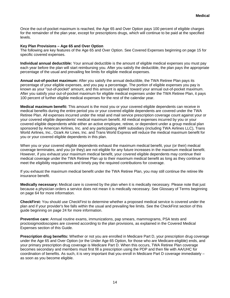Once the out-of-pocket maximum is reached, the Age 65 and Over Option pays 100 percent of eligible charges for the remainder of the plan year, except for prescriptions drugs, which will continue to be paid at the specified levels.

#### **Key Plan Provisions – Age 65 and Over Option**

The following are key features of the Age 65 and Over Option. See Covered Expenses beginning on page 15 for specific covered expenses.

**Individual annual deductible:** Your annual deductible is the amount of eligible medical expenses you must pay each year before the plan will start reimbursing you. After you satisfy the deductible, the plan pays the appropriate percentage of the usual and prevailing fee limits for eligible medical expenses.

**Annual out-of-pocket maximum:** After you satisfy the annual deductible, the TWA Retiree Plan pays its percentage of your eligible expenses, and you pay a percentage. The portion of eligible expenses you pay is known as your "out-of-pocket" amount, and this amount is applied toward your annual out-of-pocket maximum. After you satisfy your out-of-pocket maximum for eligible medical expenses under the TWA Retiree Plan, it pays 100 percent of further eligible medical expenses for the rest of the calendar year.

**Medical maximum benefit:** This amount is the most you or your covered eligible dependents can receive in medical benefits during the entire period you or your covered eligible dependents are covered under the TWA Retiree Plan. All expenses incurred under the retail and mail service prescription coverage count against your or your covered eligible dependents' medical maximum benefit. All medical expenses incurred by you or your covered eligible dependents while either an active employee, retiree, or dependent under a group medical plan sponsored by American Airlines, Inc. and any participating AMR subsidiary (including TWA Airlines LLC), Trans World Airlines, Inc., Ozark Air Lines, Inc. and Trans World Express will reduce the medical maximum benefit for you or your covered eligible dependents in this plan.

When you or your covered eligible dependents exhaust the maximum medical benefit, your (or their) medical coverage terminates, and you (or they) are not eligible for any future increases in the maximum medical benefit. However, if you exhaust your maximum medical benefit, your covered eligible dependents may continue their medical coverage under the TWA Retiree Plan up to their maximum medical benefit as long as they continue to meet the eligibility requirements and timely pay the required contributions for coverage.

If you exhaust the maximum medical benefit under the TWA Retiree Plan, you may still continue the retiree life insurance benefit.

**Medically necessary:** Medical care is covered by the plan when it is medically necessary. Please note that just because a physician orders a service does not mean it is medically necessary. See Glossary of Terms beginning on page 64 for more information.

**CheckFirst:** You should use CheckFirst to determine whether a proposed medical service is covered under the plan and if your provider's fee falls within the usual and prevailing fee limits. See the CheckFirst section of this guide beginning on page 24 for more information.

**Preventive care:** Annual routine exams, immunizations, pap smears, mammograms, PSA tests and proctosigmoidoscopies are covered according to the plan provisions, as explained in the Covered Medical Expenses section of this Guide.

**Prescription drug benefits:** Whether or not you are enrolled in Medicare Part D, your prescription drug coverage under the Age 65 and Over Option (or the Under Age 65 Option, for those who are Medicare-eligible) ends, and your primary prescription drug coverage is Medicare Part D. When this occurs, TWA Retiree Plan coverage becomes secondary and members must first fill a prescription using the PDP and then file with AA/UHC for coordination of benefits. As such, it is very important that you enroll in Medicare Part D coverage immediately – as soon as you become eligible.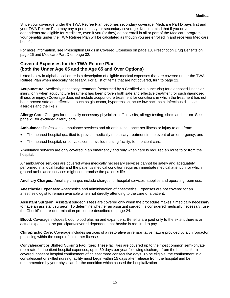Since your coverage under the TWA Retiree Plan becomes secondary coverage, Medicare Part D pays first and your TWA Retiree Plan may pay a portion as your secondary coverage. Keep in mind that if you or your dependents are eligible for Medicare, even if you (or they) do not enroll in all or part of the Medicare program, your benefits under the TWA Retiree Plan will be calculated as though you are enrolled in and receiving Medicare benefits.

For more information, see Prescription Drugs in Covered Expenses on page 18, Prescription Drug Benefits on page 26 and Medicare Part D on page 32.

# **Covered Expenses for the TWA Retiree Plan (both the Under Age 65 and the Age 65 and Over Options)**

Listed below in alphabetical order is a description of eligible medical expenses that are covered under the TWA Retiree Plan when medically necessary. For a list of items that are not covered, turn to page 21.

**Acupuncture:** Medically necessary treatment (performed by a Certified Acupuncturist) for diagnosed illness or injury, only when acupuncture treatment has been proven both safe and effective treatment for such diagnosed illness or injury. (Coverage does not include acupuncture treatment for conditions in which the treatment has not been proven safe and effective – such as glaucoma, hypertension, acute low back pain, infectious disease, allergies and the like.)

**Allergy Care:** Charges for medically necessary physician's office visits, allergy testing, shots and serum. See page 21 for excluded allergy care.

**Ambulance:** Professional ambulance services and air ambulance once per illness or injury to and from:

- The nearest hospital qualified to provide medically necessary treatment in the event of an emergency, and
- The nearest hospital, or convalescent or skilled nursing facility, for inpatient care.

Ambulance services are only covered in an emergency and only when care is required en route to or from the hospital.

Air ambulance services are covered when medically necessary services cannot be safely and adequately performed in a local facility and the patient's medical condition requires immediate medical attention for which ground ambulance services might compromise the patient's life.

**Ancillary Charges:** Ancillary charges include charges for hospital services, supplies and operating room use.

**Anesthesia Expenses:** Anesthetics and administration of anesthetics. Expenses are not covered for an anesthesiologist to remain available when not directly attending to the care of a patient.

**Assistant Surgeon:** Assistant surgeon's fees are covered only when the procedure makes it medically necessary to have an assistant surgeon. To determine whether an assistant surgeon is considered medically necessary, use the CheckFirst pre-determination procedure described on page 24.

**Blood:** Coverage includes blood, blood plasma and expanders. Benefits are paid only to the extent there is an actual expense to the participant/covered dependent that he/she is required to pay.

**Chiropractic Care:** Coverage includes services of a restorative or rehabilitative nature provided by a chiropractor practicing within the scope of his or her license.

**Convalescent or Skilled Nursing Facilities:** These facilities are covered up to the most common semi-private room rate for inpatient hospital expenses, up to 60 days per year following discharge from the hospital for a covered inpatient hospital confinement of at least three consecutive days. To be eligible, the confinement in a convalescent or skilled nursing facility must begin within 15 days after release from the hospital and be recommended by your physician for the condition which caused the hospitalization.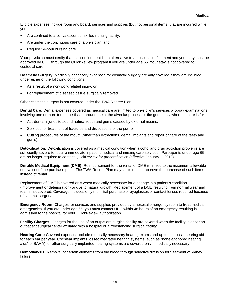Eligible expenses include room and board, services and supplies (but not personal items) that are incurred while you:

- Are confined to a convalescent or skilled nursing facility,
- Are under the continuous care of a physician, and
- Require 24-hour nursing care.

Your physician must certify that this confinement is an alternative to a hospital confinement and your stay must be approved by UHC through the QuickReview program if you are under age 65. Your stay is not covered for custodial care.

**Cosmetic Surgery:** Medically necessary expenses for cosmetic surgery are only covered if they are incurred under either of the following conditions:

- As a result of a non-work related injury, or
- For replacement of diseased tissue surgically removed.

Other cosmetic surgery is not covered under the TWA Retiree Plan.

**Dental Care:** Dental expenses covered as medical care are limited to physician's services or X-ray examinations involving one or more teeth, the tissue around them, the alveolar process or the gums only when the care is for:

- Accidental injuries to sound natural teeth and gums caused by external means,
- Services for treatment of fractures and dislocations of the jaw, or
- Cutting procedures of the mouth (other than extractions, dental implants and repair or care of the teeth and gums).

**Detoxification:** Detoxification is covered as a medical condition when alcohol and drug addiction problems are sufficiently severe to require immediate inpatient medical and nursing care services. Participants under age 65 are no longer required to contact QuickReview for precertification (effective January 1, 2010).

**Durable Medical Equipment (DME):** Reimbursement for the rental of DME is limited to the maximum allowable equivalent of the purchase price. The TWA Retiree Plan may, at its option, approve the purchase of such items instead of rental.

Replacement of DME is covered only when medically necessary for a change in a patient's condition (improvement or deterioration) or due to natural growth. Replacement of a DME resulting from normal wear and tear is not covered. Coverage includes only the initial purchase of eyeglasses or contact lenses required because of cataract surgery.

**Emergency Room:** Charges for services and supplies provided by a hospital emergency room to treat medical emergencies. If you are under age 65, you must contact UHC within 48 hours of an emergency resulting in admission to the hospital for your QuickReview authorization.

**Facility Charges:** Charges for the use of an outpatient surgical facility are covered when the facility is either an outpatient surgical center affiliated with a hospital or a freestanding surgical facility.

**Hearing Care:** Covered expenses include medically necessary hearing exams and up to one basic hearing aid for each ear per year. Cochlear implants, osseointegrated hearing systems (such as "bone-anchored hearing aids" or BAHA), or other surgically implanted hearing systems are covered only if medically necessary.

**Hemodialysis:** Removal of certain elements from the blood through selective diffusion for treatment of kidney failure.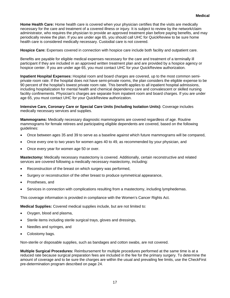**Home Health Care:** Home health care is covered when your physician certifies that the visits are medically necessary for the care and treatment of a covered illness or injury. It is subject to review by the network/claim administrator, who requires the physician to provide an approved treatment plan before paying benefits, and may periodically review the plan. If you are under age 65, you should call UHC for QuickReview to be sure home health care is considered medically necessary. Custodial care is not covered.

**Hospice Care:** Expenses covered in connection with hospice care include both facility and outpatient care.

Benefits are payable for eligible medical expenses necessary for the care and treatment of a terminally ill participant if they are included in an approved written treatment plan and are provided by a hospice agency or hospice center. If you are under age 65, you must contact UHC for your QuickReview authorization.

**Inpatient Hospital Expenses:** Hospital room and board charges are covered, up to the most common semiprivate room rate. If the hospital does not have semi-private rooms, the plan considers the eligible expense to be 90 percent of the hospital's lowest private room rate. This benefit applies to all inpatient hospital admissions, including hospitalization for mental health and chemical dependency care and convalescent or skilled nursing facility confinements. Physician's charges are separate from inpatient room and board charges. If you are under age 65, you must contact UHC for your QuickReview authorization.

**Intensive Care, Coronary Care or Special Care Units (including Isolation Units):** Coverage includes medically necessary services and supplies.

**Mammograms:** Medically necessary diagnostic mammograms are covered regardless of age. Routine mammograms for female retirees and participating eligible dependents are covered, based on the following guidelines:

- Once between ages 35 and 39 to serve as a baseline against which future mammograms will be compared,
- Once every one to two years for women ages 40 to 49, as recommended by your physician, and
- Once every year for women age 50 or over.

**Mastectomy:** Medically necessary mastectomy is covered. Additionally, certain reconstructive and related services are covered following a medically necessary mastectomy, including:

- Reconstruction of the breast on which surgery was performed,
- Surgery or reconstruction of the other breast to produce symmetrical appearance,
- Prostheses, and
- Services in connection with complications resulting from a mastectomy, including lymphedemas.

This coverage information is provided in compliance with the Women's Cancer Rights Act.

**Medical Supplies:** Covered medical supplies include, but are not limited to:

- Oxygen, blood and plasma,
- Sterile items including sterile surgical trays, gloves and dressings,
- Needles and syringes, and
- Colostomy bags.

Non-sterile or disposable supplies, such as bandages and cotton swabs, are not covered.

**Multiple Surgical Procedures:** Reimbursement for multiple procedures performed at the same time is at a reduced rate because surgical preparation fees are included in the fee for the primary surgery. To determine the amount of coverage and to be sure the charges are within the usual and prevailing fee limits, use the CheckFirst pre-determination program described on page 24.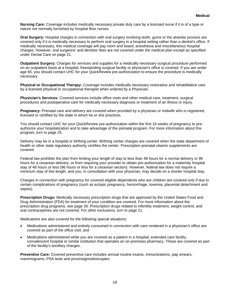**Nursing Care:** Coverage includes medically necessary private duty care by a licensed nurse if it is of a type or nature not normally furnished by hospital floor nurses.

**Oral Surgery:** Hospital charges in connection with oral surgery involving teeth, gums or the alveolar process are covered only if it is medically necessary to perform oral surgery in a hospital setting rather than a dentist's office. If medically necessary, this medical coverage will pay room and board, anesthesia and miscellaneous hospital charges. However, oral surgeons' and dentists' fees are not covered under the medical plan except as specified under Dental Care on page 21.

**Outpatient Surgery:** Charges for services and supplies for a medically necessary surgical procedure performed on an outpatient basis at a hospital, freestanding surgical facility or physician's office is covered. If you are under age 65, you should contact UHC for your QuickReview pre-authorization to ensure the procedure is medically necessary.

**Physical or Occupational Therapy:** Coverage includes medically necessary restorative and rehabilitative care by a licensed physical or occupational therapist when ordered by a Physician.

**Physician's Services:** Covered services include office visits and other medical care, treatment, surgical procedures and postoperative care for medically necessary diagnosis or treatment of an illness or injury.

**Pregnancy:** Prenatal care and delivery are covered when provided by a physician or midwife who is registered, licensed or certified by the state in which he or she practices.

You should contact UHC for your QuickReview pre-authorization within the first 16 weeks of pregnancy to preauthorize your hospitalization and to take advantage of the prenatal program. For more information about this program, turn to page 25.

Delivery may be in a hospital or birthing center. Birthing center charges are covered when the state department of health or other state regulatory authority certifies the center. Prescription prenatal vitamin supplements are covered.

Federal law prohibits the plan from limiting your length of stay to less than 48 hours for a normal delivery or 96 hours for a cesarean delivery, or from requiring your provider to obtain pre-authorization for a maternity hospital stay of 48 hours or less (96 hours or less for a cesarean section). However, federal law does not require a minimum stay of this length, and you, in consultation with your physician, may decide on a shorter hospital stay.

Charges in connection with pregnancy for covered eligible dependents who are children are covered only if due to certain complications of pregnancy (such as ectopic pregnancy, hemorrhage, toxemia, placental detachment and sepsis).

**Prescription Drugs:** Medically necessary prescription drugs that are approved by the United States Food and Drug Administration (FDA) for treatment of your condition are covered. For more information about the prescription drug programs, see page 26. Prescription drugs related to infertility treatment, weight control, and oral contraceptives are not covered. For other exclusions, turn to page 21.

Medications are also covered for the following special situations:

- Medications administered and entirely consumed in connection with care rendered in a physician's office are covered as part of the office visit, and
- Medications administered while you are covered as a patient in a hospital, extended care facility, convalescent hospital or similar institution that operates an on-premises pharmacy. These are covered as part of the facility's ancillary charges.

**Preventive Care:** Covered preventive care includes annual routine exams, immunizations, pap smears, mammograms, PSA tests and proctosigmoidoscopies.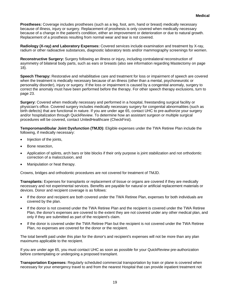**Prostheses:** Coverage includes prostheses (such as a leg, foot, arm, hand or breast) medically necessary because of illness, injury or surgery. Replacement of prosthesis is only covered when medically necessary because of a change in the patient's condition, either an improvement or deterioration or due to natural growth. Replacement of a prosthesis resulting from normal wear and tear is not covered.

**Radiology (X-ray) and Laboratory Expenses:** Covered services include examination and treatment by X-ray, radium or other radioactive substances, diagnostic laboratory tests and/or mammography screenings for women.

**Reconstructive Surgery:** Surgery following an illness or injury, including contralateral reconstruction of asymmetry of bilateral body parts, such as ears or breasts (also see information regarding Mastectomy on page 18).

**Speech Therapy:** Restorative and rehabilitative care and treatment for loss or impairment of speech are covered when the treatment is medically necessary because of an illness (other than a mental, psychoneurotic or personality disorder), injury or surgery. If the loss or impairment is caused by a congenital anomaly, surgery to correct the anomaly must have been performed before the therapy. For other speech therapy exclusions, turn to page 23.

**Surgery:** Covered when medically necessary and performed in a hospital, freestanding surgical facility or physician's office. Covered surgery includes medically necessary surgery for congenital abnormalities (such as birth defects) that are functional in nature. If you are under age 65, contact UHC to pre-authorize your surgery and/or hospitalization through QuickReview. To determine how an assistant surgeon or multiple surgical procedures will be covered, contact UnitedHealthcare (CheckFirst).

**Temporomandibular Joint Dysfunction (TMJD):** Eligible expenses under the TWA Retiree Plan include the following, if medically necessary:

- Injection of the joints,
- Bone resection,
- Application of splints, arch bars or bite blocks if their only purpose is joint stabilization and not orthodontic correction of a malocclusion, and
- Manipulation or heat therapy.

Crowns, bridges and orthodontic procedures are not covered for treatment of TMJD.

**Transplants:** Expenses for transplants or replacement of tissue or organs are covered if they are medically necessary and not experimental services. Benefits are payable for natural or artificial replacement materials or devices. Donor and recipient coverage is as follows:

- If the donor and recipient are both covered under the TWA Retiree Plan, expenses for both individuals are covered by the plan.
- If the donor is not covered under the TWA Retiree Plan and the recipient is covered under the TWA Retiree Plan, the donor's expenses are covered to the extent they are not covered under any other medical plan, and only if they are submitted as part of the recipient's claim.
- If the donor is covered under the TWA Retiree Plan but the recipient is not covered under the TWA Retiree Plan, no expenses are covered for the donor or the recipient.

The total benefit paid under this plan for the donor's and recipient's expenses will not be more than any plan maximums applicable to the recipient.

If you are under age 65, you must contact UHC as soon as possible for your QuickReview pre-authorization before contemplating or undergoing a proposed transplant.

**Transportation Expenses:** Regularly scheduled commercial transportation by train or plane is covered when necessary for your emergency travel to and from the nearest Hospital that can provide inpatient treatment not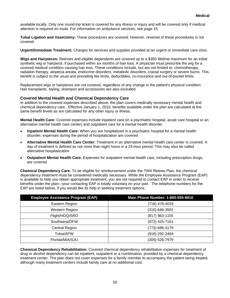available locally. Only one round-trip ticket is covered for any illness or injury and will be covered only if medical attention is required en route. For information on ambulance services, see page 15.

**Tubal Ligation and Vasectomy:** These procedures are covered; however, reversal of these procedures is not covered.

**Urgent/Immediate Treatment:** Charges for services and supplies provided at an urgent or immediate care clinic.

**Wigs and Hairpieces:** Retirees and eligible dependents are covered up to a \$350 lifetime maximum for an initial synthetic wig or hairpiece, if purchased within six months of hair loss. A physician must prescribe the wig for a covered medical condition causing hair loss. These conditions include, but are not limited to: chemotherapy, radiation therapy, alopecia areata, endocrine disorders, metabolic disorders, cranial surgery or severe burns. This benefit is subject to the usual and prevailing fee limits, deductibles, co-insurance and out-of-pocket limits.

Replacement wigs or hairpieces are not covered, regardless of any change in the patient's physical condition. Hair transplants, styling, shampoo and accessories are also excluded.

#### **Covered Mental Health and Chemical Dependency Care**

In addition to the covered expenses described above, the plan covers medically necessary mental health and chemical dependency care. Effective January 1, 2010, benefits available under the plan are calculated at the same benefit levels as are calculated for any other injury or illness.

**Mental Health Care:** Covered expenses include inpatient care (in a psychiatric hospital, acute care hospital or an alternative mental health care center) and outpatient care for a mental health disorder.

- **Inpatient Mental Health Care:** When you are hospitalized in a psychiatric hospital for a mental health disorder, expenses during the period of hospitalization are covered
- **Alternative Mental Health Care Center:** Treatment in an alternative mental health care center is covered. A day of treatment is defined as not more than eight hours in a 24-hour period. This may also be called alternative hospitalization
- **Outpatient Mental Health Care:** Expenses for outpatient mental health care, including prescription drugs, are covered

**Chemical Dependency Care:** To be eligible for reimbursement under the TWA Retiree Plan, the chemical dependency treatment must be considered medically necessary. While the Employee Assistance Program (EAP) is available to help you obtain appropriate treatment, you are not required to contact EAP in order to receive benefits under the plan—your contacting EAP is totally voluntary on your part. The telephone numbers for the EAP are listed below, if you would like its help in seeking treatment options.

| <b>Employee Assistance Program (EAP)</b> | <b>Main Phone Number: 1-800-555-8810</b> |
|------------------------------------------|------------------------------------------|
| Eastern Region                           | (718) 476-4033                           |
| Western Region                           | (310) 646-3501                           |
| Flight/HDQ/SRO                           | (817) 963-1155                           |
| Southwest/DFW                            | (972) 425-7161                           |
| <b>Central Region</b>                    | (773) 686-4179                           |
| Tulsa/AFW                                | (918) 292-2464                           |
| Florida/MIA/SJU                          | (305) 526-7979                           |

**Chemical Dependency Rehabilitation:** Covered chemical dependency rehabilitation expenses for treatment of drug or alcohol dependency can be inpatient, outpatient or a combination, provided by a chemical dependency treatment center. The plan does not cover expenses for a family member to accompany the patient being treated, although many treatment centers include family care at no additional cost.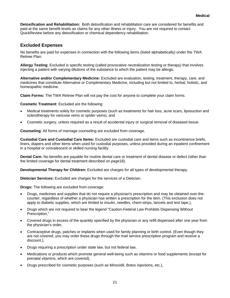**Detoxification and Rehabilitation:** Both detoxification and rehabilitation care are considered for benefits and paid at the same benefit levels as claims for any other illness or injury. You are not required to contact QuickReview before any detoxification or chemical dependency rehabilitation.

# **Excluded Expenses**

No benefits are paid for expenses in connection with the following items (listed alphabetically) under the TWA Retiree Plan:

**Allergy Testing**: Excluded is specific testing (called provocative neutralization testing or therapy) that involves injecting a patient with varying dilutions of the substance to which the patient may be allergic.

**Alternative and/or Complementary Medicine:** Excluded are evaluation, testing, treatment, therapy, care, and medicines that constitute Alternative or Complimentary Medicine, including but not limited to, herbal, holistic, and homeopathic medicine.

**Claim Forms:** The TWA Retiree Plan will not pay the cost for anyone to complete your claim forms.

**Cosmetic Treatment**: Excluded are the following:

- Medical treatments solely for cosmetic purposes (such as treatments for hair loss, acne scars, liposuction and sclerotherapy for varicose veins or spider veins), and
- Cosmetic surgery, unless required as a result of accidental injury or surgical removal of diseased tissue.

**Counseling**: All forms of marriage counseling are excluded from coverage.

**Custodial Care and Custodial Care Items:** Excluded are custodial care and items such as incontinence briefs, liners, diapers and other items when used for custodial purposes, unless provided during an inpatient confinement in a hospital or convalescent or skilled nursing facility.

**Dental Care:** No benefits are payable for routine dental care or treatment of dental disease or defect (other than the limited coverage for dental treatment described on page18).

**Developmental Therapy for Children:** Excluded are charges for all types of developmental therapy.

**Dietician Services:** Excluded are charges for the services of a Dietician.

**Drugs:** The following are excluded from coverage:

- Drugs, medicines and supplies that do not require a physician's prescription and may be obtained over-thecounter, regardless of whether a physician has written a prescription for the item. (This exclusion does not apply to diabetic supplies, which are limited to insulin, needles, chem-strips, lancets and test tape.),
- Drugs which are not required to bear the legend "Caution-Federal Law Prohibits Dispensing Without Prescription,"
- Covered drugs in excess of the quantity specified by the physician or any refill dispensed after one year from the physician's order,
- Contraceptive drugs, patches or implants when used for family planning or birth control. (Even though they are not covered, you may order these drugs through the mail service prescription program and receive a discount.),
- Drugs requiring a prescription under state law, but not federal law,
- Medications or products which promote general well-being such as vitamins or food supplements (except for prenatal vitamins, which are covered),
- Drugs prescribed for cosmetic purposes (such as Minoxidil, Botox injections, etc.),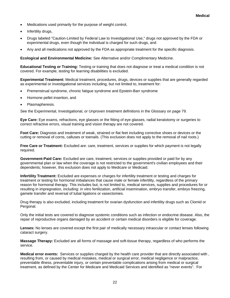- Medications used primarily for the purpose of weight control,
- Infertility drugs,
- Drugs labeled "Caution-Limited by Federal Law to Investigational Use," drugs not approved by the FDA or experimental drugs, even though the individual is charged for such drugs, and
- Any and all medications not approved by the FDA as appropriate treatment for the specific diagnosis.

**Ecological and Environmental Medicine:** See Alternative and/or Complimentary Medicine.

**Educational Testing or Training:** Testing or training that does not diagnose or treat a medical condition is not covered. For example, testing for learning disabilities is excluded.

**Experimental Treatment:** Medical treatment, procedures, drugs, devices or supplies that are generally regarded as experimental or investigational services including, but not limited to, treatment for:

- Premenstrual syndrome, chronic fatigue syndrome and Epstein-Barr syndrome
- Hormone pellet insertion, and
- Plasmapheresis.

See the Experimental, Investigational, or Unproven treatment definitions in the Glossary on page 79.

**Eye Care:** Eye exams, refractions, eye glasses or the fitting of eye glasses, radial keratotomy or surgeries to correct refractive errors, visual training and vision therapy are not covered.

**Foot Care:** Diagnosis and treatment of weak, strained or flat feet including corrective shoes or devices or the cutting or removal of corns, calluses or toenails. (This exclusion does not apply to the removal of nail roots.)

**Free Care or Treatment:** Excluded are: care, treatment, services or supplies for which payment is not legally required.

**Government-Paid Care:** Excluded are care, treatment, services or supplies provided or paid for by any governmental plan or law when the coverage is not restricted to the government's civilian employees and their dependents; however, this exclusion does not apply to Medicare or Medicaid.

**Infertility Treatment:** Excluded are expenses or charges for infertility treatment or testing and charges for treatment or testing for hormonal imbalances that cause male or female infertility, regardless of the primary reason for hormonal therapy. This includes but, is not limited to, medical services, supplies and procedures for or resulting in impregnation, including: in vitro fertilization, artificial insemination, embryo transfer, embryo freezing, gamete transfer and reversal of tubal ligations or vasectomies.

Drug therapy is also excluded, including treatment for ovarian dysfunction and infertility drugs such as Clomid or Pergonal.

Only the initial tests are covered to diagnose systemic conditions such as infection or endocrine disease. Also, the repair of reproductive organs damaged by an accident or certain medical disorders is eligible for coverage.

**Lenses:** No lenses are covered except the first pair of medically necessary intraocular or contact lenses following cataract surgery.

**Massage Therapy:** Excluded are all forms of massage and soft-tissue therapy, regardless of who performs the service.

**Medical error events:** Services or supplies charged by the health care provider that are directly associated with , resulting from, or caused by medical mistakes, medical or surgical error, medical negligence or malpractice, preventable illness, preventable injury, or certain preventable complications arising from medical or surgical treatment, as defined by the Center for Medicare and Medicaid Services and identified as "never events". For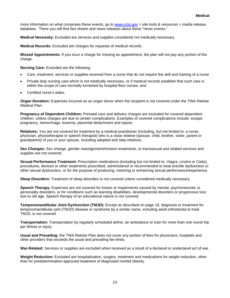more information on what comprises these events, go to www.cms.gov > site tools & resources > media release database. There you will find fact sheets and news releases about these "never events."

**Medical Necessity:** Excluded are services and supplies considered not medically necessary.

**Medical Records:** Excluded are charges for requests of medical records.

**Missed Appointments:** If you incur a charge for missing an appointment, the plan will not pay any portion of the charge.

**Nursing Care:** Excluded are the following:

- Care, treatment, services or supplies received from a nurse that do not require the skill and training of a nurse
- Private duty nursing care which is not medically necessary, or if medical records establish that such care is within the scope of care normally furnished by hospital floor nurses, and
- Certified nurse's aides.

**Organ Donation:** Expenses incurred as an organ donor when the recipient is not covered under the TWA Retiree Medical Plan.

**Pregnancy of Dependent Children:** Prenatal care and delivery charges are excluded for covered dependent children, unless charges are due to certain complications. Examples of covered complications include: ectopic pregnancy, hemorrhage, toxemia, placental detachment and sepsis.

**Relatives:** You are not covered for treatment by a medical practitioner (including, but not limited to: a nurse, physician, physiotherapist or speech therapist) who is a close relative (spouse, child, brother, sister, parent or grandparent) of you or your spouse, including adopted and step-relatives.

**Sex Changes:** Sex change, gender reassignment/revision treatments, or transsexual and related services and supplies are not covered.

**Sexual Performance Treatment:** Prescription medications (including but not limited to, Viagra, Levitra or Cialis), procedures, devices or other treatments prescribed, administered or recommended to treat erectile dysfunction or other sexual dysfunction, or for the purpose of producing, restoring or enhancing sexual performance/experience.

**Sleep Disorders:** Treatment of sleep disorders is not covered unless considered medically necessary.

**Speech Therapy:** Expenses are not covered for losses or impairments caused by mental, psychoneurotic or personality disorders, or for conditions such as learning disabilities, developmental disorders or progressive loss due to old age. Speech therapy of an educational nature is not covered.

**Temporomandibular Joint Dysfunction (TMJD):** Except as described on page 19, diagnosis or treatment for temporomandibular joint (TMJD) disease or syndrome by a similar name, including adult orthodontia to treat TMJD, is not covered.

**Transportation:** Transportation by regularly scheduled airline, air ambulance or train for more than one round trip per illness or injury.

**Usual and Prevailing:** the TWA Retiree Plan does not cover any portion of fees for physicians, hospitals and other providers that exceeds the usual and prevailing fee limits.

**War-Related:** Services or supplies are excluded when received as a result of a declared or undeclared act of war.

**Weight Reduction:** Excluded are hospitalization, surgery, treatment and medications for weight reduction, other than for predetermination-approved treatment of diagnosed morbid obesity.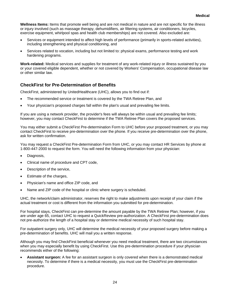**Wellness Items:** Items that promote well being and are not medical in nature and are not specific for the illness or injury involved (such as massage therapy, dehumidifiers, air filtering systems, air conditioners, bicycles, exercise equipment, whirlpool spas and health club memberships) are not covered. Also excluded are:

- Services or equipment intended to affect high levels of performance (primarily in sports-related activities), including strengthening and physical conditioning, and
- Services related to vocation, including but not limited to: physical exams, performance testing and work hardening programs.

**Work-related:** Medical services and supplies for treatment of any work-related injury or illness sustained by you or your covered eligible dependent, whether or not covered by Workers' Compensation, occupational disease law or other similar law.

# **CheckFirst for Pre-Determination of Benefits**

CheckFirst, administered by UnitedHealthcare (UHC), allows you to find out if:

- The recommended service or treatment is covered by the TWA Retiree Plan, and
- Your physician's proposed charges fall within the plan's usual and prevailing fee limits.

If you are using a network provider, the provider's fees will always be within usual and prevailing fee limits; however, you may contact CheckFirst to determine if the TWA Retiree Plan covers the proposed services.

You may either submit a CheckFirst Pre-determination Form to UHC before your proposed treatment, or you may contact CheckFirst to receive pre-determination over the phone. If you receive pre-determination over the phone, ask for written confirmation.

You may request a CheckFirst Pre-determination Form from UHC, or you may contact HR Services by phone at 1-800-447-2000 to request the form. You will need the following information from your physician:

- Diagnosis,
- Clinical name of procedure and CPT code,
- Description of the service,
- Estimate of the charges,
- Physician's name and office ZIP code, and
- Name and ZIP code of the hospital or clinic where surgery is scheduled.

UHC, the network/claim administrator, reserves the right to make adjustments upon receipt of your claim if the actual treatment or cost is different from the information you submitted for pre-determination.

For hospital stays, CheckFirst can pre-determine the amount payable by the TWA Retiree Plan; however, if you are under age 65, contact UHC to request a QuickReview pre-authorization. A CheckFirst pre-determination does not pre-authorize the length of a hospital stay or determine medical necessity of such hospital stay.

For outpatient surgery only, UHC will determine the medical necessity of your proposed surgery before making a pre-determination of benefits. UHC will mail you a written response.

Although you may find CheckFirst beneficial whenever you need medical treatment, there are two circumstances when you may especially benefit by using CheckFirst. Use this pre-determination procedure if your physician recommends either of the following:

 **Assistant surgeon:** A fee for an assistant surgeon is only covered when there is a demonstrated medical necessity. To determine if there is a medical necessity, you must use the CheckFirst pre-determination procedure.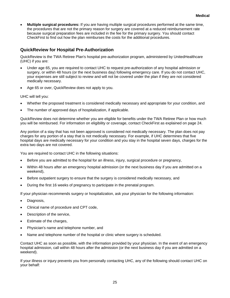**Multiple surgical procedures:** If you are having multiple surgical procedures performed at the same time, the procedures that are not the primary reason for surgery are covered at a reduced reimbursement rate because surgical preparation fees are included in the fee for the primary surgery. You should contact CheckFirst to find out how the plan reimburses the costs for the additional procedures.

# **QuickReview for Hospital Pre-Authorization**

QuickReview is the TWA Retiree Plan's hospital pre-authorization program, administered by UnitedHealthcare (UHC) if you are:

- Under age 65, you are required to contact UHC to request pre-authorization of any hospital admission or surgery, or within 48 hours (or the next business day) following emergency care. If you do not contact UHC, your expenses are still subject to review and will not be covered under the plan if they are not considered medically necessary.
- Age 65 or over, QuickReview does not apply to you.

UHC will tell you:

- Whether the proposed treatment is considered medically necessary and appropriate for your condition, and
- The number of approved days of hospitalization, if applicable.

QuickReview does not determine whether you are eligible for benefits under the TWA Retiree Plan or how much you will be reimbursed. For information on eligibility or coverage, contact CheckFirst as explained on page 24.

Any portion of a stay that has not been approved is considered not medically necessary. The plan does not pay charges for any portion of a stay that is not medically necessary. For example, if UHC determines that five hospital days are medically necessary for your condition and you stay in the hospital seven days, charges for the extra two days are not covered.

You are required to contact UHC in the following situations:

- Before you are admitted to the hospital for an illness, injury, surgical procedure or pregnancy,
- Within 48 hours after an emergency hospital admission (or the next business day if you are admitted on a weekend),
- Before outpatient surgery to ensure that the surgery is considered medically necessary, and
- During the first 16 weeks of pregnancy to participate in the prenatal program.

If your physician recommends surgery or hospitalization, ask your physician for the following information:

- Diagnosis,
- Clinical name of procedure and CPT code,
- Description of the service,
- Estimate of the charges,
- Physician's name and telephone number, and
- Name and telephone number of the hospital or clinic where surgery is scheduled.

Contact UHC as soon as possible, with the information provided by your physician. In the event of an emergency hospital admission, call within 48 hours after the admission (or the next business day if you are admitted on a weekend).

If your illness or injury prevents you from personally contacting UHC, any of the following should contact UHC on your behalf: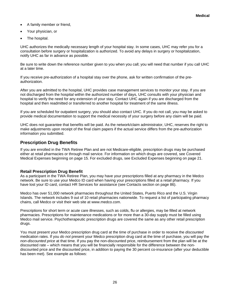- A family member or friend,
- Your physician, or
- The hospital.

UHC authorizes the medically necessary length of your hospital stay. In some cases, UHC may refer you for a consultation before surgery or hospitalization is authorized. To avoid any delays in surgery or hospitalization, notify UHC as far in advance as possible.

Be sure to write down the reference number given to you when you call; you will need that number if you call UHC at a later time.

If you receive pre-authorization of a hospital stay over the phone, ask for written confirmation of the preauthorization.

After you are admitted to the hospital, UHC provides case management services to monitor your stay. If you are not discharged from the hospital within the authorized number of days, UHC consults with your physician and hospital to verify the need for any extension of your stay. Contact UHC again if you are discharged from the hospital and then readmitted or transferred to another hospital for treatment of the same illness.

If you are scheduled for outpatient surgery, you should also contact UHC. If you do not call, you may be asked to provide medical documentation to support the medical necessity of your surgery before any claim will be paid.

UHC does not guarantee that benefits will be paid. As the network/claim administrator, UHC, reserves the right to make adjustments upon receipt of the final claim papers if the actual service differs from the pre-authorization information you submitted.

## **Prescription Drug Benefits**

If you are enrolled in the TWA Retiree Plan and are not Medicare-eligible, prescription drugs may be purchased either at retail pharmacies or through mail service. For information on which drugs are covered, see Covered Medical Expenses beginning on page 15. For excluded drugs, see Excluded Expenses beginning on page 21.

### **Retail Prescription Drug Benefit**

As a participant in the TWA Retiree Plan, you may have your prescriptions filled at any pharmacy in the Medco network. Be sure to use your Medco ID card when having your prescriptions filled at a retail pharmacy. If you have lost your ID card, contact HR Services for assistance (see Contacts section on page 86).

Medco has over 51,000 network pharmacies throughout the United States, Puerto Rico and the U.S. Virgin Islands. The network includes 9 out of 10 retail pharmacies nationwide. To request a list of participating pharmacy chains, call Medco or visit their web site at www.medco.com.

Prescriptions for short term or acute care illnesses, such as colds, flu or allergies, may be filled at network pharmacies. Prescriptions for maintenance medications or for more than a 30-day supply must be filled using Medco mail service. Psychotherapeutic prescription drugs are covered the same as any other retail prescription drugs.

You must present your Medco prescription drug card at the time of purchase in order to receive the *discounted* medication rates. If you *do not* present your Medco prescription drug card at the time of purchase, you will pay the *non-discounted price* at that time. If you pay the non-discounted price, reimbursement from the plan will be at the discounted rate – which means that you will be financially responsible for the difference between the nondiscounted price and the discounted price, in addition to paying the 30 percent co-insurance (after your deductible has been met). See example as follows: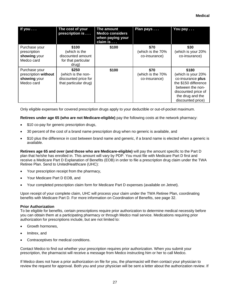| If you $\dots$                                                      | The cost of your<br>prescription is                                          | The amount<br><b>Medco considers</b><br>when paying your<br>claim is | Plan pays                                  | You pay                                                                                                                                                      |
|---------------------------------------------------------------------|------------------------------------------------------------------------------|----------------------------------------------------------------------|--------------------------------------------|--------------------------------------------------------------------------------------------------------------------------------------------------------------|
| Purchase your<br>prescription<br>showing your<br>Medco card         | \$100<br>(which is the<br>discounted amount<br>for that particular<br>drug)  | \$100                                                                | \$70<br>(which is the 70%<br>co-insurance) | \$30<br>(which is your 20%<br>co-insurance)                                                                                                                  |
| Purchase your<br>prescription without<br>showing your<br>Medco card | \$250<br>(which is the non-<br>discounted price for<br>that particular drug) | \$100                                                                | \$70<br>(which is the 70%<br>co-insurance) | \$180<br>(which is your 20%<br>co-insurance plus<br>the \$150 difference<br>between the non-<br>discounted price of<br>the drug and the<br>discounted price) |

Only eligible expenses for covered prescription drugs apply to your deductible or out-of-pocket maximum.

**Retirees under age 65 (who are not Medicare-eligible)** pay the following costs at the network pharmacy:

- \$10 co-pay for generic prescription drugs,
- 30 percent of the cost of a brand name prescription drug when no generic is available, and
- \$10 plus the difference in cost between brand name and generic, if a brand name is elected when a generic is available.

**Retirees age 65 and over (and those who are Medicare-eligible)** will pay the amount specific to the Part D plan that he/she has enrolled in. This amount will vary by PDP. You must file with Medicare Part D first and receive a Medicare Part D Explanation of Benefits (EOB) in order to file a prescription drug claim under the TWA Retiree Plan. Send to UnitedHealthcare (UHC):

- Your prescription receipt from the pharmacy,
- Your Medicare Part D EOB, and
- Your completed prescription claim form for Medicare Part D expenses (available on Jetnet).

Upon receipt of your complete claim, UHC will process your claim under the TWA Retiree Plan, coordinating benefits with Medicare Part D. For more information on Coordination of Benefits, see page 32.

#### **Prior Authorization**

To be eligible for benefits, certain prescriptions require prior authorization to determine medical necessity before you can obtain them at a participating pharmacy or through Medco mail service. Medications requiring prior authorization for prescriptions include, but are not limited to:

- Growth hormones,
- Imitrex, and
- Contraceptives for medical conditions.

Contact Medco to find out whether your prescription requires prior authorization. When you submit your prescription, the pharmacist will receive a message from Medco instructing him or her to call Medco.

If Medco does not have a prior authorization on file for you, the pharmacist will then contact your physician to review the request for approval. Both you and your physician will be sent a letter about the authorization review. If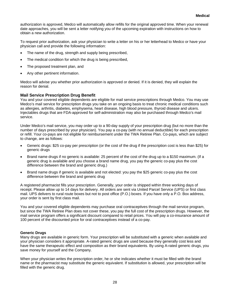authorization is approved, Medco will automatically allow refills for the original approved time. When your renewal date approaches, you will be sent a letter notifying you of the upcoming expiration with instructions on how to obtain a new authorization.

To request prior authorization, ask your physician to write a letter on his or her letterhead to Medco or have your physician call and provide the following information:

- The name of the drug, strength and supply being prescribed,
- The medical condition for which the drug is being prescribed,
- The proposed treatment plan, and
- Any other pertinent information.

Medco will advise you whether prior authorization is approved or denied. If it is denied, they will explain the reason for denial.

### **Mail Service Prescription Drug Benefit**

You and your covered eligible dependents are eligible for mail service prescriptions through Medco. You may use Medco's mail service for prescription drugs you take on an ongoing basis to treat chronic medical conditions such as allergies, arthritis, diabetes, emphysema, heart disease, high blood pressure, thyroid disease and ulcers. Injectables drugs that are FDA-approved for self-administration may also be purchased through Medco's mail service.

Under Medco's mail service, you may order up to a 90-day supply of your prescription drug (but no more than the number of days prescribed by your physician). You pay a co-pay (with no annual deductible) for each prescription or refill. Your co-pays are not eligible for reimbursement under the TWA Retiree Plan. Co-pays, which are subject to change, are as follows:

- Generic drugs: \$25 co-pay per prescription (or the cost of the drug if the prescription cost is less than \$25) for generic drugs
- Brand name drugs if no generic is available: 25 percent of the cost of the drug up to a \$150 maximum. (If a generic drug is available and you choose a brand name drug, you pay the generic co-pay plus the cost difference between the brand and generic drug.)
- Brand name drugs if generic is available and not elected: you pay the \$25 generic co-pay plus the cost difference between the brand and generic drug

A registered pharmacist fills your prescription. Generally, your order is shipped within three working days of receipt. Please allow up to 14 days for delivery. All orders are sent via United Parcel Service (UPS) or first class mail. UPS delivers to rural route boxes but not to post office (P.O.) boxes. If you have only a P.O. Box address, your order is sent by first class mail.

You and your covered eligible dependents may purchase oral contraceptives through the mail service program, but since the TWA Retiree Plan does not cover these, you pay the full cost of the prescription drugs. However, the mail service program offers a significant discount compared to retail prices. You will pay a co-insurance amount of 100 percent of the discounted price for oral contraceptives instead of a co-pay.

#### **Generic Drugs**

Many drugs are available in generic form. Your prescription will be substituted with a generic when available and your physician considers it appropriate. A-rated generic drugs are used because they generally cost less and have the same therapeutic effect and composition as their brand equivalents. By using A-rated generic drugs, you save money for yourself and the Company.

When your physician writes the prescription order, he or she indicates whether it must be filled with the brand name or the pharmacist may substitute the generic equivalent. If substitution is allowed, your prescription will be filled with the generic drug.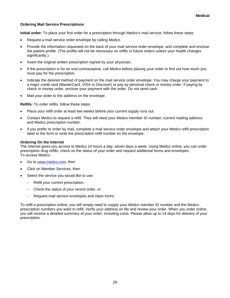### **Ordering Mail Service Prescriptions**

**Initial order:** To place your first order for a prescription through Medco's mail service, follow these steps:

- Request a mail service order envelope by calling Medco.
- Provide the information requested on the back of your mail service order envelope, and complete and enclose the patient profile. (The profile will not be necessary on refills or future orders unless your health changes significantly.)
- Insert the original written prescription signed by your physician.
- If the prescription is for an oral contraceptive, call Medco before placing your order to find out how much you must pay for the prescription.
- Indicate the desired method of payment on the mail service order envelope. You may charge your payment to a major credit card (MasterCard, VISA or Discover) or pay by personal check or money order. If paying by check or money order, enclose your payment with the order. Do not send cash.
- Mail your order to the address on the envelope.

**Refills:** To order refills, follow these steps:

- Place your refill order at least two weeks before your current supply runs out.
- Contact Medco to request a refill. They will need your Medco member ID number, current mailing address and Medco prescription number.
- If you prefer to order by mail, complete a mail service order envelope and attach your Medco refill prescription label to the form or write the prescription refill number on the envelope.

#### **Ordering On the Internet**

The Internet gives you access to Medco 24 hours a day, seven days a week. Using Medco online, you can order prescription drug refills, check on the status of your order and request additional forms and envelopes. To access Medco:

- Go to www.medco.com, then
- Click on Member Services, then
- Select the service you would like to use:
	- Refill your current prescription,
	- Check the status of your recent order, or
	- Request mail service envelopes and claim forms.

To refill a prescription online, you will simply need to supply your Medco member ID number and the Medco prescription numbers you want to refill. Verify your address on file and review your order. When you order online, you will receive a detailed summary of your order, including costs. Please allow up to 14 days for delivery of your prescription.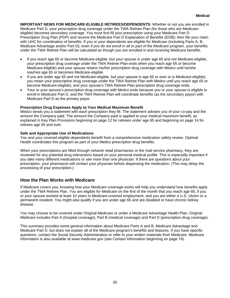**IMPORTANT NEWS FOR MEDICARE-ELIGIBLE RETIREES/DEPENDENTS:** Whether or not you are enrolled in Medicare Part D, your prescription drug coverage under the TWA Retiree Plan (for those who are Medicareeligible) becomes secondary coverage. You must first fill your prescription using your Medicare Part D Prescription Drug Plan (PDP) and receive the Medicare Part D Explanation of Benefits (EOB); *then* file your claim with UHC for coordination of benefits. If you or your dependents are eligible for Medicare (including Parts A, B, Medicare Advantage and/or Part D), *even if you do not enroll in all or part of the Medicare program,* your benefits under the TWA Retiree Plan will be calculated as though you are enrolled in and receiving Medicare benefits.

- If you reach age 65 or become Medicare-eligible, but your spouse is under age 65 and not Medicare-eligible, your prescription drug coverage under the TWA Retiree Plan ends when you reach age 65 or become Medicare-eligible) and your spouse retains his/her prescription drug coverage with Medco until he/she reaches age 65 or becomes Medicare-eligible.
- If you are under age 65 and not Medicare-eligible, but your spouse is age 65 or over or is Medicare-eligible), you retain your prescription drug coverage under the TWA Retiree Plan with Medco until you reach age 65 or become Medicare-eligible), and your spouse's TWA Retiree Plan prescription drug coverage ends.
- Your or your spouse's prescription drug coverage with Medco ends because you or your spouse is eligible to enroll in Medicare Part D, and the TWA Retiree Plan will coordinate benefits (as the secondary payor) with Medicare Part D as the primary payor.

## **Prescription Drug Expenses Apply to Your Medical Maximum Benefit**

Medco sends you a statement with each prescription they fill. The statement advises you of your co-pay and the amount the Company paid. The amount the Company paid is applied to your medical maximum benefit, as explained in Key Plan Provisions beginning on page 12 for retirees under age 65 and beginning on page 14 for retirees age 65 and over.

## **Safe and Appropriate Use of Medications**

You and your covered eligible dependents benefit from a comprehensive medication safety review. Optimal Health coordinates this program as part of your Medco prescription drug benefits.

When your prescriptions are filled through network retail pharmacies or the mail service pharmacy, they are reviewed for any potential drug interactions based on your personal medical profile. This is especially important if you take many different medications or see more than one physician. If there are questions about your prescription, your pharmacist will contact your physician before dispensing the medication. (This may delay the processing of your prescription.)

# **How the Plan Works with Medicare**

If Medicare covers you, knowing how your Medicare coverage works will help you understand how benefits apply under the TWA Retiree Plan. You are eligible for Medicare on the first of the month that you reach age 65, if you or your spouse worked at least 10 years in Medicare-covered employment, and you are either a U.S. citizen or a permanent resident. You might also qualify if you are under age 65 and are disabled or have chronic kidney disease.

You may choose to be covered under Original Medicare or under a Medicare Advantage Health Plan. Original Medicare includes Part A (hospital coverage), Part B (medical coverage) and Part D (prescription drug coverage).

This summary provides some general information about Medicare Parts A and B, Medicare Advantage and Medicare Part D, but does not explain all of the Medicare program's benefits and features. If you have specific questions, contact the Social Security Administration or refer to your written materials from Medicare. Medicare information is also available at www.medicare.gov (see Contact Information beginning on page 74).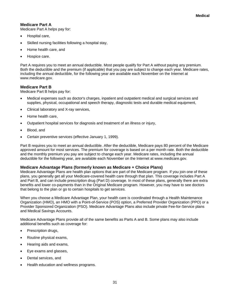## **Medicare Part A**

Medicare Part A helps pay for:

- Hospital care,
- Skilled nursing facilities following a hospital stay,
- Home health care, and
- Hospice care.

Part A requires you to meet an annual deductible. Most people qualify for Part A without paying any premium. Both the deductible and the premium (if applicable) that you pay are subject to change each year. Medicare rates, including the annual deductible, for the following year are available each November on the Internet at www.medicare.gov.

### **Medicare Part B**

Medicare Part B helps pay for:

- Medical expenses such as doctor's charges, inpatient and outpatient medical and surgical services and supplies, physical, occupational and speech therapy, diagnostic tests and durable medical equipment,
- Clinical laboratory and X-ray services,
- Home health care,
- Outpatient hospital services for diagnosis and treatment of an illness or injury,
- Blood, and
- Certain preventive services (effective January 1, 1999).

Part B requires you to meet an annual deductible. After the deductible, Medicare pays 80 percent of the Medicare approved amount for most services. The premium for coverage is based on a per month rate. Both the deductible and the monthly premium you pay are subject to change each year. Medicare rates, including the annual deductible for the following year, are available each November on the Internet at www.medicare.gov.

#### **Medicare Advantage Plans (formerly known as Medicare + Choice Plans)**

Medicare Advantage Plans are health plan options that are part of the Medicare program. If you join one of these plans, you generally get all your Medicare-covered health care through that plan. This coverage includes Part A and Part B, and can include prescription drug (Part D) coverage. In most of these plans, generally there are extra benefits and lower co-payments than in the Original Medicare program. However, you may have to see doctors that belong to the plan or go to certain hospitals to get services.

When you choose a Medicare Advantage Plan, your health care is coordinated through a Health Maintenance Organization (HMO), an HMO with a Point-of-Service (POS) option, a Preferred Provider Organization (PPO) or a Provider Sponsored Organization (PSO). Medicare Advantage Plans also include private Fee-for-Service plans and Medical Savings Accounts.

Medicare Advantage Plans provide all of the same benefits as Parts A and B. Some plans may also include additional benefits such as coverage for:

- Prescription drugs,
- Routine physical exams,
- Hearing aids and exams,
- Eye exams and glasses,
- Dental services, and
- Health education and wellness programs.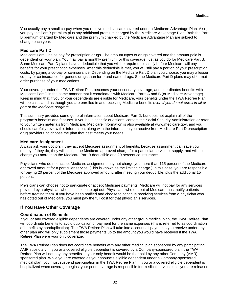You usually pay a small co-pay when you receive medical care covered under a Medicare Advantage Plan. Also, you pay the Part B premium plus any additional premium charged by the Medicare Advantage Plan. Both the Part B premium charged by Medicare and the premium charged by the Medicare Advantage Plan are subject to change each year.

# **Medicare Part D**

Medicare Part D helps pay for prescription drugs. The amount types of drugs covered and the amount paid is dependent on your plan. You may pay a monthly premium for this coverage, just as you do for Medicare Part B. Some Medicare Part D plans have a deductible that you will be required to satisfy before Medicare will pay benefits for your prescription expenses. After this deductible is met, you will still pay a portion of your prescription costs, by paying a co-pay or co-insurance. Depending on the Medicare Part D plan you choose, you may a lesser co-pay or co-insurance for generic drugs than for brand name drugs. Some Medicare Part D plans may offer mailorder purchase of your medications.

Your coverage under the TWA Retiree Plan becomes your secondary coverage, and coordinates benefits with Medicare Part D in the same manner that it coordinates with Medicare Parts A and B (or Medicare Advantage). Keep in mind that if you or your dependents are eligible for Medicare, your benefits under the TWA Retiree Plan will be calculated as though you are enrolled in and receiving Medicare benefits *even if you do not enroll in all or part of the Medicare program.*

This summary provides some general information about Medicare Part D, but does not explain all of the program's benefits and features. If you have specific questions, contact the Social Security Administration or refer to your written materials from Medicare. Medicare information is also available at www.medicare.gov, and you should carefully review this information, along with the information you receive from Medicare Part D prescription drug providers, to choose the plan that best meets your needs.

# **Medicare Assignment**

Always ask your doctors if they accept Medicare assignment of benefits, because assignment can save you money. If they do, they will accept the Medicare approved charge for a particular service or supply, and will not charge you more than the Medicare Part B deductible and 20 percent co-insurance.

Physicians who do not accept Medicare assignment may not charge you more than 115 percent of the Medicare approved amount for a particular service. (This is known as the limiting charge.) In this case, you are responsible for paying 20 percent of the Medicare approved amount, after meeting your deductible, plus the additional 15 percent.

Physicians can choose not to participate or accept Medicare payments. Medicare will not pay for any services provided by a physician who has chosen to opt out. Physicians who opt out of Medicare must notify patients before treating them. If you have been notified and choose to continue receiving services from a physician who has opted out of Medicare, you must pay the full cost for that physician's services.

# **If You Have Other Coverage**

# **Coordination of Benefits**

If you or any covered eligible dependents are covered under any other group medical plan, the TWA Retiree Plan will coordinate benefits to avoid duplication of payment for the same expenses (this is referred to as coordination of benefits by nonduplication). The TWA Retiree Plan will take into account all payments you receive under any other plan and will only supplement those payments up to the amount you would have received if the TWA Retiree Plan were your only coverage.

The TWA Retiree Plan does not coordinate benefits with any other medical plan sponsored by any participating AMR subsidiary. If you or a covered eligible dependent is covered by a Company-sponsored plan, the TWA Retiree Plan will not pay any benefits — your only benefit would be that paid by any other Company (AMR) sponsored plan. While you are covered as your spouse's eligible dependent under a Company-sponsored medical plan, you must suspend participation in the TWA Retiree Plan. If you or a covered eligible dependent is hospitalized when coverage begins, your prior coverage is responsible for medical services until you are released.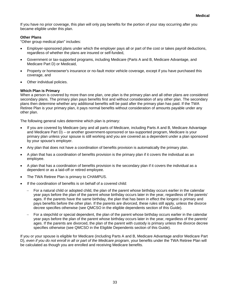If you have no prior coverage, this plan will only pay benefits for the portion of your stay occurring after you became eligible under this plan.

# **Other Plans**

"Other group medical plan" includes:

- Employer-sponsored plans under which the employer pays all or part of the cost or takes payroll deductions, regardless of whether the plans are insured or self-funded,
- Government or tax-supported programs, including Medicare (Parts A and B, Medicare Advantage, and Medicare Part D) or Medicaid,
- Property or homeowner's insurance or no-fault motor vehicle coverage, except if you have purchased this coverage, and
- Other individual policies.

#### **Which Plan is Primary**

When a person is covered by more than one plan, one plan is the primary plan and all other plans are considered secondary plans. The primary plan pays benefits first and without consideration of any other plan. The secondary plans then determine whether any additional benefits will be paid after the primary plan has paid. If the TWA Retiree Plan is your primary plan, it pays normal benefits without consideration of amounts payable under any other plan.

The following general rules determine which plan is primary:

- If you are covered by Medicare (any and all parts of Medicare, including Parts A and B, Medicare Advantage and Medicare Part D) – or another government-sponsored or tax-supported program, Medicare is your primary plan unless your spouse is still working and you are covered as a dependent under a plan sponsored by your spouse's employer.
- Any plan that does not have a coordination of benefits provision is automatically the primary plan.
- A plan that has a coordination of benefits provision is the primary plan if it covers the individual as an employee.
- A plan that has a coordination of benefits provision is the secondary plan if it covers the individual as a dependent or as a laid-off or retired employee.
- The TWA Retiree Plan is primary to CHAMPUS.
- If the coordination of benefits is on behalf of a covered child:
	- For a natural child or adopted child, the plan of the parent whose birthday occurs earlier in the calendar year pays before the plan of the parent whose birthday occurs later in the year, regardless of the parents' ages. If the parents have the same birthday, the plan that has been in effect the longest is primary and pays benefits before the other plan. If the parents are divorced, these rules still apply, unless the divorce decree specifies otherwise (see QMCSO in the eligible dependents section of this Guide).
	- For a stepchild or special dependent, the plan of the parent whose birthday occurs earlier in the calendar year pays before the plan of the parent whose birthday occurs later in the year, regardless of the parents' ages. If the parents are divorced, the plan of the parent with custody is primary unless the divorce decree specifies otherwise (see QMCSO in the Eligible Dependents section of this Guide).

If you or your spouse is eligible for Medicare (including Parts A and B, Medicare Advantage and/or Medicare Part D), *even if you do not enroll in all or part of the Medicare program*, your benefits under the TWA Retiree Plan will be calculated as though you are enrolled and receiving Medicare benefits.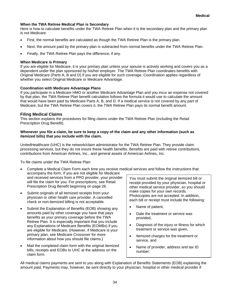# **When the TWA Retiree Medical Plan is Secondary**

Here is how to calculate benefits under the TWA Retiree Plan when it is the secondary plan and the primary plan is not Medicare:

- First, the normal benefits are calculated as though the TWA Retiree Plan is the primary plan.
- Next, the amount paid by the primary plan is subtracted from normal benefits under the TWA Retiree Plan.
- Finally, the TWA Retiree Plan pays the difference, if any.

#### **When Medicare is Primary**

If you are eligible for Medicare, it is your primary plan unless your spouse is actively working and covers you as a dependent under the plan sponsored by his/her employer. The TWA Retiree Plan coordinates benefits with Original Medicare (Parts A, B and D) if you are eligible for such coverage. Coordination applies regardless of whether you select Original Medicare or Medicare Advantage.

#### **Coordination with Medicare Advantage Plans**

If you participate in a Medicare HMO or another Medicare Advantage Plan and you incur an expense not covered by that plan, the TWA Retiree Plan benefit calculation follows the formula it would use to calculate the amount that would have been paid by Medicare Parts A, B, and D. If a medical service is not covered by any part of Medicare, but the TWA Retiree Plan covers it, the TWA Retiree Plan pays its normal benefit amount.

# **Filing Medical Claims**

This section explains the procedures for filing claims under the TWA Retiree Plan (including the Retail Prescription Drug Benefit).

#### **Whenever you file a claim, be sure to keep a copy of the claim and any other information (such as itemized bills) that you include with the claim.**

UnitedHealthcare (UHC) is the network/claim administrator for the TWA Retiree Plan. They provide claim processing services, but they do not insure these health benefits. Benefits are paid with retiree contributions, contributions from American Airlines, Inc., and general assets of American Airlines, Inc.

To file claims under the TWA Retiree Plan:

- Complete a Medical Claim Form each time you receive medical services and follow the instructions that accompany the form. If you are not eligible for Medicare and received services from a PPO provider, your provider
- will file the claim for you. For prescriptions, see Retail Prescription Drug Benefit beginning on page 26.
- Submit originals of all itemized receipts from your physician or other health care provider. A cancelled check or non-itemized billing is not acceptable.
- Submit the Explanation of Benefits (EOB) showing any amounts paid by other coverage you have that pays benefits as your primary coverage before the TWA Retiree Plan. It is especially important that you include any Explanations of Medicare Benefits (EOMBs) if you are eligible for Medicare. (However, if Medicare is your primary plan, see Medicare Crossover for more information about how you should file claims.)
- Mail the completed claim form with the original itemized bills, receipts and EOBs to UHC at the address on the claim form.

You must submit the original itemized bill or receipt provided by your physician, hospital or other medical service provider, so you should make copies for your own records. Photocopies are not accepted. In addition, each bill or receipt must include the following:

- Name of patient,
- Date the treatment or service was provided,
- Diagnosis of the injury or illness for which treatment or service was given,
- Itemized charges for the treatment or service, and
- Name of provider, address and tax ID number.

All medical claims payments are sent to you along with Explanation of Benefits Statements (EOB) explaining the amount paid. Payments may, however, be sent directly to your physician, hospital or other medical provider if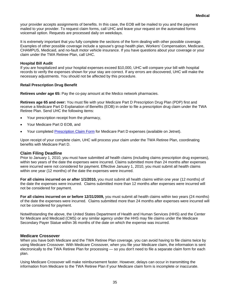your provider accepts assignments of benefits. In this case, the EOB will be mailed to you and the payment mailed to your provider. To request claim forms, call UHC and leave your request on the automated forms voicemail option. Requests are processed daily on weekdays.

It is extremely important that you fully complete the sections of the form dealing with other possible coverage. Examples of other possible coverage include a spouse's group health plan, Workers' Compensation, Medicare, CHAMPUS, Medicaid, and no-fault motor vehicle insurance. If you have questions about your coverage or your claim under the TWA Retiree Plan, call UHC.

#### **Hospital Bill Audit**

If you are hospitalized and your hospital expenses exceed \$10,000, UHC will compare your bill with hospital records to verify the expenses shown for your stay are correct. If any errors are discovered, UHC will make the necessary adjustments. You should not be affected by this procedure.

# **Retail Prescription Drug Benefit**

**Retirees under age 65:** Pay the co-pay amount at the Medco network pharmacies.

**Retirees age 65 and over:** You must file with your Medicare Part D Prescription Drug Plan (PDP) first and receive a Medicare Part D Explanation of Benefits (EOB) in order to file a prescription drug claim under the TWA Retiree Plan. Send UHC the following items:

- Your prescription receipt from the pharmacy,
- Your Medicare Part D EOB, and
- Your completed Prescription Claim Form for Medicare Part D expenses (available on Jetnet).

Upon receipt of your complete claim, UHC will process your claim under the TWA Retiree Plan, coordinating benefits with Medicare Part D.

# **Claim Filing Deadline**

Prior to January 1, 2010, you must have submitted *all* health claims (including claims prescription drug expenses), within two years of the date the expenses were incurred. Claims submitted more than 24 months after expenses were incurred were not considered for payment. Effective January 1, 2010, you must submit all health claims within one year (12 months) of the date the expenses were incurred.

**For all claims incurred on or after 1/1/2010,** you must submit all health claims within one year (12 months) of the date the expenses were incurred. Claims submitted more than 12 months after expenses were incurred will not be considered for payment.

**For all claims incurred on or before 12/31/2009,** you must submit all health claims within two years (24 months) of the date the expenses were incurred. Claims submitted more than 24 months after expenses were incurred will not be considered for payment.

Notwithstanding the above, the United States Department of Health and Human Services (HHS) and the Center for Medicare and Medicaid (CMS) or any similar agency under the HHS may file claims under the Medicare Secondary Payer Statue within 36 months of the date on which the expense was incurred.

#### **Medicare Crossover**

When you have both Medicare and the TWA Retiree Plan coverage, you can avoid having to file claims twice by using Medicare Crossover. With Medicare Crossover, when you file your Medicare claim, the information is sent electronically to the TWA Retiree Plan for processing — so you don't need to file a separate claim form for each plan.

Using Medicare Crossover will make reimbursement faster. However, delays can occur in transmitting the information from Medicare to the TWA Retiree Plan if your Medicare claim form is incomplete or inaccurate.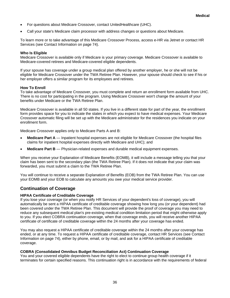- For questions about Medicare Crossover, contact UnitedHealthcare (UHC).
- Call your state's Medicare claim processor with address changes or questions about Medicare.

To learn more or to take advantage of this Medicare Crossover Process, access e-HR via Jetnet or contact HR Services (see Contact Information on page 74).

#### **Who Is Eligible**

Medicare Crossover is available only if Medicare is your primary coverage. Medicare Crossover is available to Medicare-covered retirees and Medicare-covered eligible dependents.

If your spouse has coverage under a group medical plan offered by another employer, he or she will not be eligible for Medicare Crossover under the TWA Retiree Plan. However, your spouse should check to see if his or her employer offers a similar program for its employees and retirees.

#### **How To Enroll**

To take advantage of Medicare Crossover, you must complete and return an enrollment form available from UHC. There is no cost for participating in the program. Using Medicare Crossover won't change the amount of your benefits under Medicare or the TWA Retiree Plan.

Medicare Crossover is available in all 50 states. If you live in a different state for part of the year, the enrollment form provides space for you to indicate the states in which you expect to have medical expenses. Your Medicare Crossover automatic filing will be set up with the Medicare administrator for the residences you indicate on your enrollment form.

Medicare Crossover applies only to Medicare Parts A and B:

- **Medicare Part A**  Inpatient hospital expenses are not eligible for Medicare Crossover (the hospital files claims for inpatient hospital expenses directly with Medicare and UHC); and
- **Medicare Part B**  Physician-related expenses and durable medical equipment expenses.

When you receive your Explanation of Medicare Benefits (EOMB), it will include a message telling you that your claim has been sent to the secondary plan (the TWA Retiree Plan). If it does not indicate that your claim was forwarded, you must submit a claim to the TWA Retiree Plan.

You will continue to receive a separate Explanation of Benefits (EOB) from the TWA Retiree Plan. You can use your EOMB and your EOB to calculate any amounts you owe your medical service provider.

# **Continuation of Coverage**

#### **HIPAA Certificate of Creditable Coverage**

If you lose your coverage (or when you notify HR Services of your dependent's loss of coverage), you will automatically be sent a HIPAA certificate of creditable coverage showing how long you (or your dependent) had been covered under the TWA Retiree Plan. This document will provide the proof of coverage you may need to reduce any subsequent medical plan's pre-existing medical condition limitation period that might otherwise apply to you. If you elect COBRA continuation coverage, when that coverage ends, you will receive another HIPAA certificate of certificate of creditable coverage within the 24 months after your coverage has ended.

You may also request a HIPAA certificate of creditable coverage within the 24 months after your coverage has ended, or at any time. To request a HIPAA certificate of creditable coverage, contact HR Services (see Contact Information on page 74), either by phone, email, or by mail, and ask for a HIPAA certificate of creditable coverage.

# **COBRA (Consolidated Omnibus Budget Reconciliation Act) Continuation Coverage**

You and your covered eligible dependents have the right to elect to continue group health coverage if it terminates for certain specified reasons. This continuation right is in accordance with the requirements of federal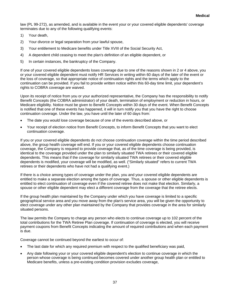law (PL 99-272), as amended, and is available in the event your or your covered eligible dependents' coverage terminates due to any of the following qualifying events:

- 1) Your death,
- 2) Your divorce or legal separation from your lawful spouse,
- 3) Your entitlement to Medicare benefits under Title XVIII of the Social Security Act,
- 4) A dependent child ceasing to meet the plan's definition of an eligible dependent, or
- 5) In certain instances, the bankruptcy of the Company.

If one of your covered eligible dependents loses coverage due to one of the reasons shown in 2 or 4 above, you or your covered eligible dependent must notify HR Services in writing within 60 days of the later of the event or the loss of coverage, so that appropriate notice of continuation rights and the terms which apply to the continuation can be provided. If you fail to provide written notice within this 60-day time limit, your dependent's rights to COBRA coverage are waived.

Upon its receipt of notice from you or your authorized representative, the Company has the responsibility to notify Benefit Concepts (the COBRA administrator) of your death, termination of employment or reduction in hours, or Medicare eligibility. Notice must be given to Benefit Concepts within 30 days of the event. When Benefit Concepts is notified that one of these events has happened, it will in turn notify you that you have the right to choose continuation coverage. Under the law, you have until the later of 60 days from:

- The date you would lose coverage because of one of the events described above, or
- Your receipt of election notice from Benefit Concepts, to inform Benefit Concepts that you want to elect continuation coverage.

If you or your covered eligible dependents do not choose continuation coverage within the time period described above, the group health coverage will end. If you or your covered eligible dependents choose continuation coverage, the Company is required to provide coverage that, as of the time coverage is being provided, is identical to the coverage provided under the plan to similarly situated TWA retirees or their covered eligible dependents. This means that if the coverage for similarly situated TWA retirees or their covered eligible dependents is modified, your coverage will be modified, as well. ("Similarly situated" refers to current TWA retirees or their dependents who have not had a qualifying event.)

If there is a choice among types of coverage under the plan, you and your covered eligible dependents are entitled to make a separate election among the types of coverage. Thus, a spouse or other eligible dependents is entitled to elect continuation of coverage even if the covered retiree does not make that election. Similarly, a spouse or other eligible dependent may elect a different coverage from the coverage that the retiree elects.

If the group health plan maintained by the Company under which you have coverage is limited to a specific geographical service area and you move away from the plan's service area, you will be given the opportunity to elect coverage under any other plan maintained by the Company that provides coverage in the area for similarly situated persons.

The law permits the Company to charge any person who elects to continue coverage up to 102 percent of the total contributions for the TWA Retiree Plan coverage. If continuation of coverage is elected, you will receive payment coupons from Benefit Concepts indicating the amount of required contributions and when each payment is due.

Coverage cannot be continued beyond the earliest to occur of:

- The last date for which any required premium with respect to the qualified beneficiary was paid,
- Any date following your or your covered eligible dependent's election to continue coverage in which the person whose coverage is being continued becomes covered under another group health plan or entitled to Medicare benefits, unless a pre-existing condition provision excludes coverage,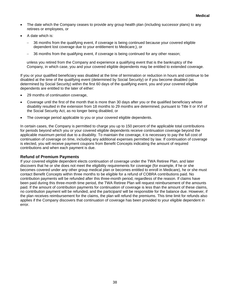- The date which the Company ceases to provide any group health plan (including successor plans) to any retirees or employees, or
- A date which is:
	- 36 months from the qualifying event, if coverage is being continued because your covered eligible dependent lost coverage due to your entitlement to Medicare;), or
	- 36 months from the qualifying event, if coverage is being continued for any other reason;

unless you retired from the Company and experience a qualifying event that is the bankruptcy of the Company, in which case, you and your covered eligible dependents may be entitled to extended coverage.

If you or your qualified beneficiary was disabled at the time of termination or reduction in hours and continue to be disabled at the time of the qualifying event (determined by Social Security) or if you become disabled (as determined by Social Security) within the first 60 days of the qualifying event, you and your covered eligible dependents are entitled to the later of either:

- 29 months of continuation coverage,
- Coverage until the first of the month that is more than 30 days after you or the qualified beneficiary whose disability resulted in the extension from 18 months to 29 months are determined, pursuant to Title II or XVI of the Social Security Act, as no longer being disabled, or
- The coverage period applicable to you or your covered eligible dependents.

In certain cases, the Company is permitted to charge you up to 150 percent of the applicable total contributions for periods beyond which you or your covered eligible dependents receive continuation coverage beyond the applicable maximum period due to a disability. To maintain the coverage, it is necessary to pay the full cost of continuation of coverage on time, including any additional expenses permitted by law. If continuation of coverage is elected, you will receive payment coupons from Benefit Concepts indicating the amount of required contributions and when each payment is due.

# **Refund of Premium Payments**

If your covered eligible dependent elects continuation of coverage under the TWA Retiree Plan, and later discovers that he or she does not meet the eligibility requirements for coverage (for example, if he or she becomes covered under any other group medical plan or becomes entitled to enroll in Medicare), he or she must contact Benefit Concepts within three months to be eligible for a refund of COBRA contributions paid. No contribution payments will be refunded after this three-month period, regardless of the reason. If claims have been paid during this three-month time period, the TWA Retiree Plan will request reimbursement of the amounts paid. If the amount of contribution payments for continuation of coverage is less than the amount of these claims, no contribution payment will be refunded, and the participant/ will be responsible for the balance due. However, if the plan receives reimbursement for the claims, the plan will refund the premiums. This time limit for refunds also applies if the Company discovers that continuation of coverage has been provided to your eligible dependent in error.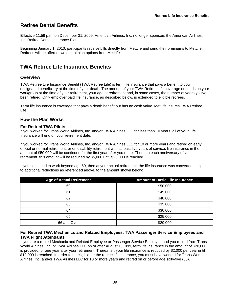# **Retiree Dental Benefits**

Effective 11:59 p.m. on December 31, 2009, American Airlines, Inc. no longer sponsors the American Airlines, Inc. Retiree Dental Insurance Plan.

Beginning January 1, 2010, participants receive bills directly from MetLife and send their premiums to MetLife. Retirees will be offered two dental plan options from MetLife.

# **TWA Retiree Life Insurance Benefits**

# **Overview**

TWA Retiree Life Insurance Benefit (TWA Retiree Life) is term life insurance that pays a benefit to your designated beneficiary at the time of your death. The amount of your TWA Retiree Life coverage depends on your workgroup at the time of your retirement, your age at retirement and, in some cases, the number of years you've been retired. Only employer paid life insurance, as described below, is extended to eligible retirees.

Term life insurance is coverage that pays a death benefit but has no cash value. MetLife insures TWA Retiree Life.

# **How the Plan Works**

# **For Retired TWA Pilots**

If you worked for Trans World Airlines, Inc. and/or TWA Airlines LLC for less than 10 years, all of your Life Insurance will end on your retirement date.

If you worked for Trans World Airlines, Inc. and/or TWA Airlines LLC for 10 or more years and retired on early official or normal retirement, or on disability retirement with at least five years of service, life insurance in the amount of \$50,000 will be continued for the first year after you retire. Then, on each anniversary of your retirement, this amount will be reduced by \$5,000 until \$20,000 is reached.

If you continued to work beyond age 60, then at your actual retirement, the life insurance was converted, subject to additional reductions as referenced above, to the amount shown below:

| <b>Age of Actual Retirement</b> | <b>Amount of Basic Life Insurance</b> |
|---------------------------------|---------------------------------------|
| 60                              | \$50,000                              |
| 61                              | \$45,000                              |
| 62                              | \$40,000                              |
| 63                              | \$35,000                              |
| 64                              | \$30,000                              |
| 65                              | \$25,000                              |
| 66 and Over                     | \$20,000                              |

# **For Retired TWA Mechanics and Related Employees, TWA Passenger Service Employees and TWA Flight Attendants**

If you are a retired Mechanic and Related Employee or Passenger Service Employee and you retired from Trans World Airlines, Inc. or TWA Airlines LLC on or after August 1, 1999, term life insurance in the amount of \$20,000 is provided for one year after your retirement. Thereafter, your life insurance is reduced by \$2,000 per year until \$10,000 is reached. In order to be eligible for the retiree life insurance, you must have worked for Trans World Airlines, Inc. and/or TWA Airlines LLC for 10 or more years and retired on or before age sixty-five (65).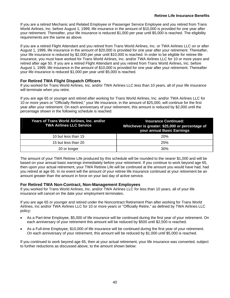If you are a retired Mechanic and Related Employee or Passenger Service Employee and you retired from Trans World Airlines, Inc. before August 1, 1999, life insurance in the amount of \$10,000 is provided for one year after your retirement. Thereafter, your life insurance is reduced \$1,000 per year until \$5,000 is reached. The eligibility requirements are the same as above.

If you are a retired Flight Attendant and you retired from Trans World Airlines, Inc. or TWA Airlines LLC on or after August 1, 1999, life insurance in the amount of \$20,000 is provided for one year after your retirement. Thereafter, your life insurance is reduced by \$2,000 per year until \$10,000 is reached. In order to be eligible for retiree life insurance, you must have worked for Trans World Airlines, Inc. and/or TWA Airlines LLC for 10 or more years and retired after age 50. If you are a retired Flight Attendant and you retired from Trans World Airlines, Inc. before August 1, 1999, life insurance in the amount of \$10,000 is provided for one year after your retirement. Thereafter your life insurance is reduced \$1,000 per year until \$5,000 is reached.

# **For Retired TWA Flight Dispatch Officers**

If you worked for Trans World Airlines, Inc. and/or TWA Airlines LLC less than 10 years, all of your life insurance will terminate when you retire.

If you are age 65 or younger and retired after working for Trans World Airlines, Inc. and/or TWA Airlines LLC for 10 or more years or "Officially Retired," your life insurance, in the amount of \$25,000, will continue for the first year after your retirement. On each anniversary of your retirement, this amount is reduced by \$2,000 until the percentage shown in the following schedule is reached:

| Years of Trans World Airlines, Inc. and/or<br><b>TWA Airlines LLC Service</b> | <b>Insurance Continued:</b><br>Whichever is greater: \$25,000 or percentage of<br>your annual Basic Earnings |
|-------------------------------------------------------------------------------|--------------------------------------------------------------------------------------------------------------|
| 10 but less than 15                                                           | <b>20%</b>                                                                                                   |
| 15 but less than 20                                                           | 25%                                                                                                          |
| 20 or longer                                                                  | 30%                                                                                                          |

The amount of your TWA Retiree Life produced by this schedule will be rounded to the nearer \$1,000 and will be based on your annual basic earnings immediately before your retirement. If you continue to work beyond age 65, then upon your actual retirement, your TWA Retiree Life will be continued at the amount you would have had, had you retired at age 65. In no event will the amount of your retiree life insurance continued at your retirement be an amount greater than the amount in force on your last day of active service.

# **For Retired TWA Non-Contract, Non-Management Employees**

If you worked for Trans World Airlines, Inc. and/or TWA Airlines LLC for less than 10 years, all of your life insurance will cancel on the date your employment terminates.

If you are age 65 or younger and retired under the Noncontract Retirement Plan after working for Trans World Airlines, Inc and/or TWA Airlines LLC for 10 or more years or "Officially Retire," as defined by TWA Airlines LLC policy:

- As a Part-time Employee, \$5,000 of life insurance will be continued during the first year of your retirement. On each anniversary of your retirement this amount will be reduced by \$500 until \$2,500 is reached.
- As a Full-time Employee, \$10,000 of life insurance will be continued during the first year of your retirement. On each anniversary of your retirement, this amount will be reduced by \$1,000 until \$5,000 is reached.

If you continued to work beyond age 65, then at your actual retirement, your life insurance was converted, subject to further reductions as discussed above, to the amount shown below: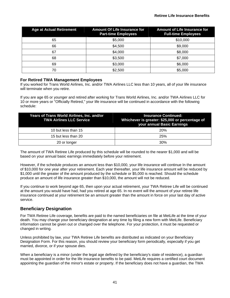| <b>Age at Actual Retirement</b> | <b>Amount Of Life Insurance for</b><br><b>Part-time Employees</b> | <b>Amount of Life Insurance for</b><br><b>Full-time Employees</b> |
|---------------------------------|-------------------------------------------------------------------|-------------------------------------------------------------------|
| 65                              | \$5,000                                                           | \$10,000                                                          |
| 66                              | \$4,500                                                           | \$9,000                                                           |
| 67                              | \$4,000                                                           | \$8,000                                                           |
| 68                              | \$3,500                                                           | \$7,000                                                           |
| 69                              | \$3,000                                                           | \$6,000                                                           |
| 70                              | \$2,500                                                           | \$5,000                                                           |

# **For Retired TWA Management Employees**

If you worked for Trans World Airlines, Inc. and/or TWA Airlines LLC less than 10 years, all of your life insurance will terminate when you retire.

If you are age 65 or younger and retired after working for Trans World Airlines, Inc. and/or TWA Airlines LLC for 10 or more years or "Officially Retired," your life insurance will be continued in accordance with the following schedule:

| Years of Trans World Airlines, Inc. and/or<br><b>TWA Airlines LLC Service</b> | <b>Insurance Continued:</b><br>Whichever is greater: \$25,000 or percentage of<br>your annual Basic Earnings |
|-------------------------------------------------------------------------------|--------------------------------------------------------------------------------------------------------------|
| 10 but less than 15                                                           | <b>20%</b>                                                                                                   |
| 15 but less than 20                                                           | 25%                                                                                                          |
| 20 or longer                                                                  | 30%                                                                                                          |

The amount of TWA Retiree Life produced by this schedule will be rounded to the nearer \$1,000 and will be based on your annual basic earnings immediately before your retirement.

However, if the schedule produces an amount less than \$10,000, your life insurance will continue In the amount of \$10,000 for one year after your retirement. Each year thereafter, your life insurance amount will be reduced by \$1,000 until the greater of the amount produced by the schedule or \$5,000 is reached. Should the schedule produce an amount of life insurance greater than \$10,000, the amount will not be reduced.

If you continue to work beyond age 65, then upon your actual retirement, your TWA Retiree Life will be continued at the amount you would have had, had you retired at age 65. In no event will the amount of your retiree life insurance continued at your retirement be an amount greater than the amount in force on your last day of active service.

# **Beneficiary Designation**

For TWA Retiree Life coverage, benefits are paid to the named beneficiaries on file at MetLife at the time of your death. You may change your beneficiary designation at any time by filing a new form with MetLife. Beneficiary information cannot be given out or changed over the telephone. For your protection, it must be requested or changed in writing.

Unless prohibited by law, your TWA Retiree Life benefits are distributed as indicated on your Beneficiary Designation Form. For this reason, you should review your beneficiary form periodically, especially if you get married, divorce, or if your spouse dies.

When a beneficiary is a minor (under the legal age defined by the beneficiary's state of residence), a guardian must be appointed in order for the life insurance benefits to be paid. MetLife requires a certified court document appointing the guardian of the minor's estate or property. If the beneficiary does not have a guardian, the TWA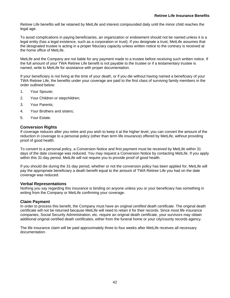Retiree Life benefits will be retained by MetLife and interest compounded daily until the minor child reaches the legal age.

To avoid complications in paying beneficiaries, an organization or endowment should not be named unless it is a legal entity (has a legal existence, such as a corporation or trust). If you designate a trust, MetLife assumes that the designated trustee is acting in a proper fiduciary capacity unless written notice to the contrary is received at the home office of MetLife.

MetLife and the Company are not liable for any payment made to a trustee before receiving such written notice. If the full amount of your TWA Retiree Life benefit is not payable to the trustee or if a testamentary trustee is named, write to MetLife for assistance with proper documentation.

If your beneficiary is not living at the time of your death, or if you die without having named a beneficiary of your TWA Retiree Life, the benefits under your coverage are paid to the first class of surviving family members in the order outlined below:

- 1. Your Spouse;
- 2. Your Children or stepchildren;
- 3. Your Parents;
- 4. Your Brothers and sisters;
- 5. Your Estate.

# **Conversion Rights**

If coverage reduces after you retire and you wish to keep it at the higher level, you can convert the amount of the reduction in coverage to a personal policy (other than term life insurance) offered by MetLife, without providing proof of good health.

To convert to a personal policy, a Conversion Notice and first payment must be received by MetLife within 31 days of the date coverage was reduced. You may request a Conversion Notice by contacting MetLife. If you apply within this 31-day period, MetLife will not require you to provide proof of good health.

If you should die during the 31-day period, whether or not the conversion policy has been applied for, MetLife will pay the appropriate beneficiary a death benefit equal to the amount of TWA Retiree Life you had on the date coverage was reduced.

#### **Verbal Representations**

Nothing you say regarding this insurance is binding on anyone unless you or your beneficiary has something in writing from the Company or MetLife confirming your coverage.

# **Claim Payment**

In order to process this benefit, the Company must have an *original certified death certificate*. The original death certificate will not be returned because MetLife will need to retain it for their records. Since most life insurance companies, Social Security Administration, etc. require an original death certificate, your survivors may obtain additional original certified death certificates, either from the funeral home or your city/county records agency.

The life insurance claim will be paid approximately three to four weeks after MetLife receives all necessary documentation.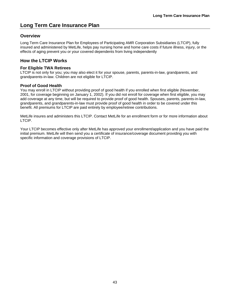# **Long Term Care Insurance Plan**

# **Overview**

Long Term Care Insurance Plan for Employees of Participating AMR Corporation Subsidiaries (LTCIP), fully insured and administered by MetLife, helps pay nursing home and home care costs if future illness, injury, or the effects of aging prevent you or your covered dependents from living independently

# **How the LTCIP Works**

# **For Eligible TWA Retirees**

LTCIP is not only for you; you may also elect it for your spouse, parents, parents-in-law, grandparents, and grandparents-in-law. Children are not eligible for LTCIP.

# **Proof of Good Health**

You may enroll in LTCIP without providing proof of good health if you enrolled when first eligible (November, 2001, for coverage beginning on January 1, 2002). If you did not enroll for coverage when first eligible, you may add coverage at any time, but will be required to provide proof of good health. Spouses, parents, parents-in-law, grandparents, and grandparents-in-law must provide proof of good health in order to be covered under this benefit. All premiums for LTCIP are paid entirely by employee/retiree contributions.

MetLife insures and administers this LTCIP. Contact MetLife for an enrollment form or for more information about LTCIP.

Your LTCIP becomes effective only after MetLife has approved your enrollment/application and you have paid the initial premium. MetLife will then send you a certificate of insurance/coverage document providing you with specific information and coverage provisions of LTCIP.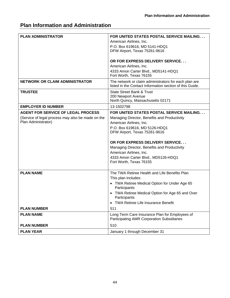# **Plan Information and Administration**

| <b>PLAN ADMINISTRATOR</b>                         | FOR UNITED STATES POSTAL SERVICE MAILING                                                                          |  |
|---------------------------------------------------|-------------------------------------------------------------------------------------------------------------------|--|
|                                                   | American Airlines, Inc.                                                                                           |  |
|                                                   | P.O. Box 619616, MD 5141-HDQ1                                                                                     |  |
|                                                   | DFW Airport, Texas 75261-9616                                                                                     |  |
|                                                   |                                                                                                                   |  |
|                                                   | OR FOR EXPRESS DELIVERY SERVICE                                                                                   |  |
|                                                   | American Airlines, Inc.                                                                                           |  |
|                                                   | 4333 Amon Carter Blvd., MD5141-HDQ1                                                                               |  |
|                                                   | Fort Worth, Texas 76155                                                                                           |  |
| <b>NETWORK OR CLAIM ADMINISTRATOR</b>             | The network or claim administrators for each plan are<br>listed in the Contact Information section of this Guide. |  |
| <b>TRUSTEE</b>                                    | <b>State Street Bank &amp; Trust</b>                                                                              |  |
|                                                   | 200 Newport Avenue                                                                                                |  |
|                                                   | North Quincy, Massachusetts 02171                                                                                 |  |
| <b>EMPLOYER ID NUMBER</b>                         | 13-1502798                                                                                                        |  |
| <b>AGENT FOR SERVICE OF LEGAL PROCESS</b>         | FOR UNITED STATES POSTAL SERVICE MAILING                                                                          |  |
| (Service of legal process may also be made on the | Managing Director, Benefits and Productivity                                                                      |  |
| Plan Administrator)                               | American Airlines, Inc.                                                                                           |  |
|                                                   | P.O. Box 619616, MD 5126-HDQ1                                                                                     |  |
|                                                   | DFW Airport, Texas 75261-9616                                                                                     |  |
|                                                   |                                                                                                                   |  |
|                                                   | OR FOR EXPRESS DELIVERY SERVICE                                                                                   |  |
|                                                   | Managing Director, Benefits and Productivity                                                                      |  |
|                                                   | American Airlines, Inc.<br>4333 Amon Carter Blvd., MD5126-HDQ1                                                    |  |
|                                                   | Fort Worth, Texas 76155                                                                                           |  |
|                                                   |                                                                                                                   |  |
| <b>PLAN NAME</b>                                  | The TWA Retiree Health and Life Benefits Plan                                                                     |  |
|                                                   | This plan includes:                                                                                               |  |
|                                                   | • TWA Retiree Medical Option for Under Age 65                                                                     |  |
|                                                   | Participants                                                                                                      |  |
|                                                   | • TWA Retiree Medical Option for Age 65 and Over<br>Participants                                                  |  |
|                                                   | TWA Retiree Life Insurance Benefit                                                                                |  |
| <b>PLAN NUMBER</b>                                | 511                                                                                                               |  |
| <b>PLAN NAME</b>                                  | Long Term Care Insurance Plan for Employees of                                                                    |  |
|                                                   | Participating AMR Corporation Subsidiaries                                                                        |  |
| <b>PLAN NUMBER</b>                                | 510                                                                                                               |  |
| <b>PLAN YEAR</b>                                  | January 1 through December 31                                                                                     |  |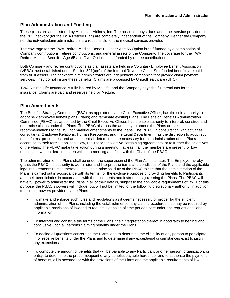# **Plan Administration and Funding**

These plans are administered by American Airlines, Inc. The hospitals, physicians and other service providers in the PPO network (for the TWA Retiree Plan) are completely independent of the Company. Neither the Company nor the network/claim administrators are responsible for the medical services provided.

The coverage for the TWA Retiree Medical Benefit-- Under Age 65 Option is self-funded by a combination of Company contributions, retiree contributions, and general assets of the Company. The coverage for the TWA Retiree Medical Benefit – Age 65 and Over Option is self-funded by retiree contributions.

Both Company and retiree contributions as plan assets are held in a Voluntary Employee Benefit Association (VEBA) trust established under Section 501(c)(9) of the Internal Revenue Code. Self-funded benefits are paid from trust assets. The network/claim administrators are independent companies that provide claim payment services. They do not insure these benefits. Claims are processed by UnitedHealthcare (UHC).

TWA Retiree Life Insurance is fully insured by MetLife, and the Company pays the full premiums for this insurance. Claims are paid and reserves held by MetLife.

# **Plan Amendments**

The Benefits Strategy Committee (BSC), as appointed by the Chief Executive Officer, has the sole authority to adopt new employee benefit plans (Plans) and terminate existing Plans. The Pension Benefits Administration Committee (PBAC), as appointed by the Chief Executive Officer, has the sole authority to interpret, construe and determine claims under the Plans. The PBAC also has the authority to amend the Plans or make recommendations to the BSC for material amendments to the Plans. The PBAC, in consultation with actuaries, consultants, Employee Relations, Human Resources, and the Legal Department, has the discretion to adopt such rules, forms, procedures, and amendments it determines are necessary for the administration of the Plans according to their terms, applicable law, regulations, collective bargaining agreements, or to further the objectives of the Plans. The PBAC make take action during a meeting if at least half the members are present, or bay unanimous written decision taken without a meeting and filed with the Chair of the PBAC.

The administration of the Plans shall be under the supervision of the Plan Administrator. The Employer hereby grants the PBAC the authority to administer and interpret the terms and conditions of the Plans and the applicable legal requirements related thereto. It shall be a principal duty of the PBAC to see that the administration of the Plans is carried out in accordance with its terms, for the exclusive purpose of providing benefits to Participants and their beneficiaries in accordance with the documents and instruments governing the Plans. The PBAC will have full power to administer the Plans in all of their details, subject to the applicable requirements of law. For this purpose, the PBAC's powers will include, but will not be limited to, the following discretionary authority, in addition to all other powers provided by the Plans:

- To make and enforce such rules and regulations as it deems necessary or proper for the efficient administration of the Plans, including the establishment of any claim procedures that may be required by applicable provisions of law and to request extension of time periods hereunder and request additional information;
- To interpret and construe the terms of the Plans, their interpretation thereof in good faith to be final and conclusive upon all persons claiming benefits under the Plans;
- To decide all questions concerning the Plans, and to determine the eligibility of any person to participate in or receive benefits under the Plans and to determine if any exceptional circumstances exist to justify any extensions;
- To compute the amount of benefits that will be payable to any Participant or other person, organization, or entity, to determine the proper recipient of any benefits payable hereunder and to authorize the payment of benefits, all in accordance with the provisions of the Plans and the applicable requirements of law;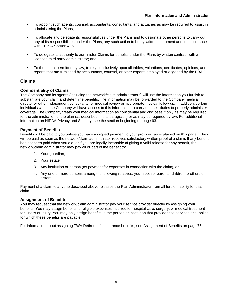- To appoint such agents, counsel, accountants, consultants, and actuaries as may be required to assist in administering the Plans;
- To allocate and delegate its responsibilities under the Plans and to designate other persons to carry out any of its responsibilities under the Plans, any such action to be by written instrument and in accordance with ERISA Section 405;
- To delegate its authority to administer Claims for benefits under the Plans by written contract with a licensed third party administrator; and
- To the extent permitted by law, to rely conclusively upon all tables, valuations, certificates, opinions, and reports that are furnished by accountants, counsel, or other experts employed or engaged by the PBAC.

# **Claims**

# **Confidentiality of Claims**

The Company and its agents (including the network/claim administrators) will use the information you furnish to substantiate your claim and determine benefits. The information may be forwarded to the Company medical director or other independent consultants for medical review or appropriate medical follow-up. In addition, certain individuals within the Company will have access to this information to carry out their duties to properly administer coverage. The Company treats your medical information as confidential and discloses it only as may be required for the administration of the plan (as described in this paragraph) or as may be required by law. For additional information on HIPAA Privacy and Security, see the section beginning on page 63.

# **Payment of Benefits**

Benefits will be paid to you unless you have assigned payment to your provider (as explained on this page). They will be paid as soon as the network/claim administrator receives satisfactory written proof of a claim. If any benefit has not been paid when you die, or if you are legally incapable of giving a valid release for any benefit, the network/claim administrator may pay all or part of the benefit to:

- 1. Your guardian,
- 2. Your estate,
- 3. Any institution or person (as payment for expenses in connection with the claim), or
- 4. Any one or more persons among the following relatives: your spouse, parents, children, brothers or sisters.

Payment of a claim to anyone described above releases the Plan Administrator from all further liability for that claim.

# **Assignment of Benefits**

You may request that the network/claim administrator pay your service provider directly by assigning your benefits. You may assign benefits for eligible expenses incurred for hospital care, surgery, or medical treatment for illness or injury. You may only assign benefits to the person or institution that provides the services or supplies for which these benefits are payable.

For information about assigning TWA Retiree Life Insurance benefits, see Assignment of Benefits on page 76.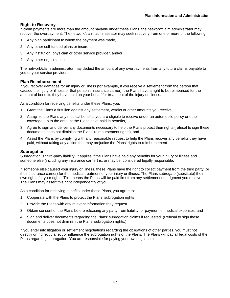# **Right to Recovery**

If claim payments are more than the amount payable under these Plans, the network/claim administrator may recover the overpayment. The network/claim administrator may seek recovery from one or more of the following:

- 1. Any plan participant to whom the payment was made,
- 2. Any other self-funded plans or insurers,
- 3. Any institution, physician or other service provider, and/or
- 4. Any other organization.

The network/claim administrator may deduct the amount of any overpayments from any future claims payable to you or your service providers.

#### **Plan Reimbursement**

If you recover damages for an injury or illness (for example, if you receive a settlement from the person that caused the injury or illness or that person's insurance carrier), the Plans have a right to be reimbursed for the amount of benefits they have paid on your behalf for treatment of the injury or illness.

As a condition for receiving benefits under these Plans, you:

- 1. Grant the Plans a first lien against any settlement, verdict or other amounts you receive,
- 2. Assign to the Plans any medical benefits you are eligible to receive under an automobile policy or other coverage, up to the amount the Plans have paid in benefits,
- 3. Agree to sign and deliver any documents necessary to help the Plans protect their rights (refusal to sign these documents does not diminish the Plans' reimbursement rights), and
- 4. Assist the Plans by complying with any reasonable request to help the Plans recover any benefits they have paid, without taking any action that may prejudice the Plans' rights to reimbursement.

#### **Subrogation**

Subrogation is third-party liability. It applies if the Plans have paid any benefits for your injury or illness and someone else (including any insurance carrier) is, or may be, considered legally responsible.

If someone else caused your injury or illness, these Plans have the right to collect payment from the third party (or their insurance carrier) for the medical treatment of your injury or illness. The Plans subrogate (substitute) their own rights for your rights. This means the Plans will be paid first from any settlement or judgment you receive. The Plans may assert this right independently of you.

As a condition for receiving benefits under these Plans, you agree to:

- 1. Cooperate with the Plans to protect the Plans' subrogation rights
- 2. Provide the Plans with any relevant information they request
- 3. Obtain consent of the Plans before releasing any party from liability for payment of medical expenses, and
- 4. Sign and deliver documents regarding the Plans' subrogation claims if requested. (Refusal to sign these documents does not diminish the Plans' subrogation rights.)

If you enter into litigation or settlement negotiations regarding the obligations of other parties, you must not directly or indirectly affect or influence the subrogation rights of the Plans. The Plans will pay all legal costs of the Plans regarding subrogation. You are responsible for paying your own legal costs.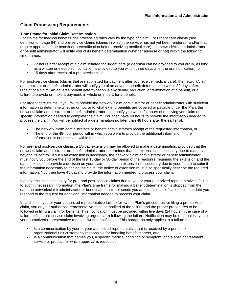# **Claim Processing Requirements**

# **Time Frame for Initial Claim Determination**

For claims for medical benefits, the processing rules vary by the type of claim. For urgent care claims (see definition on page 84) and pre-service claims (claims in which the service has not yet been rendered, and/or that require approval of the benefit or precertification before receiving medical care), the network/claim administrator or benefit administrator will notify you of its benefit determination (whether adverse or not) within the following time frames:

- 72 hours after receipt of a claim initiated for urgent care (a decision can be provided to you orally, as long as a written or electronic notification is provided to you within three days after the oral notification), or
- 15 days after receipt of a pre-service claim.

For post-service claims (claims that are submitted for payment after you receive medical care), the network/claim administrator or benefit administrator will notify you of an adverse benefit determination within 30 days after receipt of a claim. An adverse benefit determination is any denial, reduction, or termination of a benefit, or a failure to provide or make a payment, in whole or in part, for a benefit.

For urgent care claims, if you fail to provide the network/claim administrator or benefit administrator with sufficient information to determine whether or not, or to what extent, benefits are covered or payable under the Plan, the network/claim administrator or benefit administrator must notify you within 24 hours of receiving you claim of the specific information needed to complete the claim. You then have 48 hours to provide the information needed to process the claim. You will be notified of a determination no later than 48 hours after the earlier of:

- The network/claim administrator's or benefit administrator's receipt of the requested information, or
- The end of the 48-hour period within which you were to provide the additional information, if the information is not received within that time.

For pre- and post-service claims, a 15-day extension may be allowed to make a determination, provided that the network/claim administrator or benefit administrator determines that the extension is necessary due to matters beyond its control. If such an extension is necessary, the network/claim administrator or benefit administrator must notify you before the end of the first 15-day or 30-day period of the reason(s) requiring the extension and the date it expects to provide a decision on your claim. If such an extension is necessary due to your failure to submit the information necessary to decide the claim, the notice of extension must also specifically describe the required information. You then have 45 days to provide the information needed to process your claim.

If an extension is necessary for pre- and post-service claims due to you or your authorized representative's failure to submit necessary information, the Plan's time frame for making a benefit determination is stopped from the date the network/claim administrator or benefit administrator sends you an extension notification until the date you respond to the request for additional information needed to process your claim.

In addition, if you or your authorized representative fails to follow the Plan's procedures for filing a pre-service claim, you or your authorized representative must be notified of the failure and the proper procedures to be followed in filing a claim for benefits. This notification must be provided within five days (24 hours in the case of a failure to file a pre-service claim involving urgent care) following the failure. Notification may be oral, unless you or your authorized representative requests written notification. This paragraph only applies to a failure that:

- Is a communication by your or your authorized representative that is received by a person or organizational unit customarily responsible for handling benefit matters, and
- Is a communication that names you, a specific medical condition or symptom, and a specific treatment, service or product for which approval is requested.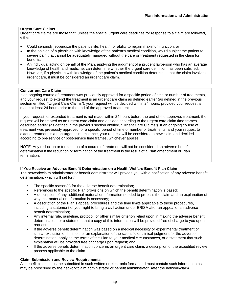#### **Urgent Care Claims**

Urgent care claims are those that, unless the special urgent care deadlines for response to a claim are followed, either:

- Could seriously jeopardize the patient's life, health, or ability to regain maximum function, or
- In the opinion of a physician with knowledge of the patient's medical condition, would subject the patient to severe pain that cannot be adequately managed without the care or treatment requested in the claim for benefits.
- An individual acting on behalf of the Plan, applying the judgment of a prudent layperson who has an average knowledge of health and medicine, can determine whether the urgent care definition has been satisfied. However, if a physician with knowledge of the patient's medical condition determines that the claim involves urgent care, it must be considered an urgent care claim.

#### **Concurrent Care Claim**

If an ongoing course of treatment was previously approved for a specific period of time or number of treatments, and your request to extend the treatment is an urgent care claim as defined earlier (as defined in the previous section entitled, "Urgent Care Claims"), your request will be decided within 24 hours, provided your request is made at least 24 hours prior to the end of the approved treatment.

If your request for extended treatment is not made within 24 hours before the end of the approved treatment, the request will be treated as an urgent care claim and decided according to the urgent care claim time frames described earlier (as defined in the previous section entitled, "Urgent Care Claims"). If an ongoing course of treatment was previously approved for a specific period of time or number of treatments, and your request to extend treatment is a non-urgent circumstance, your request will be considered a new claim and decided according to pre-service or post-service time frames, whichever applies.

NOTE: Any reduction or termination of a course of treatment will not be considered an adverse benefit determination if the reduction or termination of the treatment is the result of a Plan amendment or Plan termination.

#### **If You Receive an Adverse Benefit Determination on a Health/Welfare Benefit Plan Claim**

The network/claim administrator or benefit administrator will provide you with a notification of any adverse benefit determination, which will set forth:

- The specific reason(s) for the adverse benefit determination;
- References to the specific Plan provisions on which the benefit determination is based;
- A description of any additional material or information needed to process the claim and an explanation of why that material or information is necessary;
- A description of the Plan's appeal procedures and the time limits applicable to those procedures, including a statement of your right to bring a civil action under ERISA after an appeal of an adverse benefit determination;
- Any internal rule, guideline, protocol, or other similar criterion relied upon in making the adverse benefit determination, or a statement that a copy of this information will be provided free of charge to you upon request;
- If the adverse benefit determination was based on a medical necessity or experimental treatment or similar exclusion or limit, either an explanation of the scientific or clinical judgment for the adverse determination, applying the terms of the Plan to your medical circumstances, or a statement that such explanation will be provided free of charge upon request; and
- If the adverse benefit determination concerns an urgent care claim, a description of the expedited review process applicable to the claim.

#### **Claim Submission and Review Requirements**

All benefit claims must be submitted in such written or electronic format and must contain such information as may be prescribed by the network/claim administrator or benefit administrator. After the network/claim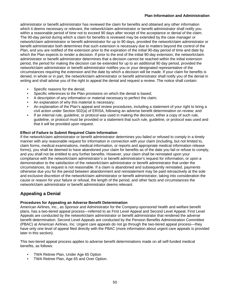#### **Plan Information and Administration**

administrator or benefit administrator has reviewed the claim for benefits and obtained any other information which it deems necessary or relevant, the network/claim administrator or benefit administrator shall notify you within a reasonable period of time not to exceed 90 days after receipt of the acceptance or denial of the claim. The 90-day period during which a claim for benefits is reviewed may be extended by the case manager or network/claim administrator or benefit administrator for up to 90 days, provided the network/claim administrator or benefit administrator both determines that such extension is necessary due to matters beyond the control of the Plan, and you are notified of the extension prior to the expiration of the initial 90-day period of time and date by which the Plan expects to render a decision. If prior to the end of the initial 90-day extension, the network/claim administrator or benefit administrator determines that a decision cannot be reached within the initial extension period, the period for making the decision can be extended for up to an additional 90 day period, provided the network/claim administrator or benefit administrator notifies you or your designated representative of the circumstances requiring the extension and the date by which a decision will be made. If your claim for benefits is denied, in whole or in part, the network/claim administrator or benefit administrator shall notify you of the denial in writing and shall advise you of the right to appeal the denial and request a review. The notice shall contain:

- Specific reasons for the denial;
- Specific references to the Plan provisions on which the denial is based;
- A description of any information or material necessary to perfect the claim;
- An explanation of why this material is necessary:
- An explanation of the Plan's appeal and review procedures, including a statement of your right to bring a civil action under Section 502(a) of ERISA, following an adverse benefit determination on review; and
- If an internal rule, guideline, or protocol was used in making the decision, either a copy of such rule, guideline, or protocol must be provided or a statement that such rule, guideline, or protocol was used and that it will be provided upon request.

# **Effect of Failure to Submit Required Claim Information**

If the network/claim administrator or benefit administrator determines you failed or refused to comply in a timely manner with any reasonable request for information in connection with your claim (including, but not limited to, claim forms, medical examinations, medical information, or reports and appropriate medical information release forms), you shall be deemed to have abandoned your claim for benefits as of the date you fail or refuse to comply, and you shall not be entitled to any further benefits. However, your claim shall be reinstated upon your compliance with the network/claim administrator's or benefit administrator's request for information, or upon a demonstration to the satisfaction of the network/claim administrator or benefit administrator that under the circumstances, its request is not reasonable. If a claim is abandoned and subsequently reinstated, payments otherwise due you for the period between abandonment and reinstatement may be paid retroactively at the sole and exclusive discretion of the network/claim administrator or benefit administrator, taking into consideration the cause or reason for your failure or refusal, the length of the period, and other facts and circumstances the network/claim administrator or benefit administrator deems relevant.

# **Appealing a Denial**

#### **Procedures for Appealing an Adverse Benefit Determination**

American Airlines, Inc., as Sponsor and Administrator for the Company-sponsored health and welfare benefit plans, has a two-tiered appeal process—referred to as First Level Appeal and Second Level Appeal. First Level Appeals are conducted by the network/claim administrator or benefit administrator that rendered the adverse benefit determination. Second Level Appeals are conducted by the Pension Benefits Administration Committee (PBAC) at American Airlines, Inc. Urgent care appeals do not go through the two-tiered appeal process—they have only one level of appeal filed directly with the PBAC (more information about urgent care appeals is provided later in this section).

This two-tiered appeal process applies to adverse benefit determinations made on all self-funded medical benefits, as follows:

- TWA Retiree Plan, Under Age 65 Option
- TWA Retiree Plan, Age 65 and Over Option.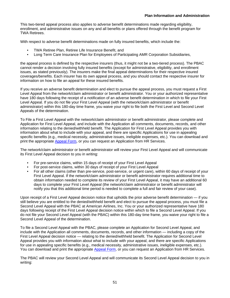This two-tiered appeal process also applies to adverse benefit determinations made regarding eligibility, enrollment, and administrative issues on any and all benefits or plans offered through the benefit program for TWA Retirees.

With respect to adverse benefit determinations made on fully insured benefits, which include the:

- TWA Retiree Plan, Retiree Life Insurance Benefit, and
- Long Term Care Insurance Plan for Employees of Participating AMR Corporation Subsidiaries,

the appeal process is defined by the respective insurers (thus, it might not be a two-tiered process). The PBAC cannot render a decision involving fully insured benefits (except for administrative, eligibility, and enrollment issues, as stated previously). The insurers make the final appeal determinations for their respective insured coverages/benefits. Each insurer has its own appeal process, and you should contact the respective insurer for information on how to file an appeal for these insured benefits.

If you receive an adverse benefit determination and elect to pursue the appeal process, you must request a First Level Appeal from the network/claim administrator or benefit administrator. You or your authorized representative have 180 days following the receipt of a notification of an adverse benefit determination in which to file your First Level Appeal. If you do not file your First Level Appeal (with the network/claim administrator or benefit administrator) within this 180-day time frame, you waive your right to file both the First Level and Second Level Appeals of the determination.

To File a First Level Appeal with the network/claim administrator or benefit administrator, please complete and Application for First Level Appeal, and include with the Application all comments, documents, records, and other information relating to the denied/withheld benefit. The Application for First Level Appeal provides you with information about what to include with your appeal, and there are specific Applications for use in appealing specific benefits (e.g., medical necessity, administrative issues, ineligible expenses, etc.). You can download and print the appropriate Appeal Form, or you can request an Application from HR Services.

The network/claim administrator or benefit administrator will review your First Level Appeal and will communicate its First Level Appeal decision to you in writing:

- For pre-service claims, within 15 days of receipt of your First Level Appeal
- For post-service claims, within 30 days of receipt of your First Level Appeal
- For all other claims (other than pre-service, post-service, or urgent care), within 60 days of receipt of your First Level Appeal. If the network/claim administrator or benefit administrator requires additional time to obtain information needed to complete its review of your First Level Appeal, it may have an additional 60 days to complete your First Level Appeal (the network/claim administrator or benefit administrator will notify you that this additional time period is needed to complete a full and fair review of your case).

Upon receipt of a First Level Appeal decision notice that upholds the prior adverse benefit determination — if you still believe you are entitled to the denied/withheld benefit and elect to pursue the appeal process, you must file a Second Level Appeal with the PBAC at American Airlines, Inc. You or your authorized representative have 180 days following receipt of the First Level Appeal decision notice within which to file a Second Level Appeal. If you do not file your Second Level Appeal (with the PBAC) within this 180-day time frame, you waive your right to file a Second Level Appeal of the determination.

To file a Second Level Appeal with the PBAC, please complete an Application for Second Level Appeal, and include with the Application all comments, documents, records, and other information — including a copy of the First Level Appeal decision notice — relating to the denied/withheld benefit. The Application for Second Level Appeal provides you with information about what to include with your appeal, and there are specific Applications for use in appealing specific benefits (e.g., medical necessity, administrative issues, ineligible expenses, etc.). You can download and print the appropriate Appeal Form, or you can request an Application from HR Services.

The PBAC will review your Second Level Appeal and will communicate its Second Level Appeal decision to you in writing: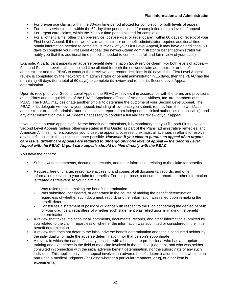- For pre-service claims, within the 30-day time period allotted for completion of both levels of appeal
- For post-service claims, within the 60-day time period allotted for completion of both levels of appeal
- For urgent care claims, within the 72-hour time period allotted for completion
- For all other claims (other than pre-service, post-service, or urgent care), within 60 days of receipt of your First Level Appeal. If the network/claim administrator or benefit administrator requires additional time to obtain information needed to complete its review of your First Level Appeal, it may have an additional 60 days to complete your First Level Appeal (the network/claim administrator or benefit administrator will notify you that this additional time period is needed to complete a full and fair review of your case)

Example: A participant appeals an adverse benefit determination (post-service claim). For both levels of appeal— First and Second Levels—the combined time allotted for both the network/claim administrator or benefit administrator and the PBAC to conduct their reviews and render decisions is 60 days. If the First Level Appeal review is completed by the network/claim administrator or benefit administrator in 15 days, then the PBAC has the remaining 45 days (for a total of 60 days) to complete its review and render its Second Level Appeal determination.

Upon its receipt of your Second Level Appeal, the PBAC will review it in accordance with the terms and provisions of the Plans and the guidelines of the PBAC. Appointed officers of American Airlines, Inc. are members of the PBAC. The PBAC may designate another official to determine the outcome of your Second Level Appeal. The PBAC or its delegate will review your appeal, including all evidence you submit, reports from the network/claim administrator or benefit administrator, consultation reports from independent clinical authorities (if applicable), and any other information the PBAC deems necessary to conduct a full and fair review of your appeal.

If you elect to pursue appeals of adverse benefit determinations, it is mandatory that you file both First Level and Second Level Appeals (unless otherwise stated in this Guide) as part of the Plans' administrative remedies, and American Airlines, Inc. encourages you to use the appeal processes to exhaust all avenues in efforts to resolve any benefit issues in the quickest manner possible. *However, if you elect to pursue an appeal of an urgent care issue, urgent care appeals are required to undergo only one level of appeal — the Second Level Appeal with the PBAC. Urgent care appeals should be filed directly with the PBAC.* 

You have the right to:

- Submit written comments, documents, records, and other information relating to the claim for benefits
- Request, free of charge, reasonable access to and copies of all documents, records, and other information relevant to your claim for benefits. For this purpose, a document, record, or other information is treated as "relevant" to your claim if it:
	- Was relied upon in making the benefit determination
	- Was submitted, considered, or generated in the course of making the benefit determination, regardless of whether such document, record, or other information was relied upon in making the benefit determination
	- Constitutes a statement of policy or guidance with respect to the Plan concerning the denied benefit for your diagnosis, regardless of whether such statement was relied upon in making the benefit determination
- A review that takes into account all comments, documents, records, and other information submitted by you related to the claim, regardless of whether the information was submitted or considered in the initial benefit determination
- A review that does not defer to the initial adverse benefit determination and that is conducted neither by the individual who made the adverse determination, nor that person's subordinate
- A review in which the named fiduciary consults with a health care professional who has appropriate training and experience in the field of medicine involved in the medical judgment, and who was neither consulted in connection with the initial adverse benefit determination, nor the subordinate of any such individual. This applies only if the appeal involves an adverse benefit determination based in whole or in part upon a medical judgment (including whether a particular treatment, drug, or other item is experimental)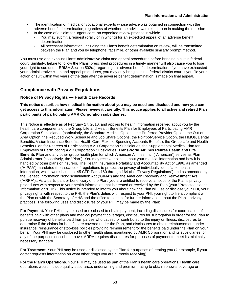- The identification of medical or vocational experts whose advice was obtained in connection with the adverse benefit determination, regardless of whether the advice was relied upon in making the decision
- In the case of a claim for urgent care, an expedited review process in which:
	- You may submit a request (orally or in writing) for an expedited appeal of an adverse benefit determination
	- All necessary information, including the Plan's benefit determination on review, will be transmitted between the Plan and you by telephone, facsimile, or other available similarly prompt method.

You must use and exhaust Plans' administrative claim and appeal procedures before bringing a suit in federal court. Similarly, failure to follow the Plans' prescribed procedures in a timely manner will also cause you to lose your right to sue under ERISA Section 502(a) regarding an adverse benefit determination. If you have exhausted your administrative claim and appeal procedures, you may only bring suit in a federal district court if you file your action or suit within two years of the date after the adverse benefit determination is made on final appeal.

# **Compliance with Privacy Regulations**

# **Notice of Privacy Rights — Health Care Records**

# **This notice describes how medical information about you may be used and disclosed and how you can get access to this information. Please review it carefully. This notice applies to all active and retired Plan participants of participating AMR Corporation subsidiaries.**

This Notice is effective as of February 17, 2010, and applies to health information received about you by the health care components of the Group Life and Health Benefits Plan for Employees of Participating AMR Corporation Subsidiaries (particularly, the Standard Medical Options, the Preferred Provider Option, the Out-of-Area Option, the Reduced Work Schedule and Job Share Options, the Point-of-Service Option, the HMOs, Dental Benefits, Vision Insurance Benefits, Health Care Flexible Spending Accounts Benefit ), the Group Life and Health Benefits Plan for Retirees of Participating AMR Corporation Subsidiaries, the Supplemental Medical Plan for Employees of Participating AMR Corporation Subsidiaries, **TransWorld Airlines Retiree Health and Life Benefits Plan** and any other group health plan for which American Airlines, Inc. ("American") serves as Plan Administrator (collectively, the "Plan"). You may receive notices about your medical information and how it is handled by other plans or insurers. The Health Insurance Portability and Accountability Act of 1996, as amended ("HIPAA") mandated the issuance of regulations to protect the privacy of individually identifiable health information, which were issued at 45 CFR Parts 160 through 164 (the "Privacy Regulations") and as amended by the Genetic Information Nondiscrimination Act ("GINA") and the American Recovery and Reinvestment Act ("ARRA").. As a participant or beneficiary of the Plan, you are entitled to receive a notice of the Plan's privacy procedures with respect to your health information that is created or received by the Plan (your "Protected Health Information" or "PHI"). This notice is intended to inform you about how the Plan will use or disclose your PHI, your privacy rights with respect to the PHI, the Plan's duties with respect to your PHI, your right to file a complaint with the Plan or with the Secretary of HHS and the office to contact for further information about the Plan's privacy practices. The following uses and disclosures of your PHI may be made by the Plan:

**For Payment.** Your PHI may be used or disclosed to obtain payment, including disclosures for coordination of benefits paid with other plans and medical payment coverages, disclosures for subrogation in order for the Plan to pursue recovery of benefits paid from parties who caused or contributed to the injury or illness, disclosures to determine if the claims for benefits are covered under the Plan, and disclosures to obtain reimbursement under insurance, reinsurance or stop-loss policies providing reimbursement for the benefits paid under the Plan on your behalf. Your PHI may be disclosed to other health plans maintained by AMR Corporation and its subsidiaries for any of the purposes described above. ARRA requires disclosures for purposes of payment to meet its minimally necessary standard.

**For Treatment.** Your PHI may be used or disclosed by the Plan for purposes of treating you (for example, if your doctor requests information on what other drugs you are currently receiving).

**For the Plan's Operations.** Your PHI may be used as part of the Plan's health care operations. Health care operations would include quality assurance, underwriting and premium rating to obtain renewal coverage or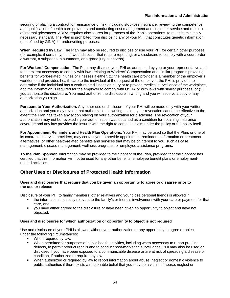securing or placing a contract for reinsurance of risk, including stop-loss insurance, reviewing the competence and qualification of health care providers and conducting cost management and customer service and resolution of internal grievances. ARRA requires disclosures for purposes of the Plan's operations to meet its minimally necessary standard. The Plan is prohibited from disclosing any of your PHI that constitutes genetic information (as defined by GINA) for underwriting purposes.

**When Required by Law.** The Plan may also be required to disclose or use your PHI for certain other purposes (for example, if certain types of wounds occur that require reporting, or a disclosure to comply with a court order, a warrant, a subpoena, a summons, or a grand jury subpoena).

**For Workers' Compensation.** The Plan may disclose your PHI as authorized by you or your representative and to the extent necessary to comply with laws relating to Workers' Compensation and similar programs providing benefits for work-related injuries or illnesses if either, (1) the health care provider is a member of the employer's workforce and provides health care to the individual at the request of the employer, the PHI is provided to determine if the individual has a work-related illness or injury or to provide medical surveillance of the workplace, and the information is required for the employer to comply with OSHA or with laws with similar purposes, or (2) you authorize the disclosure. You must authorize the disclosure in writing and you will receive a copy of any authorization you sign.

**Pursuant to Your Authorization.** Any other use or disclosure of your PHI will be made only with your written authorization and you may revoke that authorization in writing, except your revocation cannot be effective to the extent the Plan has taken any action relying on your authorization for disclosure. The revocation of your authorization may not be revoked if your authorization was obtained as a condition for obtaining insurance coverage and any law provides the insurer with the right to contest a claim under the policy or the policy itself.

**For Appointment Reminders and Health Plan Operations.** Your PHI may be used so that the Plan, or one of its contracted service providers, may contact you to provide appointment reminders, information on treatment alternatives, or other health-related benefits and services that may be of interest to you, such as case management, disease management, wellness programs, or employee assistance programs.

**To the Plan Sponsor.** Information may be provided to the Sponsor of the Plan, provided that the Sponsor has certified that this information will not be used for any other benefits, employee benefit plans or employmentrelated activities.

# **Other Uses or Disclosures of Protected Health Information**

#### **Uses and disclosures that require that you be given an opportunity to agree or disagree prior to the use or release**

Disclosure of your PHI to family members, other relatives and your close personal friends is allowed if:

- the information is directly relevant to the family's or friend's involvement with your care or payment for that care, and
- you have either agreed to the disclosure or have been given an opportunity to object and have not objected.

# **Uses and disclosures for which authorization or opportunity to object is not required**

Use and disclosure of your PHI is allowed without your authorization or any opportunity to agree or object under the following circumstances:

- When required by law.
- When permitted for purposes of public health activities, including when necessary to report product defects, to permit product recalls and to conduct post-marketing surveillance. PHI may also be used or disclosed if you have been exposed to a communicable disease or are at risk of spreading a disease or condition, if authorized or required by law.
- When authorized or required by law to report information about abuse, neglect or domestic violence to public authorities if there exists a reasonable belief that you may be a victim of abuse, neglect or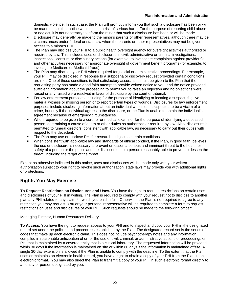domestic violence. In such case, the Plan will promptly inform you that such a disclosure has been or will be made unless that notice would cause a risk of serious harm. For the purpose of reporting child abuse or neglect, it is not necessary to inform the minor that such a disclosure has been or will be made.

- Disclosure may generally be made to the minor's parents or other representatives, although there may be circumstances under federal or state law when the parents or other representatives may not be given access to a minor's PHI.
- The Plan may disclose your PHI to a public health oversight agency for oversight activities authorized or required by law. This includes uses or disclosures in civil, administrative or criminal investigations; inspections; licensure or disciplinary actions (for example, to investigate complaints against providers); and other activities necessary for appropriate oversight of government benefit programs (for example, to investigate Medicare or Medicaid fraud).
- The Plan may disclose your PHI when required for judicial or administrative proceedings. For example, your PHI may be disclosed in response to a subpoena or discovery request provided certain conditions are met. One of those conditions is that satisfactory assurances must be given to the Plan that the requesting party has made a good faith attempt to provide written notice to you, and the notice provided sufficient information about the proceeding to permit you to raise an objection and no objections were raised or any raised were resolved in favor of disclosure by the court or tribunal.
- For law enforcement purposes, including for the purpose of identifying or locating a suspect, fugitive, material witness or missing person or to report certain types of wounds. Disclosures for law enforcement purposes include disclosing information about an individual who is or is suspected to be a victim of a crime, but only if the individual agrees to the disclosure, or the Plan is unable to obtain the individual's agreement because of emergency circumstances.
- When required to be given to a coroner or medical examiner for the purpose of identifying a deceased person, determining a cause of death or other duties as authorized or required by law. Also, disclosure is permitted to funeral directors, consistent with applicable law, as necessary to carry out their duties with respect to the decedent.
- The Plan may use or disclose PHI for research, subject to certain conditions.
- When consistent with applicable law and standards of ethical conduct, if the Plan, in good faith, believes the use or disclosure is necessary to prevent or lessen a serious and imminent threat to the health or safety of a person or the public and the disclosure is to a person reasonably able to prevent or lessen the threat, including the target of the threat.

Except as otherwise indicated in this notice, uses and disclosures will be made only with your written authorization subject to your right to revoke such authorization. state laws may provide you with additional rights or protections.

# **Rights You May Exercise**

**To Request Restrictions on Disclosures and Uses.** You have the right to request restrictions on certain uses and disclosures of your PHI in writing. The Plan is required to comply with your request not to disclose to another plan any PHI related to any claim for which you paid in full. Otherwise, the Plan is not required to agree to any restriction you may request. You or your personal representative will be required to complete a form to request restrictions on uses and disclosures of your PHI. Such requests should be made to the following officer:

Managing Director, Human Resources Delivery.

**To Access.** You have the right to request access to your PHI and to inspect and copy your PHI in the designated record set under the policies and procedures established by the Plan. The designated record set is the series of codes that make up each electronic claim. This does not include psychotherapy notes and any information compiled in reasonable anticipation of or for the use of civil, criminal, or administrative actions or proceedings or PHI that is maintained by a covered entity that is a clinical laboratory. The requested information will be provided within 30 days if the information is maintained on site or within 60 days if the information is maintained offsite. A single 30-day extension is allowed if the Plan is unable to comply with the deadline. To the extent that the Plan uses or maintains an electronic health record, you have a right to obtain a copy of your PHI from the Plan in an electronic format. You may also direct the Plan to transmit a copy of your PHI in such electronic format directly to an entity or person designated by you.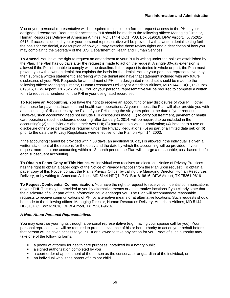You or your personal representative will be required to complete a form to request access to the PHI in your designated record set. Requests for access to PHI should be made to the following officer: Managing Director, Human Resources Delivery at American Airlines, MD 5144-HDQ1, P.O. Box 619616, DFW Airport, TX 75261- 9616. If access is denied, you or your personal representative will be provided with a written denial setting forth the basis for the denial, a description of how you may exercise those review rights and a description of how you may complain to the Secretary of the U.S. Department of Health and Human Services.

**To Amend.** You have the right to request an amendment to your PHI in writing under the policies established by the Plan. The Plan has 60 days after the request is made to act on the request. A single 30-day extension is allowed if the Plan is unable to comply with the deadline. If the request is denied in whole or part, the Plan must provide you with a written denial that explains the basis for the denial. You or your personal representative may then submit a written statement disagreeing with the denial and have that statement included with any future disclosures of your PHI. Requests for amendment of PHI in a designated record set should be made to the following officer: Managing Director, Human Resources Delivery at American Airlines, MD 5144-HDQ1, P.O. Box 619616, DFW Airport, TX 75261-9616. You or your personal representative will be required to complete a written form to request amendment of the PHI in your designated record set.

**To Receive an Accounting.** You have the right to receive an accounting of any disclosures of your PHI, other than those for payment, treatment and health care operations. At your request, the Plan will also provide you with an accounting of disclosures by the Plan of your PHI during the six years prior to the date of your request. However, such accounting need not include PHI disclosures made: (1) to carry out treatment, payment or health care operations (such disclosures occurring after January 1, 2014, will be required to be included in the accounting); (2) to individuals about their own PHI; (3) pursuant to a valid authorization; (4) incident to a use or disclosure otherwise permitted or required under the Privacy Regulations; (5) as part of a limited data set; or (6) prior to the date the Privacy Regulations were effective for the Plan on April 14, 2003.

If the accounting cannot be provided within 60 days, an additional 30 days is allowed if the individual is given a written statement of the reasons for the delay and the date by which the accounting will be provided. If you request more than one accounting within a 12-month period, the Plan will charge a reasonable, cost-based fee for each subsequent accounting.

**To Obtain a Paper Copy of This Notice.** An individual who receives an electronic Notice of Privacy Practices has the right to obtain a paper copy of the Notice of Privacy Practices from the Plan upon request. To obtain a paper copy of this Notice, contact the Plan's Privacy Officer by calling the Managing Director, Human Resources Delivery, or by writing to American Airlines, MD 5144-HDQ1, P.O. Box 619616, DFW Airport, TX 75261-9616.

**To Request Confidential Communication.** You have the right to request to receive confidential communications of your PHI. This may be provided to you by alternative means or at alternative locations if you clearly state that the disclosure of all or part of the information could endanger you. The Plan will accommodate reasonable requests to receive communications of PHI by alternative means or at alternative locations. Such requests should be made to the following officer: Managing Director, Human Resources Delivery, American Airlines, MD 5144- HDQ1, P.O. Box 619616, DFW Airport, TX 75261-9616.

# *A Note About Personal Representatives*

You may exercise your rights through a personal representative (e.g., having your spouse call for you). Your personal representative will be required to produce evidence of his or her authority to act on your behalf before that person will be given access to your PHI or allowed to take any action for you. Proof of such authority may take one of the following forms:

- a power of attorney for health care purposes, notarized by a notary public
- **a** signed authorization completed by you
- a court order of appointment of the person as the conservator or guardian of the individual, or
- an individual who is the parent of a minor child.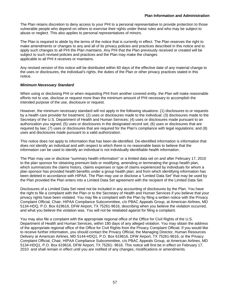The Plan retains discretion to deny access to your PHI to a personal representative to provide protection to those vulnerable people who depend on others to exercise their rights under these rules and who may be subject to abuse or neglect. This also applies to personal representatives of minors.

The Plan is required to abide by the terms of the notice that is currently in effect. The Plan reserves the right to make amendments or changes to any and all of its privacy policies and practices described in this notice and to apply such changes to all PHI the Plan maintains. Any PHI that the Plan previously received or created will be subiect to such revised policies and practices and the Plan may make the changes applicable to all PHI it receives or maintains.

Any revised version of this notice will be distributed within 60 days of the effective date of any material change to the uses or disclosures, the individual's rights, the duties of the Plan or other privacy practices stated in this notice.

#### *Minimum Necessary Standard*

When using or disclosing PHI or when requesting PHI from another covered entity, the Plan will make reasonable efforts not to use, disclose or request more than the minimum amount of PHI necessary to accomplish the intended purpose of the use, disclosure or request.

However, the minimum necessary standard will not apply in the following situations: (1) disclosures to or requests by a health care provider for treatment; (2) uses or disclosures made to the individual; (3) disclosures made to the Secretary of the U.S. Department of Health and Human Services; (4) uses or disclosures made pursuant to an authorization you signed; (5) uses or disclosures in the designated record set; (6) uses or disclosures that are required by law; (7) uses or disclosures that are required for the Plan's compliance with legal regulations; and (8) uses and disclosures made pursuant to a valid authorization.

This notice does not apply to information that has been de-identified. De-identified information is information that does not identify an individual and with respect to which there is no reasonable basis to believe that the information can be used to identify an individual is not individually identifiable health information.

The Plan may use or disclose "summary health information" or a limited data set on and after February 17, 2010 to the plan sponsor for obtaining premium bids or modifying, amending or terminating the group health plan, which summarizes the claims history, claims expenses or type of claims experienced by individuals for whom a plan sponsor has provided health benefits under a group health plan; and from which identifying information has been deleted in accordance with HIPAA. The Plan may use or disclose a "Limited Data Set" that may be used by the Plan provided the Plan enters into a Limited Data Set agreement with the recipient of the Limited Data Set.

Disclosures of a Limited Data Set need not be included in any accounting of disclosures by the Plan. You have the right to file a complaint with the Plan or to the Secretary of Health and Human Services if you believe that your privacy rights have been violated. You may file a complaint with the Plan by filing a written notice with the Privacy Complaint Official, Chair, HIPAA Compliance Subcommittee, c/o PBAC Appeals Group, at American Airlines, MD 5134-HDQ, P.O. Box 619616, DFW Airport, TX 75261-9616, describing when you believe the violation occurred, and what you believe the violation was. You will not be retaliated against for filing a complaint.

You may also file a complaint with the appropriate regional office of the Office for Civil Rights of the U.S. Department of Health and Human Services, within 180 days of any alleged violation. You may obtain the address of the appropriate regional office of the Office for Civil Rights from the Privacy Complaint Official. If you would like to receive further information, you should contact the Privacy Official, the Managing Director, Human Resources Delivery at American Airlines, MD 5144-HDQ1, P.O. Box 619616, DFW Airport, TX 75261-9616, or the Privacy Complaint Official, Chair, HIPAA Compliance Subcommittee, c/o PBAC Appeals Group, at American Airlines, MD 5134-HDQ1, P.O. Box 619616, DFW Airport, TX 75261- 9616. This notice will first be in effect on February 17, 2010 and shall remain in effect until you are notified of any changes, modifications or amendments.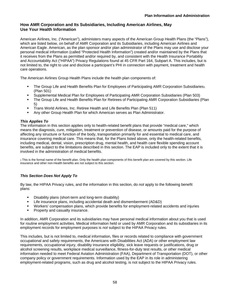# **How AMR Corporation and Its Subsidiaries, Including American Airlines, May Use Your Health Information**

American Airlines, Inc. ("American"), administers many aspects of the American Group Health Plans (the "Plans"), which are listed below, on behalf of AMR Corporation and its Subsidiaries, including American Airlines and American Eagle. American, as the plan sponsor and/or plan administrator of the Plans may use and disclose your personal medical information (called "Protected Health Information") created and/or maintained by the Plans that it receives from the Plans as permitted and/or required by, and consistent with the Health Insurance Portability and Accountability Act ("HIPAA") Privacy Regulations found at 45 CFR Part 164, Subpart A. This includes, but is not limited to, the right to use and disclose a participant's PHI in connection with payment, treatment and health care operations.

The American Airlines Group Health Plans include the health plan components of:

- The Group Life and Health Benefits Plan for Employees of Participating AMR Corporation Subsidiaries<sub>1</sub> (Plan 501)
- Supplemental Medical Plan for Employees of Participating AMR Corporation Subsidiaries (Plan 503)
- The Group Life and Health Benefits Plan for Retirees of Participating AMR Corporation Subsidiaries (Plan 5)
- Trans World Airlines, Inc. Retiree Health and Life Benefits Plan (Plan 511)
- Any other Group Health Plan for which American serves as Plan Administrator.

# *This Applies To*

The information in this section applies only to health-related benefit plans that provide "medical care," which means the diagnosis, cure, mitigation, treatment or prevention of disease, or amounts paid for the purpose of affecting any structure or function of the body, transportation primarily for and essential to medical care, and insurance covering medical care. This means that, for the Plans listed above, only the health-related benefits, including medical, dental, vision, prescription drug, mental health, and health care flexible spending account benefits, are subject to the limitations described in this section. The EAP is included only to the extent that it is involved in the administration of medical benefits.

1 This is the formal name of the benefit plan. Only the health plan components of this benefit plan are covered by this section. Life insurance and other non-Health benefits are not subject to this section.

# *This Section Does Not Apply To*

By law, the HIPAA Privacy rules, and the information in this section, do *not* apply to the following benefit plans:

- Disability plans (short-term and long-term disability)
- Life insurance plans, including accidental death and dismemberment (AD&D)
- Workers' compensation plans, which provide benefits for employment-related accidents and injuries
- Property and casualty insurance.

In addition, AMR Corporation and its subsidiaries may have personal medical information about you that is used for routine employment activities. Medical information held or used by AMR Corporation and its subsidiaries in its employment records for employment purposes is *not* subject to the HIPAA Privacy rules.

This includes, but is not limited to, medical information, files or records related to compliance with government occupational and safety requirements, the Americans with Disabilities Act (ADA) or other employment law requirements, occupational injury, disability insurance eligibility, sick leave requests or justifications, drug or alcohol screening results, workplace medical surveillance, fitness-for-duty test results, or other medical information needed to meet Federal Aviation Administration (FAA), Department of Transportation (DOT), or other company policy or government requirements. Information used by the EAP in its role in administering employment-related programs, such as drug and alcohol testing, is not subject to the HIPAA Privacy rules.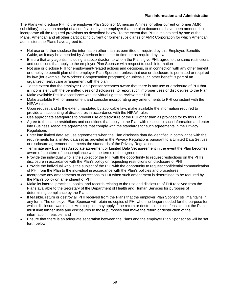#### **Plan Information and Administration**

The Plans will disclose PHI to the employer Plan Sponsor (American Airlines, or other current or former AMR subsidiary) only upon receipt of a certification by the employer that the plan documents have been amended to incorporate all the required provisions as described below. To the extent that PHI is maintained by one of the Plans, American and all other participating current or former subsidiaries of AMR Corporation for which American administers the Plans have agreed to:

- Not use or further disclose the information other than as permitted or required by this Employee Benefits Guide, as it may be amended by American from time-to-time, or as required by law
- Ensure that any agents, including a subcontractor, to whom the Plans give PHI, agree to the same restrictions and conditions that apply to the employer Plan Sponsor with respect to such information
- Not use or disclose PHI for employment-related actions and decisions, or in connection with any other benefit or employee benefit plan of the employer Plan Sponsor , unless that use or disclosure is permitted or required by law (for example, for Workers' Compensation programs) or unless such other benefit is part of an organized health care arrangement with the plan
- To the extent that the employer Plan Sponsor becomes aware that there is any use or disclosure of PHI that is inconsistent with the permitted uses or disclosures, to report such improper uses or disclosures to the Plan
- Make available PHI in accordance with individual rights to review their PHI
- Make available PHI for amendment and consider incorporating any amendments to PHI consistent with the HIPAA rules
- Upon request and to the extent mandated by applicable law, make available the information required to provide an accounting of disclosures in accordance with the HIPAA rules
- Use appropriate safeguards to prevent use or disclosure of the PHI other than as provided for by this Plan
- Agree to the same restrictions and conditions that apply to the Plan with respect to such information and enter into Business Associate agreements that comply with the standards for such agreements in the Privacy **Regulations**
- Enter into limited data set use agreements when the Plan discloses data de-identified in compliance with the requirements for a limited data set as provided in the Privacy Regulations pursuant to a Limited Data Set use or disclosure agreement that meets the standards of the Privacy Regulations
- Terminate any Business Associate agreement or Limited Data Set agreement in the event the Plan becomes aware of a pattern of noncompliance with the terms of the agreement
- Provide the individual who is the subject of the PHI with the opportunity to request restrictions on the PHI's disclosure in accordance with the Plan's policy on requesting restrictions on disclosure of PHI
- Provide the individual who is the subject of the PHI with the opportunity to request confidential communication of PHI from the Plan to the individual in accordance with the Plan's policies and procedures
- Incorporate any amendments or corrections to PHI when such amendment is determined to be required by the Plan's policy on amendment of PHI
- Make its internal practices, books, and records relating to the use and disclosure of PHI received from the Plans available to the Secretary of the Department of Health and Human Services for purposes of determining compliance by the Plans
- If feasible, return or destroy all PHI received from the Plans that the employer Plan Sponsor still maintains in any form. The employer Plan Sponsor will retain no copies of PHI when no longer needed for the purpose for which disclosure was made. An exception may apply if the return or destruction is not feasible, but the Plans must limit further uses and disclosures to those purposes that make the return or destruction of the information infeasible, and
- Ensure that there is an adequate separation between the Plans and the employer Plan Sponsor as will be set forth below.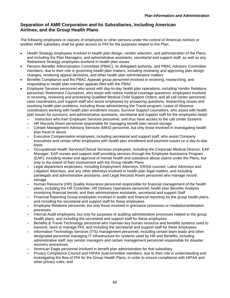# **Separation of AMR Corporation and Its Subsidiaries, Including American Airlines, and the Group Health Plans**

The following employees or classes of employees or other persons under the control of American Airlines or another AMR subsidiary shall be given access to PHI for the purposes related to the Plan:

- Health Strategy employees involved in health plan design, vendor selection, and administration of the Plans, and including the Plan Managers, and administrative assistants, secretarial and support staff; as well as any Retirement Strategy employees involved in health plan issues
- Pension Benefits Administration Committee (PBAC), its delegated authority, and PBAC Advisory Committee members, due to their role in governing health plan matters, including reviewing and approving plan design changes, rendering appeal decisions, and other health plan administrative matters
- Benefits Compliance and the PBAC Appeals group personnel involved in receiving, researching, and responding to health plan member appeals filed with the PBAC
- Employee Services personnel who assist with day-to-day health plan operations, including Vendor Relations personnel; Retirement Counselors, who assist with retiree medical coverage questions; employees involved in receiving, reviewing and processing Qualified Medical Child Support Orders; and all call center personnel, case coordinators and support staff who assist employees by answering questions, researching issues and resolving health plan problems, including those administering the Travel program; Leave of Absence coordinators working with health plan enrollment issues; Survivor Support counselors, who assist with health plan issues for survivors; and administrative assistants, secretarial and support staff for the employees listed:
	- Instructors who train Employee Services personnel, and thus have access to the call center Systems
	- HR Records Room personnel responsible for managing benefit plan record storage
	- Certain Management Advisory Services (MAS) personnel, but only those involved in investigating health plan fraud or abuse
	- Executive Compensation employees, including secretarial and support staff, who assist Company executives and certain other employees with health plan enrollment and payment issues on a day-to-day basis
	- Occupational Health Services/Clinical Services employees, including the Corporate Medical Director, EAP Manager, EAP nurses and support staff providing services through the Employee Assistance Program (EAP), including review and approval of mental health and substance abuse claims under the Plans, but only to the extent of their involvement with the Group Health Plans
	- Legal department employees, including Employment Attorneys, ERISA counsel, Labor Attorneys and Litigation Attorneys, and any other attorneys involved in health plan legal matters, and including paralegals and administrative assistants, and Legal Records Room personnel who manage record storage
	- Human Resource (HR) Quality Assurance personnel responsible for financial management of the health plans, including the HR Controller; HR Delivery Operations personnel; health plan Benefits Analysts monitoring financial trends; and their administrative assistants, secretarial and support Staff
	- Financial Reporting Group employees involved in audits and financial reporting for the group health plans, and including the secretarial and support staff for these employees
	- Employee Relations personnel, but only those involved in grievance processes or mediation/arbitration processes
	- Internal Audit employees, but only for purposes of auditing administrative processes related to the group health plans, and including the secretarial and support staff for these employees
	- Benefits & Travel Technology personnel who maintain key human resource and benefits systems used to transmit, store or manage PHI, and including the secretarial and support staff for these employees
	- Information Technology Services (ITS) management personnel, including certain team leads and other designated personnel managing IT infrastructure for systems used by HR and Benefits, including administrative staff, key vendor managers and certain management personnel responsible for disaster recovery procedures
	- American Eagle personnel involved in benefit plan administration for that subsidiary
	- Privacy Compliance Council and HIPAA Subcommittee members, due to their role in understanding and investigating the flow of PHI for the Group Health Plans, in order to ensure compliance with HIPAA and other privacy rules; and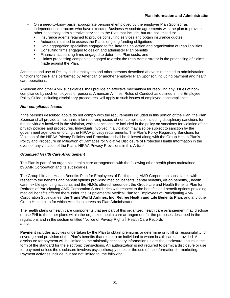- On a need-to-know basis, appropriate personnel employed by the employer Plan Sponsor as independent contractors who have executed Business Associate agreements with the plan to provide other necessary administrative services to the Plan that include, but are not limited to:
	- Insurance agents retained to provide consulting services and obtain insurance quotes
	- Actuaries retained to assess the Plan's ongoing funding obligations
	- **Data aggregation specialists engaged to facilitate the collection and organization of Plan liabilities**
	- **EXECONSUM** Consulting firms engaged to design and administer Plan benefits
	- **Financial accounting firms engaged to determine Plan costs; and**
	- Claims processing companies engaged to assist the Plan Administrator in the processing of claims made against the Plan.

Access to and use of PHI by such employees and other persons described above is restricted to administration functions for the Plans performed by American or another employer Plan Sponsor, including payment and health care operations.

American and other AMR subsidiaries shall provide an effective mechanism for resolving any issues of noncompliance by such employees or persons. American Airlines' Rules of Conduct as outlined in the Employee Policy Guide, including disciplinary procedures, will apply to such issues of employee noncompliance.

#### *Non-compliance Issues*

If the persons described above do not comply with the requirements included in this portion of the Plan, the Plan Sponsor shall provide a mechanism for resolving issues of non-compliance, including disciplinary sanctions for the individuals involved in the violation, which sanctions are included in the policy on sanctions for violation of the privacy policies and procedures. Individuals involved in a violation may also be subject to sanction by the government agencies enforcing the HIPAA privacy requirements. The Plan's Policy Regarding Sanctions for Violation of the HIPAA Privacy Policies and Procedures shall be followed along with the Group Health Plan's Policy and Procedure on Mitigation of Damages for Violative Disclosure of Protected Health Information in the event of any violation of the Plan's HIPAA Privacy Provisions in this Article.

#### *Organized Health Care Arrangement*

The Plan is part of an organized health care arrangement with the following other health plans maintained by AMR Corporation and its subsidiaries.

The Group Life and Health Benefits Plan for Employees of Participating AMR Corporation subsidiaries with respect to the benefits and benefit options providing medical benefits, dental benefits, vision benefits, , health care flexible spending accounts and the HMOs offered hereunder, the Group Life and Health Benefits Plan for Retirees of Participating AMR Corporation Subsidiaries with respect to the benefits and benefit options providing medical benefits offered thereunder, the Supplemental Medical Plan for Employees of Participating AMR Corporation Subsidiaries, **the Trans World Airlines, Inc. Retiree Health and Life Benefits Plan**, and any other Group Health plan for which American serves as Plan Administrator.

The health plans or health care components that are part of this organized health care arrangement may disclose or use PHI to the other plans within the organized health care arrangement for the purposes described in the regulations and in the section entitled "Notice of Privacy Rights | Health Care Records" above.

**Payment** includes activities undertaken by the Plan to obtain premiums or determine or fulfill its responsibility for coverage and provision of the Plan's benefits that relate to an individual to whom health care is provided. A disclosure for payment will be limited to the minimally necessary information unless the disclosure occurs in the form of the standard for the electronic transactions. An authorization is not required to permit a disclosure or use for payment unless the disclosure involves psychotherapy notes or the use of the information for marketing. Payment activities include, but are not limited to, the following: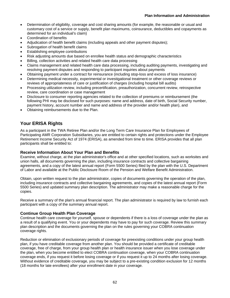- Determination of eligibility, coverage and cost sharing amounts (for example, the reasonable or usual and customary cost of a service or supply, benefit plan maximums, coinsurance, deductibles and copayments as determined for an individual's claim)
- Coordination of benefits
- Adjudication of health benefit claims (including appeals and other payment disputes);
- Subrogation of health benefit claims
- Establishing employee contributions
- Risk adjusting amounts due based on enrollee health status and demographic characteristics
- Billing, collection activities and related health care data processing
- Claims management and related health care data processing, including auditing payments, investigating and resolving payment disputes and responding to participant inquiries about payments
- Obtaining payment under a contract for reinsurance (including stop-loss and excess of loss insurance)
- Determining medical necessity, experimental or investigational treatment or other coverage reviews or reviews of appropriateness of care or justification of charges (including hospital bill audits)
- Processing utilization review, including precertification, preauthorization, concurrent review, retrospective review, care coordination or case management
- Disclosure to consumer reporting agencies related to the collection of premiums or reimbursement (the following PHI may be disclosed for such purposes: name and address, date of birth, Social Security number, payment history, account number and name and address of the provider and/or health plan), and
- Obtaining reimbursements due to the Plan.

# **Your ERISA Rights**

As a participant in the TWA Retiree Plan and/or the Long Term Care Insurance Plan for Employees of Participating AMR Corporation Subsidiaries, you are entitled to certain rights and protections under the Employee Retirement Income Security Act of 1974 (ERISA), as amended from time to time. ERISA provides that all plan participants shall be entitled to:

# **Receive Information About Your Plan and Benefits**

Examine, without charge, at the plan administrator's office and at other specified locations, such as worksites and union halls, all documents governing the plan, including insurance contracts and collective bargaining agreements, and a copy of the latest annual report (Form 5500 Series) filed by the plan with the U.S. Department of Labor and available at the Public Disclosure Room of the Pension and Welfare Benefit Administration.

Obtain, upon written request to the plan administrator, copies of documents governing the operation of the plan, including insurance contracts and collective bargaining agreements, and copies of the latest annual report (Form 5500 Series) and updated summary plan description. The administrator may make a reasonable charge for the copies.

Receive a summary of the plan's annual financial report. The plan administrator is required by law to furnish each participant with a copy of the summary annual report.

# **Continue Group Health Plan Coverage**

Continue health care coverage for yourself, spouse or dependents if there is a loss of coverage under the plan as a result of a qualifying event. You or your dependents may have to pay for such coverage. Review this summary plan description and the documents governing the plan on the rules governing your COBRA continuation coverage rights.

Reduction or elimination of exclusionary periods of coverage for preexisting conditions under your group health plan, if you have creditable coverage from another plan. You should be provided a certificate of creditable coverage, free of charge, from your group health plan or health insurance issuer when you lose coverage under the plan, when you become entitled to elect COBRA continuation coverage, when your COBRA continuation coverage ends, if you request it before losing coverage or if you request it up to 24 months after losing coverage. Without evidence of creditable coverage, you may be subject to a pre-existing condition exclusion for 12 months (18 months for late enrollees) after your enrollment date in your coverage.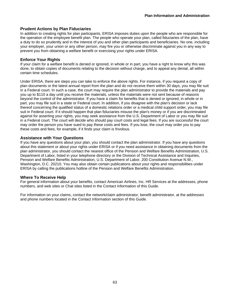# **Prudent Actions by Plan Fiduciaries**

In addition to creating rights for plan participants, ERISA imposes duties upon the people who are responsible for the operation of the employee benefit plan. The people who operate your plan, called fiduciaries of the plan, have a duty to do so prudently and in the interest of you and other plan participants and beneficiaries. No one, including your employer, your union or any other person, may fire you or otherwise discriminate against you in any way to prevent you from obtaining a welfare benefit or exercising your rights under ERISA.

# **Enforce Your Rights**

If your claim for a welfare benefit is denied or ignored, in whole or in part, you have a right to know why this was done, to obtain copies of documents relating to the decision without charge, and to appeal any denial, all within certain time schedules.

Under ERISA, there are steps you can take to enforce the above rights. For instance, if you request a copy of plan documents or the latest annual report from the plan and do not receive them within 30 days, you may file suit in a Federal court. In such a case, the court may require the plan administrator to provide the materials and pay you up to \$110 a day until you receive the materials, unless the materials were not sent because of reasons beyond the control of the administrator. If you have a claim for benefits that is denied or ignored, in whole or in part, you may file suit in a state or Federal court. In addition, if you disagree with the plan's decision or lack thereof concerning the qualified status of a domestic relations order or a medical child support order, you may file suit in Federal court. If it should happen that plan fiduciaries misuse the plan's money or if you are discriminated against for asserting your rights, you may seek assistance from the U.S. Department of Labor or you may file suit in a Federal court. The court will decide who should pay court costs and legal fees. If you are successful the court may order the person you have sued to pay these costs and fees. If you lose, the court may order you to pay these costs and fees, for example, if it finds your claim is frivolous.

#### **Assistance with Your Questions**

If you have any questions about your plan, you should contact the plan administrator. If you have any questions about this statement or about your rights under ERISA or if you need assistance in obtaining documents from the plan administrator, you should contact the nearest office of the Pension and Welfare Benefits Administration, U.S. Department of Labor, listed in your telephone directory or the Division of Technical Assistance and Inquiries, Pension and Welfare Benefits Administration, U.S. Department of Labor, 200 Constitution Avenue N.W., Washington, D.C. 20210. You may also obtain certain publications about your rights and responsibilities under ERISA by calling the publications hotline of the Pension and Welfare Benefits Administration.

# **Where To Receive Help**

For general information about your benefits, contact American Airlines, Inc. HR Services at the addresses, phone numbers, and web sites or Chat sites listed in the Contact Information of this Guide.

For information on your claims, contact the network/claim administrator, benefit administrator, at the addresses and phone numbers located in the Contact Information section of this Guide.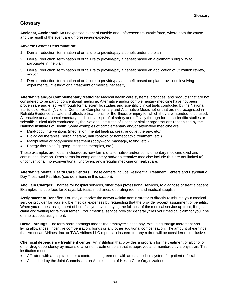# **Glossary**

**Accident, Accidental:** An unexpected event of outside and unforeseen traumatic force, where both the cause and the result of the event are unforeseen/unexpected.

#### **Adverse Benefit Determination:**

- 1. Denial, reduction, termination of or failure to provide/pay a benefit under the plan
- 2. Denial, reduction, termination of or failure to provide/pay a benefit based on a claimant's eligibility to participate in the plan
- 3. Denial, reduction, termination of or failure to provide/pay a benefit based on application of utilization review, and/or
- 4. Denial, reduction, termination of or failure to provide/pay a benefit based on plan provisions involving experimental/investigational treatment or medical necessity.

**Alternative and/or Complementary Medicine:** Medical health care systems, practices, and products that are not considered to be part of conventional medicine. Alternative and/or complementary medicine have not been proven safe and effective through formal scientific studies and scientific clinical trials conducted by the National Institutes of Health (National Center for Complementary and Alternative Medicine) or that are not recognized in Reliable Evidence as safe and effective treatments for the illness or injury for which they are intended to be used. Alternative and/or complementary medicine lack proof of safety and efficacy through formal, scientific studies or scientific clinical trials conducted by the National Institutes of Health or similar organizations recognized by the National Institutes of Health. Some examples of complementary and/or alternative medicine are:

- Mind-body interventions (meditation, mental healing, creative outlet therapy, etc.)
- Biological therapies (herbal therapy, naturopathic or homeopathic treatment, etc.)
- Manipulative or body-based treatment (body-work, massage, rolfing, etc.)
- Energy therapies (qi-gong, magnetic therapies, etc.).

These examples are not all inclusive, as new forms of alternative and/or complementary medicine exist and continue to develop. Other terms for complementary and/or alternative medicine include (but are not limited to) unconventional, non-conventional, unproven, and irregular medicine or health care.

**Alternative Mental Health Care Centers:** These centers include Residential Treatment Centers and Psychiatric Day Treatment Facilities (see definitions in this section).

**Ancillary Charges:** Charges for hospital services, other than professional services, to diagnose or treat a patient. Examples include fees for X-rays, lab tests, medicines, operating rooms and medical supplies.

**Assignment of Benefits:** You may authorize the network/claim administrator to directly reimburse your medical service provider for your eligible medical expenses by requesting that the provider accept assignment of benefits. When you request assignment of benefits, you avoid paying the full cost of the medical service up front, filing a claim and waiting for reimbursement. Your medical service provider generally files your medical claim for you if he or she accepts assignment.

**Basic Earnings:** The term basic earnings means the employee's base pay, excluding foreign increment and living allowances, incentive compensation, bonus or any other additional compensation. The amount of earnings that American Airlines, Inc. or TWA Airlines LLC reports to insurers for any retiree will be considered conclusive.

**Chemical dependency treatment center:** An institution that provides a program for the treatment of alcohol or other drug dependency by means of a written treatment plan that is approved and monitored by a physician. This institution must be:

- Affiliated with a hospital under a contractual agreement with an established system for patient referral
- Accredited by the Joint Commission on Accreditation of Health Care Organizations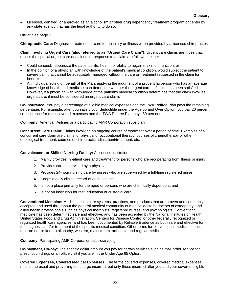Licensed, certified, or approved as an alcoholism or other drug dependency treatment program or center by any state agency that has the legal authority to do so.

# **Child:** See page 3.

**Chiropractic Care:** Diagnosis, treatment or care for an injury or illness when provided by a licensed chiropractor.

**Claim Involving Urgent Care (also referred to as "Urgent Care Claim"):** Urgent care claims are those that, unless the special urgent care deadlines for response to a claim are followed, either:

- Could seriously jeopardize the patient's life, health, or ability to regain maximum function, or
- In the opinion of a physician with knowledge of the patient's medical condition, would subject the patient to severe pain that cannot be adequately managed without the care or treatment requested in the claim for benefits.
- An individual acting on behalf of the Plan, applying the judgment of a prudent layperson who has an average knowledge of health and medicine, can determine whether the urgent care definition has been satisfied. However, if a physician with knowledge of the patient's medical condition determines that the claim involves urgent care, it must be considered an urgent care claim.

**Co-insurance:** You pay a percentage of eligible medical expenses and the TWA Retiree Plan pays the remaining percentage. For example, after you satisfy your deductible under the Age 65 and Over Option, you pay 20 percent co-insurance for most covered expenses and the TWA Retiree Plan pays 80 percent.

**Company:** American Airlines or a participating AMR Corporation subsidiary.

**Concurrent Care Claim:** Claims involving an ongoing course of treatment over a period of time. Examples of a concurrent care claim are claims for physical or occupational therapy, courses of chemotherapy or other oncological treatment, courses of chiropractic adjustment/treatment, etc.

# **Convalescent or Skilled Nursing Facility:** A licensed institution that:

- 1. Mainly provides Inpatient care and treatment for persons who are recuperating from illness or injury
- 2. Provides care supervised by a physician
- 3. Provides 24-hour nursing care by nurses who are supervised by a full-time registered nurse
- 4. Keeps a daily clinical record of each patient
- 5. Is not a place primarily for the aged or persons who are chemically dependent, and
- 6. Is not an institution for rest, education or custodial care.

**Conventional Medicine:** Medical health care systems, practices, and products that are proven and commonly accepted and used throughout the general medical community of medical doctors, doctors of osteopathy, and allied health professionals such as physical therapists, registered nurses, and psychologists. Conventional medicine has been determined safe and effective, and has been accepted by the National Institutes of Health, United States Food and Drug Administration, Centers for Disease Control or other federally recognized or regulated health care agencies, and has been documented by Reliable Evidence as both safe and effective for the diagnosis and/or treatment of the specific medical condition. Other terms for conventional medicine include (but are not limited to) allopathy, western, mainstream, orthodox, and regular medicine.

#### **Company:** Participating AMR Corporation subsidiary(ies)

**Co-payment, Co-pay:** The specific dollar amount you pay for certain services such as mail order service for prescription drugs or an office visit if you are in the Under Age 65 Option.

**Covered Expenses, Covered Medical Expenses:** The terms covered expenses, covered medical expenses, means the usual and prevailing fee charge incurred, but only those incurred after you and your covered eligible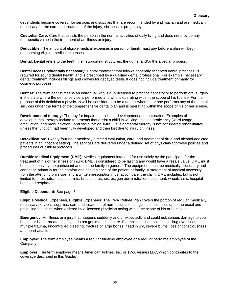dependents become covered, for services and supplies that are recommended by a physician and are medically necessary for the care and treatment of the injury, sickness or pregnancy.

**Custodial Care:** Care that assists the person in the normal activities of daily living and does not provide any therapeutic value in the treatment of an illness or injury.

**Deductible:** The amount of eligible medical expenses a person or family must pay before a plan will begin reimbursing eligible medical expenses.

**Dental:** Dental refers to the teeth, their supporting structures, the gums, and/or the alveolar process.

**Dental necessity/dentally necessary:** Dental treatment that follows generally accepted dental practices, is required for sound dental health, and is prescribed by a qualified dental professional. For example, necessary dental treatment includes fillings and crowns for decayed teeth. It does not include treatment primarily for cosmetic purposes.

**Dentist:** The term dentist means an individual who is duly licensed to practice dentistry or to perform oral surgery in the state where the dental service is performed and who is operating within the scope of his license. For the purpose of this definition a physician will be considered to be a dentist when he or she performs any of the dental services under the terms of the comprehensive dental plan and is operating within the scope of his or her license.

**Developmental therapy:** Therapy for impaired childhood development and maturation. Examples of developmental therapy include treatments that assist a child in walking, speech proficiency (word usage, articulation, and pronunciation), and socialization skills. Developmental therapy is not considered rehabilitative unless the function had been fully developed and then lost due to injury or illness.

**Detoxification:** Twenty-four hour medically directed evaluation, care, and treatment of drug-and alcohol-addicted patients in an inpatient setting. The services are delivered under a defined set of physician-approved policies and procedures or clinical protocols.

**Durable Medical Equipment (DME):** Medical equipment intended for use solely by the participant for the treatment of his or her illness or injury. DME is considered to be lasting and would have a resale value. DME must be usable only by the participant and not the family in general. The equipment must be medically necessary and cannot be primarily for the comfort and convenience of the patient or family. A statement of medical necessity from the attending physician and a written prescription must accompany the claim. DME includes, but is not limited to, prosthetics, casts, splints, braces, crutches, oxygen administration equipment, wheelchairs, hospital beds and respirators.

#### **Eligible Dependent:** See page 3.

**Eligible Medical Expenses, Eligible Expenses:** The TWA Retiree Plan covers the portion of regular, medically necessary services, supplies, care and treatment of non-occupational injuries or illnesses up to the usual and prevailing fee limits, when ordered by a licensed physician acting within the scope of his or her license.

**Emergency:** An illness or injury that happens suddenly and unexpectedly and could risk serious damage to your health, or is life-threatening if you do not get immediate care. Examples include poisoning, drug overdose, multiple trauma, uncontrolled bleeding, fracture of large bones, head injury, severe burns, loss of consciousness, and heart attack.

**Employee:** The term employee means a regular full-time employee or a regular part-time employee of the Company.

**Employer:** The term employer means American Airlines, Inc. or TWA Airlines LLC, which contributes to the coverage described in this Guide.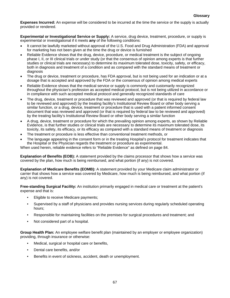**Expenses Incurred:** An expense will be considered to be incurred at the time the service or the supply is actually provided or rendered.

**Experimental or Investigational Service or Supply:** A service, drug device, treatment, procedure, or supply is experimental or investigational if it meets **any** of the following conditions:

- It cannot be lawfully marketed without approval of the U.S. Food and Drug Administration (FDA) and approval for marketing has not been given at the time the drug or device is furnished
- Reliable Evidence shows that the drug, device, procedure, or medical treatment is the subject of ongoing phase I, II, or III clinical trials or under study (or that the consensus of opinion among experts is that further studies or clinical trials are necessary) to determine its maximum tolerated dose, toxicity, safety, or efficacy, both in diagnosis and treatment of a condition and as compared with the standard means of treatment or diagnosis
- The drug or device, treatment or procedure, has FDA approval, but is not being used for an indication or at a dosage that is accepted and approved by the FDA or the consensus of opinion among medical experts
- Reliable Evidence shows that the medical service or supply is commonly and customarily recognized throughout the physician's profession as accepted medical protocol, but is not being utilized in accordance or in compliance with such accepted medical protocol and generally recognized standards of care
- The drug, device, treatment or procedure that was reviewed and approved (or that is required by federal law to be reviewed and approved) by the treating facility's Institutional Review Board or other body serving a similar function, or a drug, device, treatment or procedure that is used with a patient informed consent document that was reviewed and approved (or that is required by federal law to be reviewed and approved) by the treating facility's Institutional Review Board or other body serving a similar function
- A drug, device, treatment or procedure for which the prevailing opinion among experts, as shown by Reliable Evidence, is that further studies or clinical trials are necessary to determine its maximum tolerated dose, its toxicity, its safety, its efficacy, or its efficacy as compared with a standard means of treatment or diagnosis
- The treatment or procedure is less effective than conventional treatment methods, or
- The language appearing in the consent form or in the treating Hospital's protocol for treatment indicates that the Hospital or the Physician regards the treatment or procedure as experimental.

When used herein, reliable evidence refers to "Reliable Evidence" as defined on page 84.

**Explanation of Benefits (EOB):** A statement provided by the claims processor that shows how a service was covered by the plan, how much is being reimbursed, and what portion (if any) is not covered.

**Explanation of Medicare Benefits (EOMB):** A statement provided by your Medicare claim administrator or carrier that shows how a service was covered by Medicare, how much is being reimbursed, and what portion (if any) is not covered.

**Free-standing Surgical Facility:** An institution primarily engaged in medical care or treatment at the patient's expense and that is:

- Eligible to receive Medicare payments;
- Supervised by a staff of physicians and provides nursing services during regularly scheduled operating hours;
- Responsible for maintaining facilities on the premises for surgical procedures and treatment; and
- Not considered part of a hospital.

**Group Health Plan:** An employee welfare benefit plan (maintained by an employer or employee organization) providing, through insurance or otherwise:

- Medical, surgical or hospital care or benefits,
- Dental care benefits, and/or
- Benefits in event of sickness, accident, death or unemployment.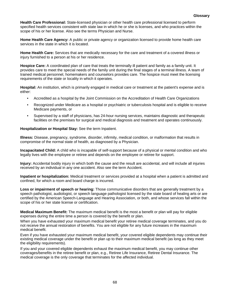**Health Care Professional:** State-licensed physician or other health care professional licensed to perform specified health services consistent with state law in which he or she is licenses, and who practices within the scope of his or her license. Also see the terms Physician and Nurse.

**Home Health Care Agency:** A public or private agency or organization licensed to provide home health care services in the state in which it is located.

**Home Health Care:** Services that are medically necessary for the care and treatment of a covered illness or injury furnished to a person at his or her residence.

**Hospice Care:** A coordinated plan of care that treats the terminally ill patient and family as a family unit. It provides care to meet the special needs of the family unit during the final stages of a terminal illness. A team of trained medical personnel, homemakers and counselors provides care. The hospice must meet the licensing requirements of the state or locality in which it operates.

**Hospital:** An institution, which is primarily engaged in medical care or treatment at the patient's expense and is either:

- Accredited as a hospital by the Joint Commission on the Accreditation of Health Care Organizations
- Recognized under Medicare as a hospital or psychiatric or tuberculosis hospital and is eligible to receive Medicare payments, or
- Supervised by a staff of physicians, has 24-hour nursing services, maintains diagnostic and therapeutic facilities on the premises for surgical and medical diagnosis and treatment and operates continuously.

#### **Hospitalization or Hospital Stay:** See the term Inpatient.

**Illness:** Disease, pregnancy, syndrome, disorder, infirmity, medical condition, or malformation that results in compromise of the normal state of health, as diagnosed by a Physician.

**Incapacitated Child:** A child who is incapable of self-support because of a physical or mental condition and who legally lives with the employee or retiree and depends on the employee or retiree for support.

**Injury:** Accidental bodily injury in which both the cause and the result are accidental, and will include all injuries received by an individual in any one accident. Also see the term Accident.

**Inpatient or hospitalization:** Medical treatment or services provided at a hospital when a patient is admitted and confined, for which a room and board charge is incurred.

**Loss or impairment of speech or hearing:** Those communicative disorders that are generally treatment by a speech pathologist, audiologist, or speech language pathologist licensed by the state board of healing arts or are certified by the American Speech-Language and Hearing Association, or both, and whose services fall within the scope of his or her state license or certification.

**Medical Maximum Benefit:** The maximum medical benefit is the most a benefit or plan will pay for eligible expenses during the entire time a person is covered by the benefit or plan.

When you have exhausted your maximum medical benefit your retiree medical coverage terminates, and you do not receive the annual restoration of benefits. You are not eligible for any future increases in the maximum medical benefit.

Even if you have exhausted your maximum medical benefit, your covered eligible dependents may continue their existing medical coverage under the benefit or plan up to their maximum medical benefit (as long as they meet the eligibility requirements).

If you and your covered eligible dependents exhaust the maximum medical benefit, you may continue other coverages/benefits in the retiree benefit or plan, e.g., Retiree Life Insurance, Retiree Dental Insurance. The medical coverage is the only coverage that terminates for the affected individual.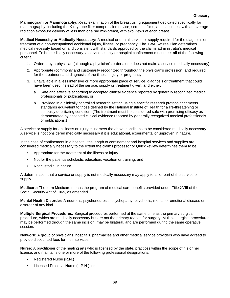**Mammogram or Mammography:** X-ray examination of the breast using equipment dedicated specifically for mammography, including the X-ray tube filter compression device, screens, films, and cassettes, with an average radiation exposure delivery of less than one rad mid-breast, with two views of each breast.

**Medical Necessity or Medically Necessary:** A medical or dental service or supply required for the diagnosis or treatment of a non-occupational accidental injury, illness, or pregnancy. The TWA Retiree Plan determines medical necessity based on and consistent with standards approved by the claims administrator's medical personnel. To be medically necessary, a service, supply or hospital confinement must meet **all** of the following criteria:

- 1. Ordered by a physician (although a physician's order alone does not make a service medically necessary)
- 2. Appropriate (commonly and customarily recognized throughout the physician's profession) and required for the treatment and diagnosis of the illness, injury or pregnancy
- 3. Unavailable in a less intensive or more appropriate place of service, diagnosis or treatment that could have been used instead of the service, supply or treatment given, and either:
	- a. Safe and effective according to accepted clinical evidence reported by generally recognized medical professionals or publications, or
	- b. Provided in a clinically controlled research setting using a specific research protocol that meets standards equivalent to those defined by the National Institute of Health for a life-threatening or seriously debilitating condition. (The treatment must be considered safe with promising efficacy as demonstrated by accepted clinical evidence reported by generally recognized medical professionals or publications.)

A service or supply for an illness or injury must meet the above conditions to be considered medically necessary. A service is not considered medically necessary if it is educational, experimental or unproven in nature.

In the case of confinement in a hospital, the length of confinement and hospital services and supplies are considered medically necessary to the extent the claims processor or QuickReview determines them to be:

- Appropriate for the treatment of the illness or injury
- Not for the patient's scholastic education, vocation or training, and
- Not custodial in nature.

A determination that a service or supply is not medically necessary may apply to all or part of the service or supply.

**Medicare:** The term Medicare means the program of medical care benefits provided under Title XVIII of the Social Security Act of 1965, as amended.

**Mental Health Disorder:** A neurosis, psychoneurosis, psychopathy, psychosis, mental or emotional disease or disorder of any kind.

**Multiple Surgical Procedures:** Surgical procedures performed at the same time as the primary surgical procedure, which are medically necessary but are not the primary reason for surgery. Multiple surgical procedures may be performed through the same incision, may be bilateral, and are performed during the same operative session.

**Network:** A group of physicians, hospitals, pharmacies and other medical service providers who have agreed to provide discounted fees for their services.

**Nurse:** A practitioner of the healing arts who is licensed by the state, practices within the scope of his or her license, and maintains one or more of the following professional designations:

- Registered Nurse (R.N.)
- Licensed Practical Nurse (L.P.N.), or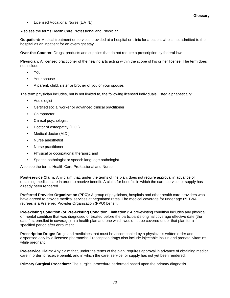• Licensed Vocational Nurse (L.V.N.).

Also see the terms Health Care Professional and Physician.

**Outpatient:** Medical treatment or services provided at a hospital or clinic for a patient who is not admitted to the hospital as an inpatient for an overnight stay.

**Over-the-Counter:** Drugs, products and supplies that do not require a prescription by federal law.

**Physician:** A licensed practitioner of the healing arts acting within the scope of his or her license. The term does not include:

- You
- Your spouse
- A parent, child, sister or brother of you or your spouse.

The term physician includes, but is not limited to, the following licensed individuals, listed alphabetically:

- Audiologist
- Certified social worker or advanced clinical practitioner
- Chiropractor
- Clinical psychologist
- Doctor of osteopathy (D.O.)
- Medical doctor (M.D.)
- Nurse anesthetist
- Nurse practitioner
- Physical or occupational therapist, and
- Speech pathologist or speech language pathologist.

Also see the terms Health Care Professional and Nurse.

**Post-service Claim:** Any claim that, under the terms of the plan, does not require approval in advance of obtaining medical care in order to receive benefit. A claim for benefits in which the care, service, or supply has already been rendered.

**Preferred Provider Organization (PPO):** A group of physicians, hospitals and other health care providers who have agreed to provide medical services at negotiated rates. The medical coverage for under age 65 TWA retirees is a Preferred Provider Organization (PPO) benefit.

**Pre-existing Condition (or Pre-existing Condition Limitation):** A pre-existing condition includes any physical or mental condition that was diagnosed or treated before the participant's original coverage effective date (the date first enrolled in coverage) in a health plan and one which would not be covered under that plan for a specified period after enrollment.

**Prescription Drugs:** Drugs and medicines that must be accompanied by a physician's written order and dispensed only by a licensed pharmacist. Prescription drugs also include injectable insulin and prenatal vitamins while pregnant.

**Pre-service Claim:** Any claim that, under the terms of the plan, requires approval in advance of obtaining medical care in order to receive benefit, and in which the care, service, or supply has not yet been rendered.

**Primary Surgical Procedure:** The surgical procedure performed based upon the primary diagnosis.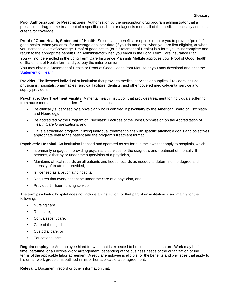**Prior Authorization for Prescriptions:** Authorization by the prescription drug program administrator that a prescription drug for the treatment of a specific condition or diagnosis meets all of the medical necessity and plan criteria for coverage.

**Proof of Good Health, Statement of Health:** Some plans, benefits, or options require you to provide "proof of good health" when you enroll for coverage at a later date (if you do not enroll when you are first eligible), or when you increase levels of coverage. Proof of good health (or a Statement of Health) is a form you must complete and return to the appropriate benefit Plan Administrator when you enroll in the Long Term Care Insurance Plan.

You will not be enrolled in the Long Term Care Insurance Plan until MetLife approves your Proof of Good Health or Statement of Health form and you pay the initial premium.

You may obtain a Statement of Health or Proof of Good Health from MetLife or you may download and print the Statement of Health.

**Provider:** The licensed individual or institution that provides medical services or supplies. Providers include physicians, hospitals, pharmacies, surgical facilities, dentists, and other covered medical/dental service and supply providers.

**Psychiatric Day Treatment Facility:** A mental health institution that provides treatment for individuals suffering from acute mental health disorders. The institution must:

- Be clinically supervised by a physician who is certified in psychiatry by the American Board of Psychiatry and Neurology,
- Be accredited by the Program of Psychiatric Facilities of the Joint Commission on the Accreditation of Health Care Organizations, and
- Have a structured program utilizing individual treatment plans with specific attainable goals and objectives appropriate both to the patient and the program's treatment format.

**Psychiatric Hospital:** An institution licensed and operated as set forth in the laws that apply to hospitals, which:

- Is primarily engaged in providing psychiatric services for the diagnosis and treatment of mentally ill persons, either by or under the supervision of a physician,
- Maintains clinical records on all patients and keeps records as needed to determine the degree and intensity of treatment provided,
- Is licensed as a psychiatric hospital,
- Requires that every patient be under the care of a physician, and
- Provides 24-hour nursing service.

The term psychiatric hospital does not include an institution, or that part of an institution, used mainly for the following:

- Nursing care,
- Rest care.
- Convalescent care,
- Care of the aged,
- Custodial care, or
- Educational care.

**Regular employee:** An employee hired for work that is expected to be continuous in nature. Work may be fulltime, part-time, or a Flexible Work Arrangement, depending of the business needs of the organization or the terms of the applicable labor agreement. A regular employee is eligible for the benefits and privileges that apply to his or her work group or is outlined in his or her applicable labor agreement.

**Relevant:** Document, record or other information that: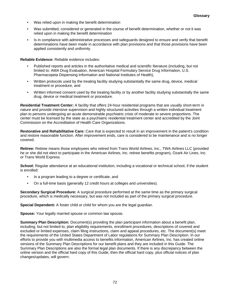- Was relied upon in making the benefit determination
- Was submitted, considered or generated in the course of benefit determination, whether or not it was relied upon in making the benefit determination
- Is in compliance with administrative processes and safeguards designed to ensure and verify that benefit determinations have been made in accordance with plan provisions and that those provisions have been applied consistently and uniformly.

**Reliable Evidence:** Reliable evidence includes:

- Published reports and articles in the authoritative medical and scientific literature (including, but not limited to: AMA Drug Evaluation, American Hospital Formulary Service Drug Information, U.S. Pharmacopeia Dispensing Information and National Institutes of Health),
- Written protocols used by the treating facility studying substantially the same drug, device, medical treatment or procedure, and
- Written informed consent used by the treating facility or by another facility studying substantially the same drug, device or medical treatment or procedure.

**Residential Treatment Center:** A facility that offers 24-hour residential programs that are usually short-term in nature and provide intensive supervision and highly structured activities through a written individual treatment plan to persons undergoing an acute demonstrable psychiatric crisis of moderate to severe proportions. The center must be licensed by the state as a psychiatric residential treatment center and accredited by the Joint Commission on the Accreditation of Health Care Organizations.

**Restorative and Rehabilitative Care:** Care that is expected to result in an improvement in the patient's condition and restore reasonable function. After improvement ends, care is considered to be maintenance and is no longer covered.

**Retiree:** Retiree means those employees who retired from Trans World Airlines, Inc., TWA Airlines LLC (provided he or she did not elect to participate in the American Airlines, Inc. retiree benefits program), Ozark Air Lines, Inc. or Trans World Express.

**School:** Regular attendance at an educational institution, including a vocational or technical school, if the student is enrolled:

- In a program leading to a degree or certificate, and
- On a full-time basis (generally 12 credit hours at colleges and universities).

**Secondary Surgical Procedure:** A surgical procedure performed at the same time as the primary surgical procedure, which is medically necessary, but was not included as part of the primary surgical procedure.

**Special Dependent:** A foster child or child for whom you are the legal guardian.

**Spouse:** Your legally married spouse or common law spouse.

**Summary Plan Description:** Document(s) providing the plan participant information about a benefit plan, including, but not limited to, plan eligibility requirements, enrollment procedures, descriptions of covered and excluded or limited expenses, claim filing instructions, claim and appeal procedures, etc. The document(s) meet the requirements of the United States Department of Labor regulations for Summary Plan Description. In our efforts to provide you with multimedia access to benefits information, American Airlines, Inc. has created online versions of the Summary Plan Descriptions for our benefit plans and they are included in this Guide. The Summary Plan Descriptions are also the formal legal plan documents. If there is any discrepancy between the online version and the official hard copy of this Guide, then the official hard copy, plus official notices of plan changes/updates, will govern.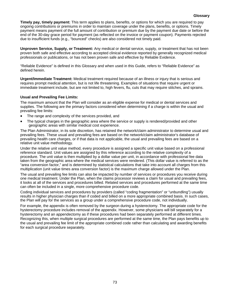**Timely pay, timely payment:** This term applies to plans, benefits, or options for which you are required to pay ongoing contributions or premiums in order to maintain coverage under the plans, benefits, or options. Timely payment means payment of the full amount of contribution or premium due by the payment due date or before the end of the 30-day grace period for payment (as reflected on the invoice or payment coupon). Payments rejected due to insufficient funds (e.g., "bounced" checks) are also considered not timely paid.

**Unproven Service, Supply, or Treatment:** Any medical or dental service, supply, or treatment that has not been proven both safe and effective according to accepted clinical evidence reported by generally recognized medical professionals or publications, or has not been proven safe and effective by Reliable Evidence.

"Reliable Evidence" is defined in this Glossary and when used in this Guide, refers to "Reliable Evidence" as defined herein.

**Urgent/Immediate Treatment:** Medical treatment required because of an illness or injury that is serious and requires prompt medical attention, but is not life threatening. Examples of situations that require urgent or immediate treatment include, but are not limited to, high fevers, flu, cuts that may require stitches, and sprains.

#### **Usual and Prevailing Fee Limits:**

The maximum amount that the Plan will consider as an eligible expense for medical or dental services and supplies. The following are the primary factors considered when determining if a charge is within the usual and prevailing fee limits:

- The range and complexity of the services provided, and
- The typical charges in the geographic area where the service or supply is rendered/provided and other geographic areas with similar medical cost experience.

The Plan Administrator, in its sole discretion, has retained the network/claim administrator to determine usual and prevailing fees. These usual and prevailing fees are based on the network/claim administrator's database of prevailing health care charges, or if that data is not applicable, the usual and prevailing fees are based on a relative unit value methodology.

Under the relative unit value method, every procedure is assigned a specific unit value based on a professional reference standard. Unit values are assigned by this reference according to the relative complexity of a procedure. The unit value is then multiplied by a dollar value per unit, in accordance with professional fee data taken from the geographic area where the medical services were rendered. (This dollar value is referred to as the "area conversion factor," and is determined by statistical calculations that take into account all charges from this multiplication (unit value times area conversion factor) is the maximum charge allowed under the Plan.

The usual and prevailing fee limits can also be impacted by number of services or procedures you receive during one medical treatment. Under the Plan, when the claims processor reviews a claim for usual and prevailing fees, it looks at all of the services and procedures billed. Related services and procedures performed at the same time can often be included in a single, more comprehensive procedure code.

Coding individual services and procedures by providers (called "coding fragmentation" or "unbundling") usually results in higher physician charges than if coded and billed on a more appropriate combined basis. In such cases, the Plan will pay for the services as a group under a comprehensive procedure code, not individually.

For example, the appendix is often removed by the surgeon during a hysterectomy. The appropriate code for the hysterectomy procedure includes removal of the appendix. However, some physicians will bill separately for a hysterectomy and an appendectomy as if these procedures had been separately performed at different times. Recognizing this, when multiple surgical procedures are performed at the same time, the Plan pays benefits up to the usual and prevailing fee limit of the appropriate combined code rather than calculating and awarding benefits for each surgical procedure separately.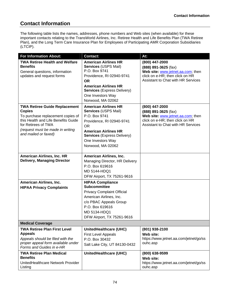The following table lists the names, addresses, phone numbers and Web sites (when available) for these important contacts relating to the TransWorld Airlines, Inc. Retiree Health and Life Benefits Plan (TWA Retiree Plan), and the Long Term Care Insurance Plan for Employees of Participating AMR Corporation Subsidiaries (LTCIP).

| <b>For Information About:</b>                                                                                                                                                                                        | <b>Contact:</b>                                                                                                                                                                                                               | At:                                                                                                                                                    |
|----------------------------------------------------------------------------------------------------------------------------------------------------------------------------------------------------------------------|-------------------------------------------------------------------------------------------------------------------------------------------------------------------------------------------------------------------------------|--------------------------------------------------------------------------------------------------------------------------------------------------------|
| <b>TWA Retiree Health and Welfare</b><br><b>Benefits</b><br>General questions, information<br>updates and request forms                                                                                              | <b>American Airlines HR</b><br>Services (USPS Mail)<br>P.O. Box 9741<br>Providence, RI 02940-9741<br><b>OR</b><br><b>American Airlines HR</b><br><b>Services (Express Delivery)</b><br>One Investors Way<br>Norwood, MA 02062 | (800) 447-2000<br>(888) 891-3625 (fax)<br>Web site: www.jetnet.aa.com; then<br>click on e-HR; then click on HR<br>Assistant to Chat with HR Services   |
| <b>TWA Retiree Guide Replacement</b><br><b>Copies</b><br>To purchase replacement copies of<br>this Health and Life Benefits Guide<br>for Retirees of TWA<br>(request must be made in writing<br>and mailed or faxed) | <b>American Airlines HR</b><br>Services (USPS Mail)<br>P.O. Box 9741<br>Providence, RI 02940-9741<br><b>OR</b><br><b>American Airlines HR</b><br><b>Services</b> (Express Delivery)<br>One Investors Way<br>Norwood, MA 02062 | (800) 447-2000<br>$(888)$ 891-3625 (fax)<br>Web site: www.jetnet.aa.com; then<br>click on e-HR; then click on HR<br>Assistant to Chat with HR Services |
| <b>American Airlines, Inc. HR</b><br><b>Delivery, Managing Director</b>                                                                                                                                              | <b>American Airlines, Inc.</b><br>Managing Director, HR Delivery<br>P.O. Box 619616<br>MD 5144-HDQ1<br>DFW Airport, TX 75261-9616                                                                                             |                                                                                                                                                        |
| American Airlines, Inc.<br><b>HIPAA Privacy Complaints</b>                                                                                                                                                           | <b>HIPAA Compliance</b><br><b>Subcommittee</b><br><b>Privacy Complaint Official</b><br>American Airlines, Inc.<br>c/o PBAC Appeals Group<br>P.O. Box 619616<br>MD 5134-HDQ1<br>DFW Airport, TX 75261-9616                     |                                                                                                                                                        |
| <b>Medical Coverage</b>                                                                                                                                                                                              |                                                                                                                                                                                                                               |                                                                                                                                                        |
| <b>TWA Retiree Plan First Level</b><br><b>Appeals</b><br>Appeals should be filed with the<br>proper appeal form available under<br>Forms and Guides in e-HR                                                          | UnitedHealthcare (UHC)<br><b>First Level Appeals</b><br>P.O. Box 30432<br>Salt Lake City, UT 84130-0432                                                                                                                       | (801) 938-2100<br>Web site:<br>https://www.jetnet.aa.com/jetnet/go/ss<br>ouhc.asp                                                                      |
| <b>TWA Retiree Plan Medical</b><br><b>Benefits</b><br>UnitedHealthcare Network Provider<br>Listing                                                                                                                   | <b>UnitedHealthcare (UHC)</b>                                                                                                                                                                                                 | (800) 638-9599<br>Web site:<br>https://www.jetnet.aa.com/jetnet/go/ss<br>ouhc.asp                                                                      |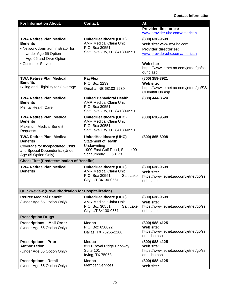| <b>For Information About:</b>                              | <b>Contact:</b>                                         | At:                                                           |  |  |
|------------------------------------------------------------|---------------------------------------------------------|---------------------------------------------------------------|--|--|
|                                                            |                                                         | <b>Provider directories:</b>                                  |  |  |
|                                                            |                                                         | www.provider.uhc.com/american                                 |  |  |
| <b>TWA Retiree Plan Medical</b>                            | UnitedHealthcare (UHC)                                  | (800) 638-9599                                                |  |  |
| <b>Benefits</b><br>• Network/claim administrator for:      | <b>AMR Medical Claim Unit</b><br>P.O. Box 30551         | Web site: www.myuhc.com                                       |  |  |
| Under Age 65 Option                                        | Salt Lake City, UT 84130-0551                           | <b>Provider directories:</b><br>www.provider.uhc.com/american |  |  |
| Age 65 and Over Option                                     |                                                         |                                                               |  |  |
| • Customer Service                                         |                                                         | Web site:                                                     |  |  |
|                                                            |                                                         | https://www.jetnet.aa.com/jetnet/go/ss                        |  |  |
|                                                            |                                                         | ouhc.asp                                                      |  |  |
| <b>TWA Retiree Plan Medical</b>                            | <b>PayFlex</b>                                          | (800) 359-3921                                                |  |  |
| <b>Benefits</b>                                            | P.O. Box 2239                                           | Web site:                                                     |  |  |
| <b>Billing and Eligibility for Coverage</b>                | Omaha, NE 68103-2239                                    | https://www.jetnet.aa.com/jetnet/go/SS<br>OHealthHub.asp      |  |  |
| <b>TWA Retiree Plan Medical</b>                            | <b>United Behavioral Health</b>                         | (888) 444-8624                                                |  |  |
| <b>Benefits</b>                                            | <b>AMR Medical Claim Unit</b>                           |                                                               |  |  |
| <b>Mental Health Care</b>                                  | P.O. Box 30551                                          |                                                               |  |  |
|                                                            | Salt Lake City, UT 84130-0551                           |                                                               |  |  |
| <b>TWA Retiree Plan, Medical</b>                           | UnitedHealthcare (UHC)                                  | (800) 638-9599                                                |  |  |
| <b>Benefits</b>                                            | <b>AMR Medical Claim Unit</b><br>P.O. Box 30551         |                                                               |  |  |
| <b>Maximum Medical Benefit</b><br>Requests                 | Salt Lake City, UT 84130-0551                           |                                                               |  |  |
| <b>TWA Retiree Plan, Medical</b>                           | UnitedHealthcare (UHC)                                  | (800) 865-6098                                                |  |  |
| <b>Benefits</b>                                            | <b>Statement of Health</b>                              |                                                               |  |  |
| Coverage for Incapacitated Child                           | Underwriting                                            |                                                               |  |  |
| and Special Dependents, (Under                             | 1900 East Golf Road, Suite 400                          |                                                               |  |  |
| Age 65 Option Only)                                        | Schaumburg, IL 60173                                    |                                                               |  |  |
| <b>CheckFirst (Predetermination of Benefits)</b>           |                                                         |                                                               |  |  |
| <b>TWA Retiree Plan Medical</b><br><b>Benefits</b>         | UnitedHealthcare (UHC)<br><b>AMR Medical Claim Unit</b> | (800) 638-9599                                                |  |  |
|                                                            | P.O. Box 30551<br>Salt Lake                             | Web site:<br>https://www.jetnet.aa.com/jetnet/go/ss           |  |  |
|                                                            | City, UT 84130-0551                                     | ouhc.asp                                                      |  |  |
|                                                            |                                                         |                                                               |  |  |
| <b>QuickReview (Pre-authorization for Hospitalization)</b> |                                                         |                                                               |  |  |
| <b>Retiree Medical Benefit</b>                             | UnitedHealthcare (UHC)                                  | (800) 638-9599                                                |  |  |
| (Under Age 65 Option Only)                                 | <b>AMR Medical Claim Unit</b>                           | Web site:                                                     |  |  |
|                                                            | P.O. Box 30551<br>Salt Lake                             | https://www.jetnet.aa.com/jetnet/go/ss                        |  |  |
|                                                            | City, UT 84130-0551                                     | ouhc.asp                                                      |  |  |
| <b>Prescription Drugs</b>                                  |                                                         |                                                               |  |  |
| <b>Prescriptions - Mail Order</b>                          | <b>Medco</b><br>P.O. Box 650022                         | (800) 988-4125<br>Web site:                                   |  |  |
| (Under Age 65 Option Only)                                 | Dallas, TX 75265-2200                                   | https://www.jetnet.aa.com/jetnet/go/ss                        |  |  |
|                                                            |                                                         | omedco.asp                                                    |  |  |
| <b>Prescriptions - Prior</b>                               | <b>Medco</b>                                            | (800) 988-4125                                                |  |  |
| Authorization                                              | 8111 Royal Ridge Parkway,                               | Web site:                                                     |  |  |
| (Under Age 65 Option Only)                                 | Suite 101                                               | https://www.jetnet.aa.com/jetnet/go/ss                        |  |  |
|                                                            | Irving, TX 75063                                        | omedco.asp                                                    |  |  |
| <b>Prescriptions - Retail</b>                              | <b>Medco</b><br><b>Member Services</b>                  | (800) 988-4125<br>Web site:                                   |  |  |
| (Under Age 65 Option Only)                                 |                                                         |                                                               |  |  |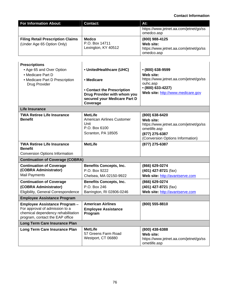| <b>For Information About:</b>                                         | <b>Contact:</b>                    | At:                                                    |
|-----------------------------------------------------------------------|------------------------------------|--------------------------------------------------------|
|                                                                       |                                    | https://www.jetnet.aa.com/jetnet/go/ss<br>omedco.asp   |
| <b>Filing Retail Prescription Claims</b>                              | <b>Medco</b>                       | (800) 988-4125                                         |
| (Under Age 65 Option Only)                                            | P.O. Box 14711                     | Web site:                                              |
|                                                                       | Lexington, KY 40512                | https://www.jetnet.aa.com/jetnet/go/ss                 |
|                                                                       |                                    | omedco.asp                                             |
|                                                                       |                                    |                                                        |
| <b>Prescriptions</b>                                                  |                                    |                                                        |
| • Age 65 and Over Option                                              | • UnitedHealthcare (UHC)           | • (800) 638-9599                                       |
| • Medicare Part D<br>• Medicare Part D Prescription                   | • Medicare                         | Web site:<br>https://www.jetnet.aa.com/jetnet/go/ss    |
| Drug Provider                                                         |                                    | ouhc.asp                                               |
|                                                                       | • Contact the Prescription         | $(800)$ 633-4227)                                      |
|                                                                       | Drug Provider with whom you        | Web site: http://www.medicare.gov                      |
|                                                                       | secured your Medicare Part D       |                                                        |
|                                                                       | Coverage                           |                                                        |
| Life Insurance                                                        |                                    |                                                        |
| <b>TWA Retiree Life Insurance</b>                                     | <b>MetLife</b>                     | (800) 638-6420                                         |
| <b>Benefit</b>                                                        | American Airlines Customer<br>Unit | Web site:                                              |
|                                                                       | P.O. Box 6100                      | https://www.jetnet.aa.com/jetnet/go/ss<br>ometlife.asp |
|                                                                       | Scranton, PA 18505                 | (877) 275-6387                                         |
|                                                                       |                                    | (Conversion Options Information)                       |
| <b>TWA Retiree Life Insurance</b><br><b>Benefit</b>                   | <b>MetLife</b>                     | (877) 275-6387                                         |
| Conversion Options Information                                        |                                    |                                                        |
| <b>Continuation of Coverage (COBRA)</b>                               |                                    |                                                        |
| <b>Continuation of Coverage</b>                                       | <b>Benefits Concepts, Inc.</b>     | (866) 629-0274                                         |
| (COBRA Administrator)                                                 | P.O. Box 9222                      | (401) 427-8721 (fax)                                   |
| <b>Mail Payments</b>                                                  | Chelsea, MA 02150-9922             | Web site: http://avantserve.com                        |
| <b>Continuation of Coverage</b>                                       | <b>Benefits Concepts, Inc.</b>     | (866) 629-0274                                         |
| (COBRA Administrator)                                                 | P.O. Box 246                       | (401) 427-8721 (fax)                                   |
| Eligibility, General Correspondence                                   | Barrington, RI 02806-0246          | Web site: http://avantserve.com                        |
| <b>Employee Assistance Program</b>                                    |                                    |                                                        |
| <b>Employee Assistance Program -</b>                                  | <b>American Airlines</b>           | (800) 555-8810                                         |
| For approval of admission to a                                        | <b>Employee Assistance</b>         |                                                        |
| chemical dependency rehabilitation<br>program, contact the EAP office | Program                            |                                                        |
| Long Term Care Insurance Plan                                         |                                    |                                                        |
| Long Term Care Insurance Plan                                         | <b>MetLife</b>                     |                                                        |
|                                                                       | 57 Greens Farm Road                | (800) 438-6388<br>Web site:                            |
|                                                                       | Westport, CT 06880                 | https://www.jetnet.aa.com/jetnet/go/ss<br>ometlife.asp |